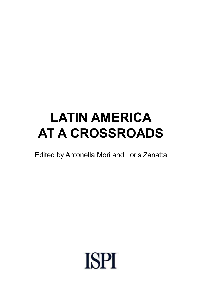# **LATIN AMERICA AT A CROSSROADS**

# Edited by Antonella Mori and Loris Zanatta

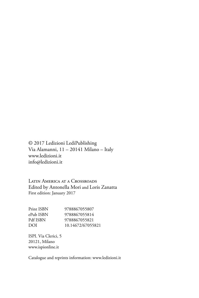© 2017 Ledizioni LediPublishing Via Alamanni, 11 – 20141 Milano – Italy www.ledizioni.it info@ledizioni.it

Latin America at a Crossroads Edited by Antonella Mori and Loris Zanatta First edition: January 2017

| 9788867055807     |
|-------------------|
| 9788867055814     |
| 9788867055821     |
| 10.14672/67055821 |
|                   |

ISPI. Via Clerici, 5 20121, Milano www.ispionline.it

Catalogue and reprints information: www.ledizioni.it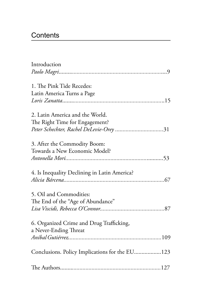# **Contents**

| Introduction                                   |  |
|------------------------------------------------|--|
|                                                |  |
| 1. The Pink Tide Recedes:                      |  |
| Latin America Turns a Page                     |  |
|                                                |  |
| 2. Latin America and the World.                |  |
| The Right Time for Engagement?                 |  |
| Peter Schechter, Rachel DeLevie-Orey31         |  |
| 3. After the Commodity Boom:                   |  |
| Towards a New Economic Model?                  |  |
|                                                |  |
| 4. Is Inequality Declining in Latin America?   |  |
|                                                |  |
| 5. Oil and Commodities:                        |  |
| The End of the "Age of Abundance"              |  |
|                                                |  |
| 6. Organized Crime and Drug Trafficking,       |  |
| a Never-Ending Threat                          |  |
|                                                |  |
| Conclusions. Policy Implications for the EU123 |  |
|                                                |  |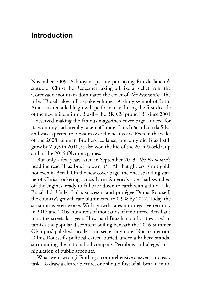November 2009. A buoyant picture portraying Rio de Janeiro's statue of Christ the Redeemer taking off like a rocket from the Corcovado mountain dominated the cover of *The Economist*. The title, "Brazil takes off", spoke volumes. A shiny symbol of Latin America's remarkable growth performance during the first decade of the new millennium, Brazil – the BRICS' proud "B" since 2001 – deserved making the famous magazine's cover page. Indeed for its economy had literally taken off under Luiz Inácio Lula da Silva and was expected to blossom over the next years. Even in the wake of the 2008 Lehman Brothers' collapse, not only did Brazil still grow by 7.5% in 2010, it also won the bid of the 2014 World Cup and of the 2016 Olympic games.

But only a few years later, in September 2013*, The Economist*'s headline read "Has Brazil blown it?". All that glitters is not gold, not even in Brazil. On the new cover page, the once sparkling statue of Christ rocketing across Latin America's skies had switched off the engines, ready to fall back down to earth with a thud. Like Brazil did. Under Lula's successor and protégée Dilma Rousseff, the country's growth rate plummeted to 0.9% by 2012. Today the situation is even worse. With growth rates into negative territory in 2015 and 2016, hundreds of thousands of embittered Brazilians took the streets last year. How hard Brazilian authorities tried to tarnish the popular discontent boiling beneath the 2016 Summer Olympics' polished façade is no secret anymore. Not to mention Dilma Rousseff's political career, buried under a bribery scandal surrounding the national oil company Petrobras and alleged manipulation of public accounts.

What went wrong? Finding a comprehensive answer is no easy task. To draw a clearer picture, one should first of all bear in mind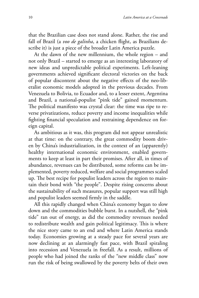that the Brazilian case does not stand alone. Rather, the rise and fall of Brazil (a *voo de galinha*, a chicken flight, as Brazilians describe it) is just a piece of the broader Latin America puzzle.

At the dawn of the new millennium, the whole region – and not only Brazil – started to emerge as an interesting laboratory of new ideas and unpredictable political experiments. Left-leaning governments achieved significant electoral victories on the back of popular discontent about the negative effects of the neo-liberalist economic models adopted in the previous decades. From Venezuela to Bolivia, to Ecuador and, to a lesser extent, Argentina and Brazil, a national-populist "pink tide" gained momentum. The political manifesto was crystal clear: the time was ripe to reverse privatizations, reduce poverty and income inequalities while fighting financial speculation and restraining dependence on foreign capital.

As ambitious as it was, this program did not appear unrealistic at that time: on the contrary, the great commodity boom driven by China's industrialization, in the context of an (apparently) healthy international economic environment, enabled governments to keep at least in part their promises. After all, in times of abundance, revenues can be distributed, some reforms can be implemented, poverty reduced, welfare and social programmes scaled up. The best recipe for populist leaders across the region to maintain their bond with "the people". Despite rising concerns about the sustainability of such measures, popular support was still high and populist leaders seemed firmly in the saddle.

All this rapidly changed when China's economy began to slow down and the commodities bubble burst. In a nutshell, the "pink tide" ran out of energy, as did the commodity revenues needed to redistribute wealth and gain political legitimacy. This is where the nice story came to an end and where Latin America stands today. Economies growing at a steady pace for several years are now declining at an alarmingly fast pace, with Brazil spiraling into recession and Venezuela in freefall. As a result, millions of people who had joined the ranks of the "new middle class" now run the risk of being swallowed by the poverty belts of their own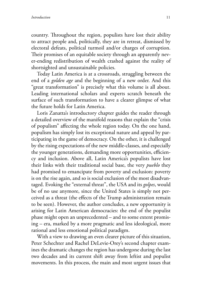country. Throughout the region, populists have lost their ability to attract people and, politically, they are in retreat, dismissed by electoral defeats, political turmoil and/or charges of corruption. Their promises of an equitable society through an apparently never-ending redistribution of wealth crashed against the reality of shortsighted and unsustainable policies.

Today Latin America is at a crossroads, struggling between the end of a *golden age* and the beginning of a new order. And this "great transformation" is precisely what this volume is all about. Leading international scholars and experts scratch beneath the surface of such transformation to have a clearer glimpse of what the future holds for Latin America.

Loris Zanatta's introductory chapter guides the reader through a detailed overview of the manifold reasons that explain the "crisis of populism" affecting the whole region today. On the one hand, populism has simply lost its exceptional nature and appeal by participating in the game of democracy. On the other, it is challenged by the rising expectations of the new middle-classes, and especially the younger generations, demanding more opportunities, efficiency and inclusion. Above all, Latin America's populists have lost their links with their traditional social base, the very *pueblo* they had promised to emancipate from poverty and exclusion: poverty is on the rise again, and so is social exclusion of the most disadvantaged. Evoking the "external threat", the USA and its *golpes*, would be of no use anymore, since the United States is simply not perceived as a threat (the effects of the Trump administration remain to be seen). However, the author concludes, a new opportunity is arising for Latin American democracies: the end of the populist phase might open an unprecedented – and to some extent promising – era, marked by a more pragmatic and less ideological, more rational and less emotional political paradigm.

With a view to drawing an even clearer picture of this situation, Peter Schechter and Rachel DeLevie-Orey's second chapter examines the dramatic changes the region has undergone during the last two decades and its current shift away from leftist and populist movements. In this process, the main and most urgent issues that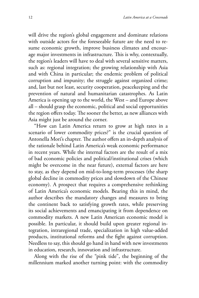will drive the region's global engagement and dominate relations with outside actors for the foreseeable future are the need to resume economic growth, improve business climates and encourage major investments in infrastructure. This is why, contextually, the region's leaders will have to deal with several sensitive matters, such as: regional integration; the growing relationship with Asia and with China in particular; the endemic problem of political corruption and impunity; the struggle against organized crime; and, last but not least, security cooperation, peacekeeping and the prevention of natural and humanitarian catastrophes. As Latin America is opening up to the world, the West – and Europe above all – should grasp the economic, political and social opportunities the region offers today. The sooner the better, as new alliances with Asia might just be around the corner.

"How can Latin America return to grow at high rates in a scenario of lower commodity prices?" is the crucial question of Antonella Mori's chapter. The author offers an in-depth analysis of the rationale behind Latin America's weak economic performance in recent years. While the internal factors are the result of a mix of bad economic policies and political/institutional crises (which might be overcome in the near future), external factors are here to stay, as they depend on mid-to-long-term processes (the sharp global decline in commodity prices and slowdown of the Chinese economy). A prospect that requires a comprehensive rethinking of Latin America's economic models. Bearing this in mind, the author describes the mandatory changes and measures to bring the continent back to satisfying growth rates, while preserving its social achievements and emancipating it from dependence on commodity markets. A new Latin American economic model is possible. In particular, it should build upon greater regional integration, intraregional trade, specialization in high value-added products, institutional reforms and the fight against corruption. Needless to say, this should go hand in hand with new investments in education, research, innovation and infrastructure.

Along with the rise of the "pink tide", the beginning of the millennium marked another turning point: with the commodity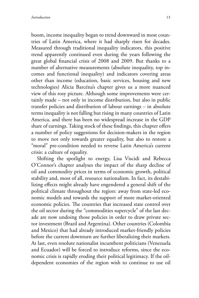boom, income inequality began to trend downward in most countries of Latin America, where it had sharply risen for decades. Measured through traditional inequality indicators, this positive trend apparently continued even during the years following the great global financial crisis of 2008 and 2009. But thanks to a number of alternative measurements (absolute inequality, top incomes and functional inequality) and indicators covering areas other than income (education, basic services, housing and new technologies) Alicia Barcéna's chapter gives us a more nuanced view of this rosy picture. Although some improvements were certainly made – not only in income distribution, but also in public transfer policies and distribution of labour earnings – in absolute terms inequality is not falling but rising in many countries of Latin America, and there has been no widespread increase in the GDP share of earnings. Taking stock of these findings, this chapter offers a number of policy suggestions for decision-makers in the region to move not only towards greater equality, but also to restore a "moral" pre-condition needed to reverse Latin America's current crisis: a culture of equality.

Shifting the spotlight to energy, Lisa Viscidi and Rebecca O'Connor's chapter analyses the impact of the sharp decline of oil and commodity prices in terms of economic growth, political stability and, most of all, resource nationalism. In fact, its destabilizing effects might already have engendered a general shift of the political climate throughout the region: away from state-led economic models and towards the support of more market-oriented economic policies. The countries that increased state control over the oil sector during the "commodities supercycle" of the last decade are now undoing those policies in order to draw private sector investment (Brazil and Argentina). Other countries (Colombia and Mexico) that had already introduced market-friendly policies before the current downturn are further liberalizing their markets. At last, even resolute nationalist incumbent politicians (Venezuela and Ecuador) will be forced to introduce reforms, since the economic crisis is rapidly eroding their political legitimacy. If the oildependent economies of the region wish to continue to use oil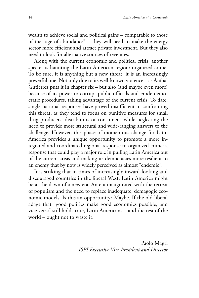wealth to achieve social and political gains – comparable to those of the "age of abundance" – they will need to make the energy sector more efficient and attract private investment. But they also need to look for alternative sources of revenues.

Along with the current economic and political crisis, another specter is haunting the Latin American region: organized crime. To be sure, it is anything but a new threat, it is an increasingly powerful one. Not only due to its well-known violence – as Aníbal Gutiérrez puts it in chapter six – but also (and maybe even more) because of its power to corrupt public officials and erode democratic procedures, taking advantage of the current crisis. To date, single national responses have proved insufficient in confronting this threat, as they tend to focus on punitive measures for small drug producers, distributors or consumers, while neglecting the need to provide more structural and wide-ranging answers to the challenge. However, this phase of momentous change for Latin America provides a unique opportunity to promote a more integrated and coordinated regional response to organized crime: a response that could play a major role in pulling Latin America out of the current crisis and making its democracies more resilient to an enemy that by now is widely perceived as almost "endemic".

It is striking that in times of increasingly inward-looking and discouraged countries in the liberal West, Latin America might be at the dawn of a new era. An era inaugurated with the retreat of populism and the need to replace inadequate, demagogic economic models. Is this an opportunity? Maybe. If the old liberal adage that "good politics make good economics possible, and vice versa" still holds true, Latin Americans – and the rest of the world – ought not to waste it.

> Paolo Magri *ISPI Executive Vice President and Director*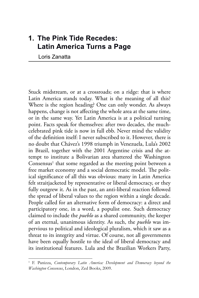## **1. The Pink Tide Recedes: Latin America Turns a Page**

Loris Zanatta

Stuck midstream, or at a crossroads; on a ridge: that is where Latin America stands today. What is the meaning of all this? Where is the region heading? One can only wonder. As always happens, change is not affecting the whole area at the same time, or in the same way. Yet Latin America is at a political turning point. Facts speak for themselves: after two decades, the muchcelebrated pink tide is now in full ebb. Never mind the validity of the definition itself: I never subscribed to it. However, there is no doubt that Chávez's 1998 triumph in Venezuela, Lula's 2002 in Brazil, together with the 2001 Argentine crisis and the attempt to institute a Bolivarian area shattered the Washington  $\rm{Consensus^1}$  that some regarded as the meeting point between a free market economy and a social democratic model. The political significance of all this was obvious: many in Latin America felt straitjacketed by representative or liberal democracy, or they fully outgrew it. As in the past, an anti-liberal reaction followed the spread of liberal values to the region within a single decade. People called for an alternative form of democracy: a direct and participatory one, in a word, a populist one. Such democracy claimed to include the *pueblo* as a shared community, the keeper of an eternal, unanimous identity. As such, the *pueblo* was impervious to political and ideological pluralism, which it saw as a threat to its integrity and virtue. Of course, not all governments have been equally hostile to the ideal of liberal democracy and its institutional features. Lula and the Brazilian Workers Party,

<sup>&</sup>lt;sup>1</sup> F. Panizza, *Contemporary Latin America: Development and Democracy beyond the Washington Consensus*, London, Zed Books, 2009.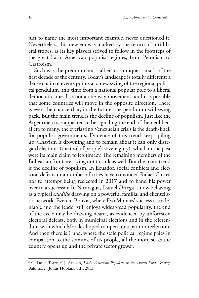just to name the most important example, never questioned it. Nevertheless, this new era was marked by the return of anti-liberal tropes, as its key players strived to follow in the footsteps of the great Latin American populist regimes, from Peronism to Castroism.

Such was the predominant – albeit not unique – mark of the first decade of the century. Today's landscape is totally different: a dense chain of events points at a new swing of the regional political pendulum, this time from a national popular pole to a liberal democratic one. It is not a one-way movement, and it is possible that some countries will move in the opposite direction. There is even the chance that, in the future, the pendulum will swing back. But the main trend is the decline of populism. Just like the Argentine crisis appeared to be signaling the end of the neoliberal era to many, the everlasting Venezuelan crisis is the death-knell for populist governments. Evidence of this trend keeps piling up. Chavism is drowning and to remain afloat it can only disregard elections (the tool of people's sovereignty), which in the past were its main claim to legitimacy. The remaining members of the Bolivarian front are trying not to sink as well. But the main trend is the decline of populism. In Ecuador, social conflicts and electoral defeats in a number of cities have convinced Rafael Correa not to attempt being reelected in 2017 and to hand his power over to a successor. In Nicaragua, Daniel Ortega is now behaving as a typical *caudillo* drawing on a powerful familial and clientelistic network. Even in Bolivia, where Evo Morales' success is undeniable and the leader still enjoys widespread popularity, the end of the cycle may be drawing nearer, as evidenced by unforeseen electoral defeats, both in municipal elections and in the referendum with which Morales hoped to open up a path to reelection. And then there is Cuba, where the stale political regime pales in comparison to the stamina of its people, all the more so as the country opens up and the private sector grows<sup>2</sup>.

<sup>2</sup> C. De la Torre, C.J. Arnson, *Latin American Populism in the Twenty-First Century*, Baltimore, Johns Hopkins U.P., 2013.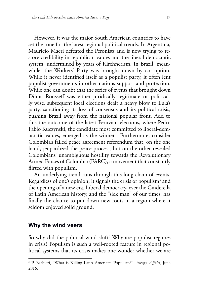However, it was the major South American countries to have set the tone for the latest regional political trends. In Argentina, Mauricio Macri defeated the Peronists and is now trying to restore credibility in republican values and the liberal democratic system, undermined by years of Kirchnerism. In Brazil, meanwhile, the Workers' Party was brought down by corruption. While it never identified itself as a populist party, it often lent populist governments in other nations support and protection. While one can doubt that the series of events that brought down Dilma Rousseff was either juridically legitimate or politically wise, subsequent local elections dealt a heavy blow to Lula's party, sanctioning its loss of consensus and its political crisis, pushing Brazil away from the national popular front. Add to this the outcome of the latest Peruvian elections, where Pedro Pablo Kuczynski, the candidate most committed to liberal-democratic values, emerged as the winner. Furthermore, consider Colombia's failed peace agreement referendum that, on the one hand, jeopardized the peace process, but on the other revealed Colombians' unambiguous hostility towards the Revolutionary Armed Forces of Colombia (FARC), a movement that constantly flirted with populism.

An underlying trend runs through this long chain of events. Regardless of one's opinion, it signals the crisis of populism<sup>3</sup> and the opening of a new era. Liberal democracy, ever the Cinderella of Latin American history, and the "sick man" of our times, has finally the chance to put down new roots in a region where it seldom enjoyed solid ground.

#### **Why the wind veers**

So why did the political wind shift? Why are populist regimes in crisis? Populism is such a well-rooted feature in regional political systems that its crisis makes one wonder whether we are

<sup>3</sup> P. Barbieri, "What is Killing Latin American Populism?", *Foreign Affairs*, June 2016.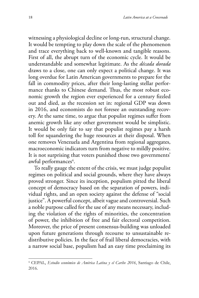witnessing a physiological decline or long-run, structural change. It would be tempting to play down the scale of the phenomenon and trace everything back to well-known and tangible reasons. First of all, the abrupt turn of the economic cycle. It would be understandable and somewhat legitimate. As the *década dorada* draws to a close, one can only expect a political change. It was long overdue for Latin American governments to prepare for the fall in commodity prices, after their long-lasting stellar performance thanks to Chinese demand. Thus, the most robust economic growth the region ever experienced for a century fizzled out and died, as the recession set in: regional GDP was down in 2016, and economists do not foresee an outstanding recovery. At the same time, to argue that populist regimes suffer from anemic growth like any other government would be simplistic. It would be only fair to say that populist regimes pay a harsh toll for squandering the huge resources at their disposal. When one removes Venezuela and Argentina from regional aggregates, macroeconomic indicators turn from negative to mildly positive. It is not surprising that voters punished those two governments' awful performances $\rm ^4$ .

To really gauge the extent of the crisis, we must judge populist regimes on political and social grounds, where they have always proved stronger. Since its inception, populism pitted the liberal concept of democracy based on the separation of powers, individual rights, and an open society against the defense of "social justice". A powerful concept, albeit vague and controversial. Such a noble purpose called for the use of any means necessary, including the violation of the rights of minorities, the concentration of power, the inhibition of free and fair electoral competition. Moreover, the price of present consensus-building was unloaded upon future generations through recourse to unsustainable redistributive policies. In the face of frail liberal democracies, with a narrow social base, populism had an easy time proclaiming its

<sup>4</sup> CEPAL, *Estudio económico de Amèrica Latina y el Caribe 2016*, Santiago de Chile, 2016.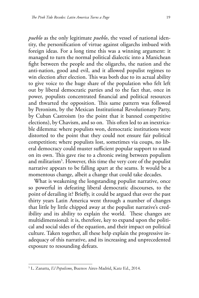*pueblo* as the only legitimate *pueblo*, the vessel of national identity, the personification of virtue against oligarchs imbued with foreign ideas. For a long time this was a winning argument: it managed to turn the normal political dialectic into a Manichean fight between the people and the oligarchs, the nation and the anti-nation, good and evil, and it allowed populist regimes to win election after election. This was both due to its actual ability to give voice to the huge share of the population who felt left out by liberal democratic parties and to the fact that, once in power, populists concentrated financial and political resources and thwarted the opposition. This same pattern was followed by Peronism, by the Mexican Institutional Revolutionary Party, by Cuban Castroism (to the point that it banned competitive elections), by Chavism, and so on. This often led to an inextricable dilemma: where populists won, democratic institutions were distorted to the point that they could not ensure fair political competition; where populists lost, sometimes via coups, no liberal democracy could muster sufficient popular support to stand on its own. This gave rise to a chronic swing between populism and militarism<sup>5</sup>. However, this time the very core of the populist narrative appears to be falling apart at the seams. It would be a momentous change, albeit a change that could take decades.

What is weakening the longstanding populist narrative, once so powerful in defeating liberal democratic discourses, to the point of derailing it? Briefly, it could be argued that over the past thirty years Latin America went through a number of changes that little by little chipped away at the populist narrative's credibility and its ability to explain the world. These changes are multidimensional: it is, therefore, key to expand upon the political and social sides of the equation, and their impact on political culture. Taken together, all these help explain the progressive inadequacy of this narrative, and its increasing and unprecedented exposure to resounding defeats.

<sup>5</sup> L. Zanatta, *El Populismo*, Buenos Aires-Madrid, Katz Ed., 2014.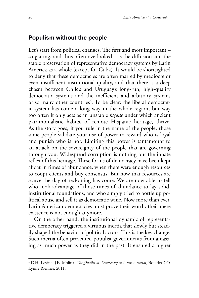#### **Populism without the people**

Let's start from political changes. The first and most important – so glaring, and thus often overlooked – is the diffusion and the stable preservation of representative democracy systems by Latin America as a whole (except for Cuba). It would be shortsighted to deny that these democracies are often marred by mediocre or even insufficient institutional quality, and that there is a deep chasm between Chile's and Uruguay's long-run, high-quality democratic systems and the inefficient and arbitrary systems of so many other countries<sup>6</sup>. To be clear: the liberal democratic system has come a long way in the whole region, but way too often it only acts as an unstable *façade* under which ancient patrimonialistic habits, of remote Hispanic heritage, thrive. As the story goes, if you rule in the name of the people, those same people validate your use of power to reward who is loyal and punish who is not. Limiting this power is tantamount to an attack on the sovereignty of the people that are governing through you. Widespread corruption is nothing but the innate reflex of this heritage. These forms of democracy have been kept afloat in times of abundance, when there were enough resources to coopt clients and buy consensus. But now that resources are scarce the day of reckoning has come. We are now able to tell who took advantage of those times of abundance to lay solid, institutional foundations, and who simply tried to bottle up political abuse and sell it as democratic wine. Now more than ever, Latin American democracies must prove their worth: their mere existence is not enough anymore.

On the other hand, the institutional dynamic of representative democracy triggered a virtuous inertia that slowly but steadily shaped the behavior of political actors. This is the key change. Such inertia often prevented populist governments from amassing as much power as they did in the past. It ensured a higher

<sup>6</sup> D.H. Levine, J.E. Molina, *The Quality of Democracy in Latin America*, Boulder CO, Lynne Rienner, 2011.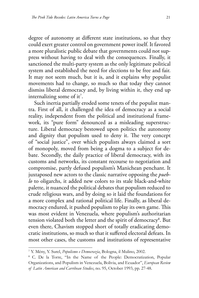degree of autonomy at different state institutions, so that they could exert greater control on government power itself. It favored a more pluralistic public debate that governments could not suppress without having to deal with the consequences. Finally, it sanctioned the multi-party system as the only legitimate political system and established the need for elections to be free and fair. It may not seem much, but it is, and it explains why populist movements had to change, so much so that today they cannot dismiss liberal democracy and, by living within it, they end up internalizing some of it<sup>7</sup>.

Such inertia partially eroded some tenets of the populist mantra. First of all, it challenged the idea of democracy as a social reality, independent from the political and institutional framework, its "pure form" denounced as a misleading superstructure. Liberal democracy bestowed upon politics the autonomy and dignity that populism used to deny it. The very concept of "social justice", over which populists always claimed a sort of monopoly, moved from being a dogma to a subject for debate. Secondly, the daily practice of liberal democracy, with its customs and networks, its constant recourse to negotiation and compromise, partly defused populism's Manichean penchant. It juxtaposed new actors to the classic narrative opposing the *pueblo* to oligarchs, it added new colors to its stale black-and-white palette, it nuanced the political debates that populism reduced to crude religious wars, and by doing so it laid the foundations for a more complex and rational political life. Finally, as liberal democracy endured, it pushed populism to play its own game. This was most evident in Venezuela, where populism's authoritarian tension violated both the letter and the spirit of democracy<sup>8</sup>. But even there, Chavism stopped short of totally eradicating democratic institutions, so much so that it suffered electoral defeats. In most other cases, the customs and institutions of representative

<sup>7</sup> Y. Mény, Y. Surel, *Populismo e Democrazia*, Bologna, il Mulino, 2002.

<sup>8</sup> C. De la Torre, "In the Name of the People: Democratization, Popular Organizations, and Populism in Venezuela, Bolivia, and Ecuador", *European Review of Latin American and Carribean Studies*, no. 95, October 1993, pp. 27-48.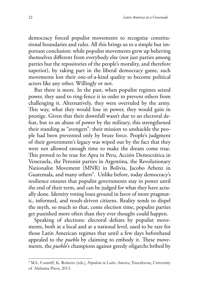democracy forced populist movements to recognize constitutional boundaries and rules. All this brings us to a simple but important conclusion: while populist movements grew up believing themselves different from everybody else (not just parties among parties but the repositories of the people's morality, and therefore superior), by taking part in the liberal democracy game, such movements lost their one-of-a-kind quality to become political actors like any other. Willingly or not.

But there is more. In the past, when populist regimes seized power, they used to ring-fence it in order to prevent others from challenging it. Alternatively, they were overruled by the army. This way, what they would lose in power, they would gain in prestige. Given that their downfall wasn't due to an electoral defeat, but to an abuse of power by the military, this strengthened their standing as "avengers": their mission to unshackle the people had been prevented only by brute force. People's judgment of their government's legacy was wiped out by the fact that they were not allowed enough time to make the dream come true. This proved to be true for Apra in Peru, Acción Democrática in Venezuela, the Peronist parties in Argentina, the Revolutionary Nationalist Movement (MNR) in Bolivia, Jacobo Arbenz in Guatemala, and many others<sup>9</sup>. Unlike before, today democracy's resilience ensures that populist governments stay in power until the end of their term, and can be judged for what they have actually done. Identity voting loses ground in favor of more pragmatic, informed, and result-driven citizens. Reality tends to dispel the myth, so much so that, come election time, populist parties get punished more often than they ever thought could happen.

Speaking of elections: electoral defeats by populist movements, both at a local and at a national level, used to be rare for those Latin American regimes that until a few days beforehand appealed to the *pueblo* by claiming to embody it. These movements, the *pueblo*'s champions against greedy oligarchs bribed by

<sup>9</sup> M.L. Conniff, K. Roberts (eds.), *Populism in Latin America*, Tuscaloosa, University of Alabama Press, 2013.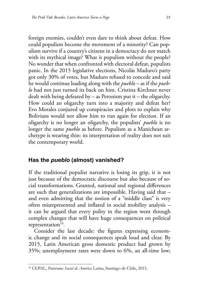foreign enemies, couldn't even dare to think about defeat. How could populism become the movement of a minority? Can populism survive if a country's citizens in a democracy do not match with its mythical image? What is populism without the people? No wonder that when confronted with electoral defeat, populists panic. In the 2015 legislative elections, Nicolás Maduro's party got only 30% of votes, but Maduro refused to concede and said he would continue leading along with the *pueblo* – as if the *pueblo* had not just turned its back on him. Cristina Kirchner never dealt with being defeated by – as Peronism put it – the oligarchy. How could an oligarchy turn into a majority and defeat her? Evo Morales conjured up conspiracies and plots to explain why Bolivians would not allow him to run again for election. If an oligarchy is no longer an oligarchy, the populists' *pueblo* is no longer the same *pueblo* as before. Populism as a Manichean archetype is wearing thin: its interpretation of reality does not suit the contemporary world.

#### **Has the** *pueblo* **(almost) vanished?**

If the traditional populist narrative is losing its grip, it is not just because of the democratic discourse but also because of social transformations. Granted, national and regional differences are such that generalizations are impossible. Having said that – and even admitting that the notion of a "middle class" is very often misrepresented and inflated in social mobility analysis – it can be argued that every polity in the region went through complex changes that will have huge consequences on political representation $10$ .

Consider the last decade: the figures expressing economic change and its social consequences speak loud and clear. By 2015, Latin American gross domestic product had grown by 35%; unemployment rates were down to 6%, an all-time low;

<sup>10</sup> CEPAL, *Panorama Social de América Latina*, Santiago de Chile, 2015.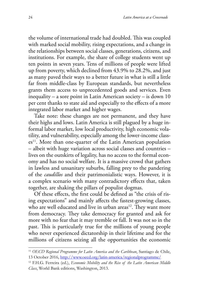the volume of international trade had doubled. This was coupled with marked social mobility, rising expectations, and a change in the relationships between social classes, generations, citizens, and institutions. For example, the share of college students went up ten points in seven years. Tens of millions of people were lifted up from poverty, which declined from 43.9% to 28.2%, and just as many paved their ways to a better future in what is still a little far from middle-class by European standards, but nevertheless grants them access to unprecedented goods and services. Even inequality – a sore point in Latin American society – is down 10 per cent thanks to state aid and especially to the effects of a more integrated labor market and higher wages.

Take note: these changes are not permanent, and they have their highs and lows. Latin America is still plagued by a huge informal labor market, low local productivity, high economic volatility, and vulnerability, especially among the lower-income classes<sup>11</sup>. More than one-quarter of the Latin American population – albeit with huge variation across social classes and countries – lives on the outskirts of legality, has no access to the formal economy and has no social welfare. It is a massive crowd that gathers in lawless and unsanitary suburbs, falling prey to the pandering of the *caudillos* and their patrimonialistic ways. However, it is a complex scenario with many contradictory effects that, taken together, are shaking the pillars of populist dogmas.

Of these effects, the first could be defined as "the crisis of rising expectations" and mainly affects the fastest-growing classes, who are well educated and live in urban areas<sup>12</sup>. They want more from democracy. They take democracy for granted and ask for more with no fear that it may tremble or fall. It was not so in the past. This is particularly true for the millions of young people who never experienced dictatorship in their lifetime and for the millions of citizens seizing all the opportunities the economic

<sup>&</sup>lt;sup>11</sup> OECD Regional Programme for Latin America and the Caribbean, Santiago de Chile, 13 October 2016,<http://www.oecd.org/latin-america/regionalprogramme/>

<sup>12</sup> [F.H.G. Ferreira](https://www.amazon.com/s/ref=dp_byline_sr_ebooks_1?ie=UTF8&text=Francisco+H.+G.+Ferreira&search-alias=digital-text&field-author=Francisco+H.+G.+Ferreira&sort=relevancerank) (ed.), *Economic Mobility and the Rise of the Latin American Middle Class*, World Bank editions, Washington, 2013.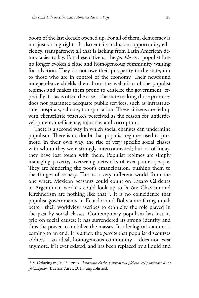boom of the last decade opened up. For all of them, democracy is not just voting rights. It also entails inclusion, opportunity, efficiency, transparency: all that is lacking from Latin American democracies today. For these citizens, the *pueblo* as a populist lure no longer evokes a close and homogeneous community waiting for salvation. They do not owe their prosperity to the state, nor to those who are in control of the economy. Their newfound independence shields them from the welfarism of the populist regimes and makes them prone to criticize the government: especially if – as is often the case – the state making those promises does not guarantee adequate public services, such as infrastructure, hospitals, schools, transportation. These citizens are fed up with clientelistic practices perceived as the reason for underdevelopment, inefficiency, injustice, and corruption.

There is a second way in which social changes can undermine populism. There is no doubt that populist regimes used to promote, in their own way, the rise of very specific social classes with whom they were strongly interconnected; but, as of today, they have lost touch with them. Populist regimes are simply managing poverty, overseeing networks of ever-poorer people. They are hindering the poor's emancipation, pushing them to the fringes of society. This is a very different world from the one where Mexican peasants could count on Lazaro Cárdenas or Argentinian workers could look up to Perón: Chavism and Kirchnerism are nothing like that $13$ . It is no coincidence that populist governments in Ecuador and Bolivia are faring much better: their worldview ascribes to ethnicity the role played in the past by social classes. Contemporary populism has lost its grip on social causes: it has surrendered its strong identity and thus the power to mobilize the masses. Its ideological stamina is coming to an end. It is a fact: the *pueblo* that populist discourses address – an ideal, homogeneous community – does not exist anymore, if it ever existed, and has been replaced by a liquid and

<sup>13</sup> S. Colazingari, V. Palermo, *Peronismo clásico y peronismo plebeyo. El populismo de la globalización*, Buenos Aires, 2016, unpublished.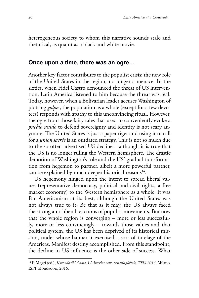heterogeneous society to whom this narrative sounds stale and rhetorical, as quaint as a black and white movie.

#### **Once upon a time, there was an ogre…**

Another key factor contributes to the populist crisis: the new role of the United States in the region, no longer a menace. In the sixties, when Fidel Castro denounced the threat of US intervention, Latin America listened to him because the threat was real. Today, however, when a Bolivarian leader accuses Washington of plotting *golpes*, the population as a whole (except for a few devotees) responds with apathy to this unconvincing ritual. However, the ogre from those fairy tales that used to conveniently evoke a *pueblo unido* to defend sovereignty and identity is not scary anymore. The United States is just a paper tiger and using it to call for a *union sacrée* is an outdated strategy. This is not so much due to the so-often advertised US decline – although it is true that the US is no longer ruling the Western hemisphere. The drastic demotion of Washington's role and the US' gradual transformation from hegemon to partner, albeit a more powerful partner, can be explained by much deeper historical reasons<sup>14</sup>.

US hegemony hinged upon the intent to spread liberal values (representative democracy, political and civil rights, a free market economy) to the Western hemisphere as a whole. It was Pan-Americanism at its best, although the United States was not always true to it. Be that as it may, the US always faced the strong anti-liberal reactions of populist movements. But now that the whole region is converging – more or less successfully, more or less convincingly – towards those values and that political system, the US has been deprived of its historical mission, under whose banner it exercised a sort of tutelage of the Americas. Manifest destiny accomplished. From this standpoint, the decline in US influence is the other side of success. What

<sup>14</sup> P. Magri (ed.), *Il mondo di Obama. L'America nello scenario globale, 2008-2016*, Milano, ISPI-Mondadori, 2016.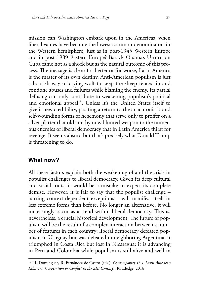mission can Washington embark upon in the Americas, when liberal values have become the lowest common denominator for the Western hemisphere, just as in post-1945 Western Europe and in post-1989 Eastern Europe? Barack Obama's U-turn on Cuba came not as a shock but as the natural outcome of this process. The message is clear: for better or for worse, Latin America is the master of its own destiny. Anti-American populism is just a boorish way of crying wolf to keep the sheep fenced in and condone abuses and failures while blaming the enemy. Its partial defusing can only contribute to weakening populism's political and emotional appeal<sup>15</sup>. Unless it's the United States itself to give it new credibility, positing a return to the anachronistic and self-wounding forms of hegemony that serve only to proffer on a silver platter that old and by now blunted weapon to the numerous enemies of liberal democracy that in Latin America thirst for revenge. It seems absurd but that's precisely what Donald Trump is threatening to do.

#### **What now?**

All these factors explain both the weakening of and the crisis in populist challenges to liberal democracy. Given its deep cultural and social roots, it would be a mistake to expect its complete demise. However, it is fair to say that the populist challenge – barring context-dependent exceptions – will manifest itself in less extreme forms than before. No longer an alternative, it will increasingly occur as a trend within liberal democracy. This is, nevertheless, a crucial historical development. The future of populism will be the result of a complex interaction between a number of features in each country: liberal democracy defeated populism in Uruguay but was defeated in neighboring Argentina; it triumphed in Costa Rica but lost in Nicaragua; it is advancing in Peru and Colombia while populism is still alive and well in

<sup>15</sup> [J.I. Domínguez,](https://www.amazon.com/s/ref=dp_byline_sr_book_1?ie=UTF8&text=Jorge+I.+Dom%C3%ADnguez&search-alias=books&field-author=Jorge+I.+Dom%C3%ADnguez&sort=relevancerank) [R. Fernández de Castro](https://www.amazon.com/s/ref=dp_byline_sr_book_2?ie=UTF8&text=Rafael+Fern%C3%A1ndez+de+Castro&search-alias=books&field-author=Rafael+Fern%C3%A1ndez+de+Castro&sort=relevancerank) (eds.), *Contemporary U.S.-Latin American*  Relations: Cooperation or Conflict in the 21st Century?, Routledge, 2016<sup>2</sup>.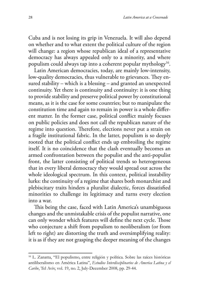Cuba and is not losing its grip in Venezuela. It will also depend on whether and to what extent the political culture of the region will change: a region whose republican ideal of a representative democracy has always appealed only to a minority, and where populism could always tap into a coherent popular mythology<sup>16</sup>.

Latin American democracies, today, are mainly low-intensity, low-quality democracies, thus vulnerable to grievances. They ensured stability – which is a blessing – and granted an unexpected continuity. Yet there is continuity and continuity: it is one thing to provide stability and preserve political power by constitutional means, as it is the case for some countries; but to manipulate the constitution time and again to remain in power is a whole different matter. In the former case, political conflict mainly focuses on public policies and does not call the republican nature of the regime into question. Therefore, elections never put a strain on a fragile institutional fabric. In the latter, populism is so deeply rooted that the political conflict ends up embroiling the regime itself. It is no coincidence that the clash eventually becomes an armed confrontation between the populist and the anti-populist front, the latter consisting of political trends so heterogeneous that in every liberal democracy they would spread out across the whole ideological spectrum. In this context, political instability lurks: the continuity of a regime that shares both monarchist and plebiscitary traits hinders a pluralist dialectic, forces dissatisfied minorities to challenge its legitimacy and turns every election into a war.

This being the case, faced with Latin America's unambiguous changes and the unmistakable crisis of the populist narrative, one can only wonder which features will define the next cycle. Those who conjecture a shift from populism to neoliberalism (or from left to right) are distorting the truth and oversimplifying reality: it is as if they are not grasping the deeper meaning of the changes

<sup>16</sup> L. Zanatta, "El populismo, entre religión y política. Sobre las raíces históricas antiliberalismo en América Latina", *Estudios Interdisciplinarios de America Latina y el Caribe*, Tel Aviv, vol. 19, no. 2, July-December 2008, pp. 29-44.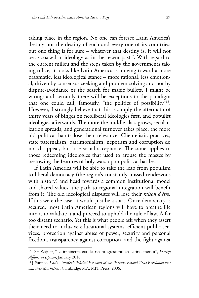taking place in the region. No one can foresee Latin America's destiny nor the destiny of each and every one of its countries: but one thing is for sure – whatever that destiny is, it will not be as soaked in ideology as in the recent past<sup>17</sup>. With regard to the current milieu and the steps taken by the governments taking office, it looks like Latin America is moving toward a more pragmatic, less ideological stance – more rational, less emotional, driven by consensus-seeking and problem-solving and not by dispute-avoidance or the search for magic bullets. I might be wrong: and certainly there will be exceptions to the paradigm that one could call, famously, "the politics of possibility"<sup>18</sup>. However, I strongly believe that this is simply the aftermath of thirty years of binges on neoliberal ideologies first, and populist ideologies afterwards. The more the middle class grows, secularization spreads, and generational turnover takes place, the more old political habits lose their relevance. Clientelistic practices, state paternalism, patrimonialism, nepotism and corruption do not disappear, but lose social acceptance. The same applies to those redeeming ideologies that used to arouse the masses by bestowing the features of holy wars upon political battles.

If Latin America will be able to take the leap from populism to liberal democracy (the region's constantly missed rendezvous with history) and head towards a common institutional model and shared values, the path to regional integration will benefit from it. The old ideological disputes will lose their *raison d'être.* If this were the case, it would just be a start. Once democracy is secured, most Latin American regions will have to breathe life into it to validate it and proceed to uphold the rule of law. A far too distant scenario. Yet this is what people ask when they assert their need to inclusive educational systems, efficient public services, protection against abuse of power, security and personal freedom, transparency against corruption, and the fight against

<sup>17</sup> D.F. Wajner, "La inminente era del neoprogresismo en Latinoamérica", *Foreign Affairs en español*, January 2016.

<sup>18</sup> J. Santiso, *Latin America's Political Economy of the Possible, Beyond Good Revolutionaries and Free-Marketeers*, Cambridge MA, MIT Press, 2006.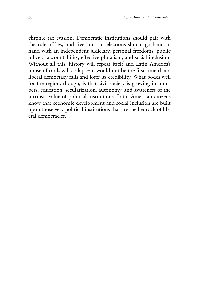chronic tax evasion. Democratic institutions should pair with the rule of law, and free and fair elections should go hand in hand with an independent judiciary, personal freedoms, public officers' accountability, effective pluralism, and social inclusion. Without all this, history will repeat itself and Latin America's house of cards will collapse: it would not be the first time that a liberal democracy fails and loses its credibility. What bodes well for the region, though, is that civil society is growing in numbers, education, secularization, autonomy, and awareness of the intrinsic value of political institutions. Latin American citizens know that economic development and social inclusion are built upon those very political institutions that are the bedrock of liberal democracies.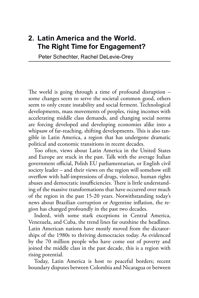## **2. Latin America and the World. The Right Time for Engagement?**

Peter Schechter, Rachel DeLevie-Orey

The world is going through a time of profound disruption – some changes seem to serve the societal common good, others seem to only create instability and social ferment. Technological developments, mass movements of peoples, rising incomes with accelerating middle class demands, and changing social norms are forcing developed and developing economies alike into a whipsaw of far-reaching, shifting developments. This is also tangible in Latin America, a region that has undergone dramatic political and economic transitions in recent decades.

Too often, views about Latin America in the United States and Europe are stuck in the past. Talk with the average Italian government official, Polish EU parliamentarian, or English civil society leader – and their views on the region will somehow still overflow with half-impressions of drugs, violence, human rights abuses and democratic insufficiencies. There is little understanding of the massive transformations that have occurred over much of the region in the past 15-20 years. Notwithstanding today's news about Brazilian corruption or Argentine inflation, the region has changed profoundly in the past two decades.

Indeed, with some stark exceptions in Central America, Venezuela, and Cuba, the trend lines far outshine the headlines. Latin American nations have mostly moved from the dictatorships of the 1980s to thriving democracies today. As evidenced by the 70 million people who have come out of poverty and joined the middle class in the past decade, this is a region with rising potential.

Today, Latin America is host to peaceful borders; recent boundary disputes between Colombia and Nicaragua or between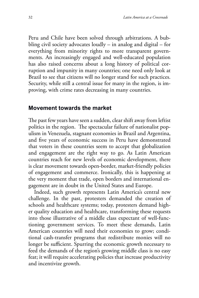Peru and Chile have been solved through arbitrations. A bubbling civil society advocates loudly – in analog and digital – for everything from minority rights to more transparent governments. An increasingly engaged and well-educated population has also raised concerns about a long history of political corruption and impunity in many countries; one need only look at Brazil to see that citizens will no longer stand for such practices. Security, while still a central issue for many in the region, is improving, with crime rates decreasing in many countries.

#### **Movement towards the market**

The past few years have seen a sudden, clear shift away from leftist politics in the region. The spectacular failure of nationalist populism in Venezuela, stagnant economies in Brazil and Argentina, and five years of economic success in Peru have demonstrated that voters in these countries seem to accept that globalization and engagement are the right way to go. As Latin American countries reach for new levels of economic development, there is clear movement towards open-border, market-friendly policies of engagement and commerce. Ironically, this is happening at the very moment that trade, open borders and international engagement are in doubt in the United States and Europe.

Indeed, such growth represents Latin America's central new challenge. In the past, protesters demanded the creation of schools and healthcare systems; today, protesters demand higher quality education and healthcare, transforming these requests into those illustrative of a middle class expectant of well-functioning government services. To meet these demands, Latin American countries will need their economies to grow; conditional cash-transfer programs that redistribute monies will no longer be sufficient. Spurring the economic growth necessary to feed the demands of the region's growing middle class is no easy feat; it will require accelerating policies that increase productivity and incentivize growth.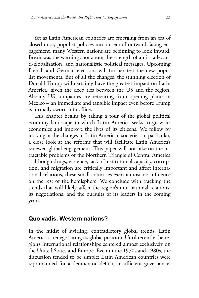Yet as Latin American countries are emerging from an era of closed-door, populist policies into an era of outward-facing engagement, many Western nations are beginning to look inward. Brexit was the warning shot about the strength of anti-trade, anti-globalization, and nationalistic political messages. Upcoming French and German elections will further test the new populist movements. But of all the changes, the stunning election of Donald Trump will certainly have the greatest impact on Latin America, given the deep ties between the US and the region. Already US companies are retreating from opening plants in Mexico – an immediate and tangible impact even before Trump is formally sworn into office.

This chapter begins by taking a tour of the global political economy landscape in which Latin America seeks to grow its economies and improve the lives of its citizens. We follow by looking at the changes in Latin American societies; in particular, a close look at the reforms that will facilitate Latin America's renewed global engagement. This paper will not take on the intractable problems of the Northern Triangle of Central America – although drugs, violence, lack of institutional capacity, corruption, and migration are critically important and affect international relations, these small countries exert almost no influence on the rest of the hemisphere. We conclude with tracking the trends that will likely affect the region's international relations, its negotiations, and the pursuits of its leaders in the coming years.

#### **Quo vadis, Western nations?**

In the midst of swirling, contradictory global trends, Latin America is renegotiating its global position. Until recently the region's international relationships centered almost exclusively on the United States and Europe. Even in the 1970s and 1980s, the discussion tended to be simple: Latin American countries were reprimanded for a democratic deficit, insufficient governance,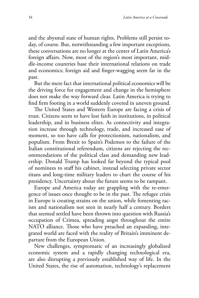and the abysmal state of human rights. Problems still persist today, of course. But, notwithstanding a few important exceptions, these conversations are no longer at the center of Latin America's foreign affairs. Now, most of the region's most important, middle-income countries base their international relations on trade and economics; foreign aid and finger-wagging seem far in the past.

But the mere fact that international political economics will be the driving force for engagement and change in the hemisphere does not make the way forward clear. Latin America is trying to find firm footing in a world suddenly covered in uneven ground.

The United States and Western Europe are facing a crisis of trust. Citizens seem to have lost faith in institutions, in political leadership, and in business elites. As connectivity and integration increase through technology, trade, and increased ease of moment, so too have calls for protectionism, nationalism, and populism. From Brexit to Spain's Podemos to the failure of the Italian constitutional referendum, citizens are rejecting the recommendations of the political class and demanding new leadership. Donald Trump has looked far beyond the typical pool of nominees to staff his cabinet, instead selecting private sector titans and long-time military leaders to chart the course of his presidency. Uncertainty about the future seems to be rampant.

Europe and America today are grappling with the re-emergence of issues once thought to be in the past. The refugee crisis in Europe is creating strains on the union, while fomenting racism and nationalism not seen in nearly half a century. Borders that seemed settled have been thrown into question with Russia's occupation of Crimea, spreading angst throughout the entire NATO alliance. Those who have preached an expanding, integrated world are faced with the reality of Britain's imminent departure from the European Union.

New challenges, symptomatic of an increasingly globalized economic system and a rapidly changing technological era, are also disrupting a previously established way of life. In the United States, the rise of automation, technology's replacement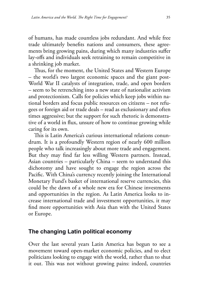of humans, has made countless jobs redundant. And while free trade ultimately benefits nations and consumers, these agreements bring growing pains, during which many industries suffer lay-offs and individuals seek retraining to remain competitive in a shrinking job market.

Thus, for the moment, the United States and Western Europe – the world's two largest economic spaces and the giant post-World War II catalysts of integration, trade, and open borders – seem to be retrenching into a new state of nationalist activism and protectionism. Calls for policies which keep jobs within national borders and focus public resources on citizens – not refugees or foreign aid or trade deals – read as exclusionary and often times aggressive; but the support for such rhetoric is demonstrative of a world in flux, unsure of how to continue growing while caring for its own.

This is Latin America's curious international relations conundrum. It is a profoundly Western region of nearly 600 million people who talk increasingly about more trade and engagement. But they may find far less willing Western partners. Instead, Asian countries – particularly China – seem to understand this dichotomy and have sought to engage the region across the Pacific. With China's currency recently joining the International Monetary Fund's basket of international reserve currencies, this could be the dawn of a whole new era for Chinese investments and opportunities in the region. As Latin America looks to increase international trade and investment opportunities, it may find more opportunities with Asia than with the United States or Europe.

#### **The changing Latin political economy**

Over the last several years Latin America has begun to see a movement toward open-market economic policies, and to elect politicians looking to engage with the world, rather than to shut it out. This was not without growing pains: indeed, countries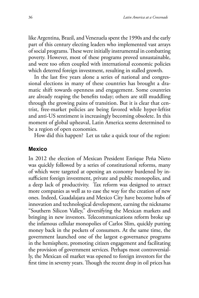like Argentina, Brazil, and Venezuela spent the 1990s and the early part of this century electing leaders who implemented vast arrays of social programs. These were initially instrumental in combatting poverty. However, most of these programs proved unsustainable, and were too often coupled with international economic policies which deterred foreign investment, resulting in stalled growth.

In the last five years alone a series of national and congressional elections in many of these countries has brought a dramatic shift towards openness and engagement. Some countries are already reaping the benefits today; others are still muddling through the growing pains of transition. But it is clear that centrist, free-market policies are being favored while hyper-leftist and anti-US sentiment is increasingly becoming obsolete. In this moment of global upheaval, Latin America seems determined to be a region of open economies.

How did this happen? Let us take a quick tour of the region:

#### **Mexico**

In 2012 the election of Mexican President Enrique Peña Nieto was quickly followed by a series of constitutional reforms, many of which were targeted at opening an economy burdened by insufficient foreign investment, private and public monopolies, and a deep lack of productivity. Tax reform was designed to attract more companies as well as to ease the way for the creation of new ones. Indeed, Guadalajara and Mexico City have become hubs of innovation and technological development, earning the nickname "Southern Silicon Valley," diversifying the Mexican markets and bringing in new investors. Telecommunications reform broke up the infamous cellular monopolies of Carlos Slim, quickly putting money back in the pockets of consumers. At the same time, the government launched one of the largest e-governance programs in the hemisphere, promoting citizen engagement and facilitating the provision of government services. Perhaps most controversially, the Mexican oil market was opened to foreign investors for the first time in seventy years. Though the recent drop in oil prices has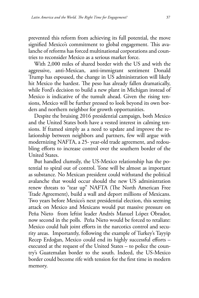prevented this reform from achieving its full potential, the move signified Mexico's commitment to global engagement. This avalanche of reforms has forced multinational corporations and countries to reconsider Mexico as a serious market force.

With 2,000 miles of shared border with the US and with the aggressive, anti-Mexican, anti-immigrant sentiment Donald Trump has espoused, the change in US administration will likely hit Mexico the hardest. The peso has already fallen dramatically, while Ford's decision to build a new plant in Michigan instead of Mexico is indicative of the tumult ahead. Given the rising tensions, Mexico will be further pressed to look beyond its own borders and northern neighbor for growth opportunities.

Despite the bruising 2016 presidential campaign, both Mexico and the United States both have a vested interest in calming tensions. If framed simply as a need to update and improve the relationship between neighbors and partners, few will argue with modernizing NAFTA, a 25- year-old trade agreement, and redoubling efforts to increase control over the southern border of the United States.

But handled clumsily, the US-Mexico relationship has the potential to spiral out of control. Tone will be almost as important as substance. No Mexican president could withstand the political avalanche that would occur should the new US administration renew threats to "tear up" NAFTA (The North American Free Trade Agreement), build a wall and deport millions of Mexicans. Two years before Mexico's next presidential election, this seeming attack on Mexico and Mexicans would put massive pressure on Peña Nieto from leftist leader Andrés Manuel López Obrador, now second in the polls. Peña Nieto would be forced to retaliate: Mexico could halt joint efforts in the narcotics control and security areas. Importantly, following the example of Turkey's Tayyip Recep Erdoğan, Mexico could end its highly successful efforts – executed at the request of the United States – to police the country's Guatemalan border to the south. Indeed, the US-Mexico border could become rife with tension for the first time in modern memory.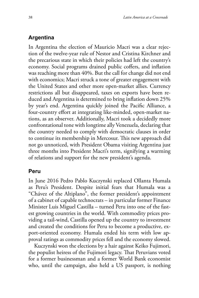# **Argentina**

In Argentina the election of Mauricio Macri was a clear rejection of the twelve-year rule of Nestor and Cristina Kirchner and the precarious state in which their policies had left the country's economy. Social programs drained public coffers, and inflation was reaching more than 40%. But the call for change did not end with economics; Macri struck a tone of greater engagement with the United States and other more open-market allies. Currency restrictions all but disappeared, taxes on exports have been reduced and Argentina is determined to bring inflation down 25% by year's end. Argentina quickly joined the Pacific Alliance, a four-country effort at integrating like-minded, open-market nations, as an observer. Additionally, Macri took a decidedly more confrontational tone with longtime ally Venezuela, declaring that the country needed to comply with democratic clauses in order to continue its membership in Mercosur. This new approach did not go unnoticed, with President Obama visiting Argentina just three months into President Macri's term, signifying a warming of relations and support for the new president's agenda.

## **Peru**

In June 2016 Pedro Pablo Kuczynski replaced Ollanta Humala as Peru's President. Despite initial fears that Humala was a "Chávez of the Altiplano", the former president's appointment of a cabinet of capable technocrats – in particular former Finance Minister Luis Miguel Castilla – turned Peru into one of the fastest growing countries in the world. With commodity prices providing a tail-wind, Castilla opened up the country to investment and created the conditions for Peru to become a productive, export-oriented economy. Humala ended his term with low approval ratings as commodity prices fell and the economy slowed.

Kuczynski won the elections by a hair against Keiko Fujimori, the populist heiress of the Fujimori legacy. That Peruvians voted for a former businessman and a former World Bank economist who, until the campaign, also held a US passport, is nothing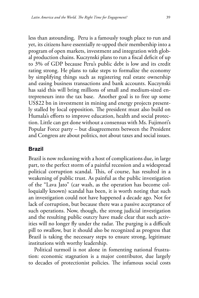less than astounding. Peru is a famously tough place to run and yet, its citizens have essentially re-upped their membership into a program of open markets, investment and integration with global production chains. Kuczynski plans to run a fiscal deficit of up to 3% of GDP because Peru's public debt is low and its credit rating strong. He plans to take steps to formalize the economy by simplifying things such as registering real estate ownership and easing business transactions and bank accounts. Kuczynski has said this will bring millions of small and medium-sized entrepreneurs into the tax base. Another goal is to free up some US\$22 bn in investment in mining and energy projects presently stalled by local opposition. The president must also build on Humala's efforts to improve education, health and social protection. Little can get done without a consensus with Ms. Fujimori's Popular Force party – but disagreements between the President and Congress are about politics, not about taxes and social issues.

#### **Brazil**

Brazil is now reckoning with a host of complications due, in large part, to the perfect storm of a painful recession and a widespread political corruption scandal. This, of course, has resulted in a weakening of public trust. As painful as the public investigation of the "Lava Jato" (car wash, as the operation has become colloquially known) scandal has been, it is worth noting that such an investigation could not have happened a decade ago. Not for lack of corruption, but because there was a passive acceptance of such operations. Now, though, the strong judicial investigation and the resulting public outcry have made clear that such activities will no longer fly under the radar. The purging is a difficult pill to swallow, but it should also be recognized as progress that Brazil is taking the necessary steps to ensure strong, legitimate institutions with worthy leadership.

Political turmoil is not alone in fomenting national frustration: economic stagnation is a major contributor, due largely to decades of protectionist policies. The infamous social costs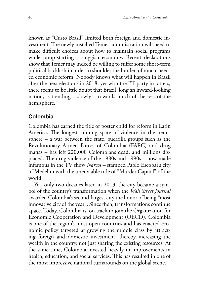known as "Custo Brasil" limited both foreign and domestic investment. The newly installed Temer administration will need to make difficult choices about how to maintain social programs while jump-starting a sluggish economy. Recent declarations show that Temer may indeed be willing to suffer some short-term political backlash in order to shoulder the burden of much-needed economic reform. Nobody knows what will happen in Brazil after the next elections in 2018; yet with the PT party in tatters, there seems to be little doubt that Brazil, long an inward-looking nation, is trending – slowly – towards much of the rest of the hemisphere.

# **Colombia**

Colombia has earned the title of poster child for reform in Latin America. The longest-running spate of violence in the hemisphere – a war between the state, guerrilla groups such as the Revolutionary Armed Forces of Colombia (FARC) and drug mafias – has left 220,000 Colombians dead, and millions displaced. The drug violence of the 1980s and 1990s – now made infamous in the TV show *Narcos –* stamped Pablo Escobar's city of Medellin with the unenviable title of "Murder Capital" of the world.

Yet, only two decades later, in 2013, the city became a symbol of the country's transformation when the *Wall Street Journal*  awarded Colombia's second-largest city the honor of being "most innovative city of the year". Since then, transformations continue apace. Today, Colombia is on track to join the Organization for Economic Cooperation and Development (OECD). Colombia is one of the region's most open countries and has enacted economic policy targeted at growing the middle class by attracting foreign and domestic investment, thereby increasing the wealth in the country, not just sharing the existing resources. At the same time, Colombia invested heavily in improvements in health, education, and social services. This has resulted in one of the most impressive national turnarounds on the global scene.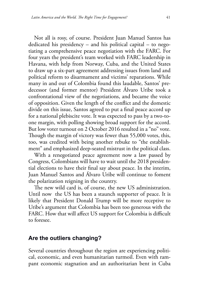Not all is rosy, of course. President Juan Manuel Santos has dedicated his presidency – and his political capital – to negotiating a comprehensive peace negotiation with the FARC. For four years the president's team worked with FARC leadership in Havana, with help from Norway, Cuba, and the United States to draw up a six-part agreement addressing issues from land and political reform to disarmament and victims' reparations. While many in and out of Colombia found this laudable, Santos' predecessor (and former mentor) President Álvaro Uribe took a confrontational view of the negotiations, and became the voice of opposition. Given the length of the conflict and the domestic divide on this issue, Santos agreed to put a final peace accord up for a national plebiscite vote. It was expected to pass by a two-toone margin, with polling showing broad support for the accord. But low voter turnout on 2 October 2016 resulted in a "no" vote. Though the margin of victory was fewer than 55,000 votes, this, too, was credited with being another rebuke to "the establishment" and emphasized deep-seated mistrust in the political class.

With a renegotiated peace agreement now a law passed by Congress, Colombians will have to wait until the 2018 presidential elections to have their final say about peace. In the interim, Juan Manuel Santos and Álvaro Uribe will continue to foment the polarization reigning in the country.

The new wild card is, of course, the new US administration. Until now the US has been a staunch supporter of peace. It is likely that President Donald Trump will be more receptive to Uribe's argument that Colombia has been too generous with the FARC. How that will affect US support for Colombia is difficult to foresee.

#### **Are the outliers changing?**

Several countries throughout the region are experiencing political, economic, and even humanitarian turmoil. Even with rampant economic stagnation and an authoritarian bent in Cuba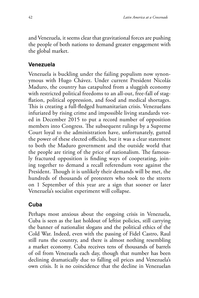and Venezuela, it seems clear that gravitational forces are pushing the people of both nations to demand greater engagement with the global market.

## **Venezuela**

Venezuela is buckling under the failing populism now synonymous with Hugo Chávez. Under current President Nicolás Maduro, the country has catapulted from a sluggish economy with restricted political freedoms to an all-out, free-fall of stagflation, political oppression, and food and medical shortages. This is creating a full-fledged humanitarian crisis. Venezuelans infuriated by rising crime and impossible living standards voted in December 2015 to put a record number of opposition members into Congress. The subsequent rulings by a Supreme Court loyal to the administration have, unfortunately, gutted the power of these elected officials, but it was a clear statement to both the Maduro government and the outside world that the people are tiring of the price of nationalism. The famously fractured opposition is finding ways of cooperating, joining together to demand a recall referendum vote against the President. Though it is unlikely their demands will be met, the hundreds of thousands of protesters who took to the streets on 1 September of this year are a sign that sooner or later Venezuela's socialist experiment will collapse.

# **Cuba**

Perhaps most anxious about the ongoing crisis in Venezuela, Cuba is seen as the last holdout of leftist policies, still carrying the banner of nationalist slogans and the political ethics of the Cold War. Indeed, even with the passing of Fidel Castro, Raul still runs the country, and there is almost nothing resembling a market economy. Cuba receives tens of thousands of barrels of oil from Venezuela each day, though that number has been declining dramatically due to falling oil prices and Venezuela's own crisis. It is no coincidence that the decline in Venezuelan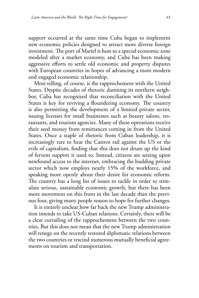support occurred at the same time Cuba began to implement new economic policies designed to attract more diverse foreign investment. The port of Mariel is host to a special economic zone modeled after a market economy, and Cuba has been making aggressive efforts to settle old economic and property disputes with European countries in hopes of advancing a more modern and engaged economic relationship.

Most telling, of course, is the rapprochement with the United States. Despite decades of rhetoric damning its northern neighbor, Cuba has recognized that reconciliation with the United States is key for reviving a floundering economy. The country is also permitting the development of a limited private sector, issuing licenses for small businesses such as beauty salons, restaurants, and tourism agencies. Many of these operations receive their seed money from remittances coming in from the United States. Once a staple of rhetoric from Cuban leadership, it is increasingly rare to hear the Castros rail against the US or the evils of capitalism, finding that this does not drum up the kind of fervent support it used to. Instead, citizens are seizing upon newfound access to the internet, embracing the budding private sector which now employs nearly 15% of the workforce, and speaking more openly about their desire for economic reform. The country has a long list of issues to tackle in order to stimulate serious, sustainable economic growth, but there has been more movement on this front in the last decade than the previous four, giving many people reason to hope for further changes.

It is entirely unclear how far back the new Trump administration intends to take US-Cuban relations. Certainly, there will be a clear curtailing of the rapprochement between the two countries. But this does not mean that the new Trump administration will renege on the recently restored diplomatic relations between the two countries or rescind numerous mutually beneficial agreements on tourism and transportation.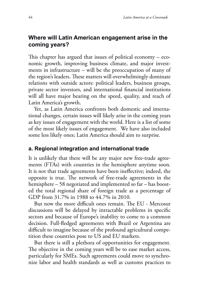# **Where will Latin American engagement arise in the coming years?**

This chapter has argued that issues of political economy – economic growth, improving business climate, and major investments in infrastructure – will be the preoccupation of many of the region's leaders. These matters will overwhelmingly dominate relations with outside actors: political leaders, business groups, private sector investors, and international financial institutions will all have major bearing on the speed, quality, and reach of Latin America's growth.

Yet, as Latin America confronts both domestic and international changes, certain issues will likely arise in the coming years as key issues of engagement with the world. Here is a list of some of the most likely issues of engagement. We have also included some less likely ones; Latin America should aim to surprise.

#### **a. Regional integration and international trade**

It is unlikely that there will be any major new free-trade agreements (FTAs) with countries in the hemisphere anytime soon. It is not that trade agreements have been ineffective; indeed, the opposite is true. The network of free-trade agreements in the hemisphere – 58 negotiated and implemented so far – has boosted the total regional share of foreign trade as a percentage of GDP from 31.7% in 1988 to 44.7% in 2010.

But now the more difficult ones remain. The EU - Mercosur discussions will be delayed by intractable problems in specific sectors and because of Europe's inability to come to a common decision. Full-fledged agreements with Brazil or Argentina are difficult to imagine because of the profound agricultural competition these countries pose to US and EU markets.

But there is still a plethora of opportunities for engagement. The objective in the coming years will be to ease market access, particularly for SMEs. Such agreements could move to synchronize labor and health standards as well as customs practices to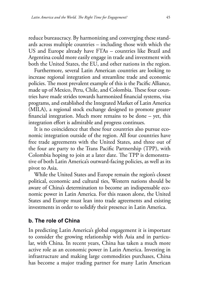reduce bureaucracy. By harmonizing and converging these standards across multiple countries – including those with which the US and Europe already have FTAs – countries like Brazil and Argentina could more easily engage in trade and investment with both the United States, the EU, and other nations in the region.

Furthermore, several Latin American countries are looking to increase regional integration and streamline trade and economic policies. The most prevalent example of this is the Pacific Alliance, made up of Mexico, Peru, Chile, and Colombia. These four countries have made strides towards harmonized financial systems, visa programs, and established the Integrated Market of Latin America (MILA), a regional stock exchange designed to promote greater financial integration. Much more remains to be done – yet, this integration effort is admirable and progress continues.

It is no coincidence that these four countries also pursue economic integration outside of the region. All four countries have free trade agreements with the United States, and three out of the four are party to the Trans Pacific Partnership (TPP), with Colombia hoping to join at a later date. The TPP is demonstrative of both Latin America's outward-facing policies, as well as its pivot to Asia.

While the United States and Europe remain the region's closest political, economic and cultural ties, Western nations should be aware of China's determination to become an indispensable economic power in Latin America. For this reason alone, the United States and Europe must lean into trade agreements and existing investments in order to solidify their presence in Latin America.

#### **b. The role of China**

In predicting Latin America's global engagement it is important to consider the growing relationship with Asia and in particular, with China. In recent years, China has taken a much more active role as an economic power in Latin America. Investing in infrastructure and making large commodities purchases, China has become a major trading partner for many Latin American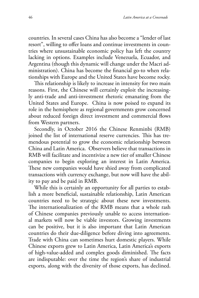countries. In several cases China has also become a "lender of last resort", willing to offer loans and continue investments in countries where unsustainable economic policy has left the country lacking in options. Examples include Venezuela, Ecuador, and Argentina (though this dynamic will change under the Macri administration). China has become the financial go-to when relationships with Europe and the United States have become rocky.

This relationship is likely to increase in intensity for two main reasons. First, the Chinese will certainly exploit the increasingly anti-trade and anti-investment rhetoric emanating from the United States and Europe. China is now poised to expand its role in the hemisphere as regional governments grow concerned about reduced foreign direct investment and commercial flows from Western partners.

Secondly, in October 2016 the Chinese Renminbi (RMB) joined the list of international reserve currencies. This has tremendous potential to grow the economic relationship between China and Latin America. Observers believe that transactions in RMB will facilitate and incentivize a new tier of smaller Chinese companies to begin exploring an interest in Latin America. These new companies would have shied away from complicated transactions with currency exchange, but now will have the ability to pay and be paid in RMB.

While this is certainly an opportunity for all parties to establish a more beneficial, sustainable relationship, Latin American countries need to be strategic about these new investments. The internationalization of the RMB means that a whole rash of Chinese companies previously unable to access international markets will now be viable investors. Growing investments can be positive, but it is also important that Latin American countries do their due-diligence before diving into agreements. Trade with China can sometimes hurt domestic players. While Chinese exports grew to Latin America, Latin America's exports of high-value-added and complex goods diminished. The facts are indisputable: over the time the region's share of industrial exports, along with the diversity of those exports, has declined.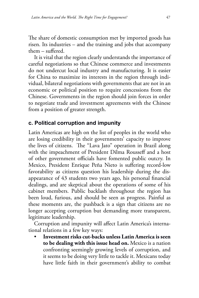The share of domestic consumption met by imported goods has risen. Its industries – and the training and jobs that accompany them – suffered.

It is vital that the region clearly understands the importance of careful negotiations so that Chinese commerce and investments do not undercut local industry and manufacturing. It is easier for China to maximize its interests in the region through individual, bilateral negotiations with governments that are not in an economic or political position to require concessions from the Chinese. Governments in the region should join forces in order to negotiate trade and investment agreements with the Chinese from a position of greater strength.

# **c. Political corruption and impunity**

Latin Americas are high on the list of peoples in the world who are losing credibility in their governments' capacity to improve the lives of citizens. The "Lava Jato" operation in Brazil along with the impeachment of President Dilma Rousseff and a host of other government officials have fomented public outcry. In Mexico, President Enrique Peña Nieto is suffering record-low favorability as citizens question his leadership during the disappearance of 43 students two years ago, his personal financial dealings, and are skeptical about the operations of some of his cabinet members. Public backlash throughout the region has been loud, furious, and should be seen as progress. Painful as these moments are, the pushback is a sign that citizens are no longer accepting corruption but demanding more transparent, legitimate leadership.

Corruption and impunity will affect Latin America's international relations in a few key ways:

• **Investment risks cut-backs unless Latin America is seen to be dealing with this issue head on.** Mexico is a nation confronting seemingly growing levels of corruption, and it seems to be doing very little to tackle it. Mexicans today have little faith in their government's ability to combat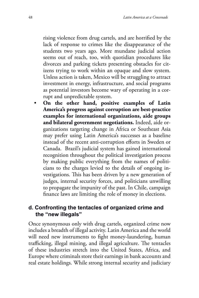rising violence from drug cartels, and are horrified by the lack of response to crimes like the disappearance of the students two years ago. More mundane judicial action seems out of reach, too, with quotidian procedures like divorces and parking tickets presenting obstacles for citizens trying to work within an opaque and slow system. Unless action is taken, Mexico will be struggling to attract investment in energy, infrastructure, and social programs as potential investors become wary of operating in a corrupt and unpredictable system.

• **On the other hand, positive examples of Latin America's progress against corruption are best-practice examples for international organizations, aide groups and bilateral government negotiations.** Indeed, aide organizations targeting change in Africa or Southeast Asia may prefer using Latin America's successes as a baseline instead of the recent anti-corruption efforts in Sweden or Canada. Brazil's judicial system has gained international recognition throughout the political investigation process by making public everything from the names of politicians to the charges levied to the details of ongoing investigations. This has been driven by a new generation of judges, internal security forces, and politicians unwilling to propagate the impunity of the past. In Chile, campaign finance laws are limiting the role of money in elections.

## **d. Confronting the tentacles of organized crime and the "new illegals"**

Once synonymous only with drug cartels, organized crime now includes a breadth of illegal activity. Latin America and the world will need new instruments to fight money-laundering, human trafficking, illegal mining, and illegal agriculture. The tentacles of these industries stretch into the United States, Africa, and Europe where criminals store their earnings in bank accounts and real estate holdings. While strong internal security and judiciary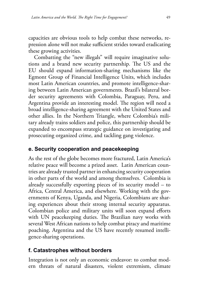capacities are obvious tools to help combat these networks, repression alone will not make sufficient strides toward eradicating these growing activities.

Combatting the "new illegals" will require imaginative solutions and a brand new security partnership. The US and the EU should expand information-sharing mechanisms like the Egmont Group of Financial Intelligence Units, which includes most Latin American countries, and promote intelligence-sharing between Latin American governments. Brazil's bilateral border security agreements with Colombia, Paraguay, Peru, and Argentina provide an interesting model. The region will need a broad intelligence-sharing agreement with the United States and other allies. In the Northern Triangle, where Colombia's military already trains soldiers and police, this partnership should be expanded to encompass strategic guidance on investigating and prosecuting organized crime, and tackling gang violence.

## **e. Security cooperation and peacekeeping**

As the rest of the globe becomes more fractured, Latin America's relative peace will become a prized asset. Latin American countries are already trusted partner in enhancing security cooperation in other parts of the world and among themselves. Colombia is already successfully exporting pieces of its security model – to Africa, Central America, and elsewhere. Working with the governments of Kenya, Uganda, and Nigeria, Colombians are sharing experiences about their strong internal security apparatus. Colombian police and military units will soon expand efforts with UN peacekeeping duties. The Brazilian navy works with several West African nations to help combat piracy and maritime poaching. Argentina and the US have recently resumed intelligence-sharing operations.

## **f. Catastrophes without borders**

Integration is not only an economic endeavor: to combat modern threats of natural disasters, violent extremism, climate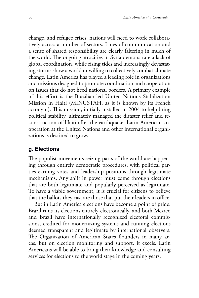change, and refugee crises, nations will need to work collaboratively across a number of sectors. Lines of communication and a sense of shared responsibility are clearly faltering in much of the world. The ongoing atrocities in Syria demonstrate a lack of global coordination, while rising tides and increasingly devastating storms show a world unwilling to collectively combat climate change. Latin America has played a leading role in organizations and missions designed to promote coordination and cooperation on issues that do not heed national borders. A primary example of this effort is the Brazilian-led United Nations Stabilization Mission in Haiti (MINUSTAH, as it is known by its French acronym). This mission, initially installed in 2004 to help bring political stability, ultimately managed the disaster relief and reconstruction of Haiti after the earthquake. Latin American cooperation at the United Nations and other international organizations is destined to grow.

## **g. Elections**

The populist movements seizing parts of the world are happening through entirely democratic procedures, with political parties earning votes and leadership positions through legitimate mechanisms. Any shift in power must come through elections that are both legitimate and popularly perceived as legitimate. To have a viable government, it is crucial for citizens to believe that the ballots they cast are those that put their leaders in office.

But in Latin America elections have become a point of pride. Brazil runs its elections entirely electronically, and both Mexico and Brazil have internationally recognized electoral commissions, credited for modernizing systems and running elections deemed transparent and legitimate by international observers. The Organization of American States flounders in many areas, but on election monitoring and support, it excels. Latin Americans will be able to bring their knowledge and consulting services for elections to the world stage in the coming years.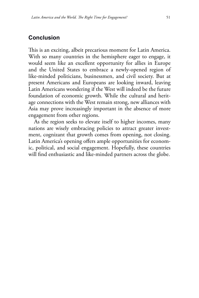#### **Conclusion**

This is an exciting, albeit precarious moment for Latin America. With so many countries in the hemisphere eager to engage, it would seem like an excellent opportunity for allies in Europe and the United States to embrace a newly-opened region of like-minded politicians, businessmen, and civil society. But at present Americans and Europeans are looking inward, leaving Latin Americans wondering if the West will indeed be the future foundation of economic growth. While the cultural and heritage connections with the West remain strong, new alliances with Asia may prove increasingly important in the absence of more engagement from other regions.

As the region seeks to elevate itself to higher incomes, many nations are wisely embracing policies to attract greater investment, cognizant that growth comes from opening, not closing. Latin America's opening offers ample opportunities for economic, political, and social engagement. Hopefully, these countries will find enthusiastic and like-minded partners across the globe.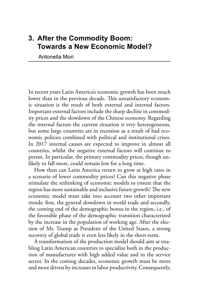# **3. After the Commodity Boom: Towards a New Economic Model?**

Antonella Mori

In recent years Latin America's economic growth has been much lower than in the previous decade. This unsatisfactory economic situation is the result of both external and internal factors. Important external factors include the sharp decline in commodity prices and the slowdown of the Chinese economy. Regarding the internal factors the current situation is very heterogeneous, but some large countries are in recession as a result of bad economic policies combined with political and institutional crises. In 2017 internal causes are expected to improve in almost all countries, whilst the negative external factors will continue to persist. In particular, the primary commodity prices, though unlikely to fall more, could remain low for a long time.

How then can Latin America return to grow at high rates in a scenario of lower commodity prices? Can this negative phase stimulate the rethinking of economic models to ensure that the region has more sustainable and inclusive future growth? The new economic model must take into account two other important trends: first, the general slowdown in world trade and secondly, the coming end of the demographic bonus in the region, i.e., of the favorable phase of the demographic transition characterized by the increase in the population of working age. After the election of Mr. Trump as President of the United States, a strong recovery of global trade is even less likely in the short-term.

A transformation of the production model should aim at enabling Latin American countries to specialize both in the production of manufactures with high added value and in the service sector. In the coming decades, economic growth must be more and more driven by increases in labor productivity. Consequently,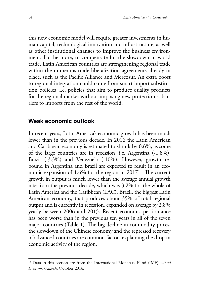this new economic model will require greater investments in human capital, technological innovation and infrastructure, as well as other institutional changes to improve the business environment. Furthermore, to compensate for the slowdown in world trade, Latin American countries are strengthening regional trade within the numerous trade liberalization agreements already in place, such as the Pacific Alliance and Mercosur. An extra boost to regional integration could come from smart import substitution policies, i.e. policies that aim to produce quality products for the regional market without imposing new protectionist barriers to imports from the rest of the world.

#### **Weak economic outlook**

In recent years, Latin America's economic growth has been much lower than in the previous decade. In 2016 the Latin American and Caribbean economy is estimated to shrink by 0.6%, as some of the large countries are in recession, i.e. Argentina (-1.8%), Brazil (-3.3%) and Venezuela (-10%). However, growth rebound in Argentina and Brazil are expected to result in an economic expansion of 1.6% for the region in 201719. The current growth in output is much lower than the average annual growth rate from the previous decade, which was 3.2% for the whole of Latin America and the Caribbean (LAC). Brazil, the biggest Latin American economy, that produces about 35% of total regional output and is currently in recession, expanded on average by 2.8% yearly between 2006 and 2015. Recent economic performance has been worse than in the previous ten years in all of the seven major countries (Table 1). The big decline in commodity prices, the slowdown of the Chinese economy and the repressed recovery of advanced countries are common factors explaining the drop in economic activity of the region.

<sup>19</sup> Data in this section are from the International Monetary Fund (IMF), *World Economic Outlook*, October 2016.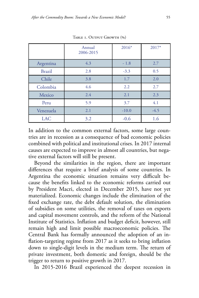|               | Annual<br>2006-2015 | $2016*$ | $2017*$ |
|---------------|---------------------|---------|---------|
| Argentina     | 4.3                 | $-1.8$  | 2.7     |
| <b>Brazil</b> | 2.8                 | $-3.3$  | 0.5     |
| Chile         | 3.8                 | 1.7     | 2.0     |
| Colombia      | 4.6                 | 2.2     | 2.7     |
| Mexico        | 2.4                 | 2.1     | 2.3     |
| Peru          | 5.9                 | 3.7     | 4.1     |
| Venezuela     | 2.1                 | $-10.0$ | $-4.5$  |
| <b>LAC</b>    | 3.2                 | $-0.6$  | 1.6     |

Table 1. Output Growth (%)

In addition to the common external factors, some large countries are in recession as a consequence of bad economic policies combined with political and institutional crises. In 2017 internal causes are expected to improve in almost all countries, but negative external factors will still be present.

Beyond the similarities in the region, there are important differences that require a brief analysis of some countries. In Argentina the economic situation remains very difficult because the benefits linked to the economic reforms carried out by President Macri, elected in December 2015, have not yet materialized. Economic changes include the elimination of the fixed exchange rate, the debt default solution, the elimination of subsidies on some utilities, the removal of taxes on exports and capital movement controls, and the reform of the National Institute of Statistics. Inflation and budget deficit, however, still remain high and limit possible macroeconomic policies. The Central Bank has formally announced the adoption of an inflation-targeting regime from 2017 as it seeks to bring inflation down to single-digit levels in the medium term. The return of private investment, both domestic and foreign, should be the trigger to return to positive growth in 2017.

In 2015-2016 Brazil experienced the deepest recession in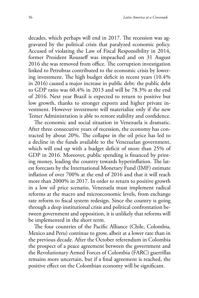decades, which perhaps will end in 2017. The recession was aggravated by the political crisis that paralyzed economic policy. Accused of violating the Law of Fiscal Responsibility in 2014, former President Rousseff was impeached and on 31 August 2016 she was removed from office. The corruption investigation linked to Petrobras contributed to the economic crisis by lowering investment. The high budget deficit in recent years (10.4% in 2016) caused a major increase in public debt: the public debt to GDP ratio was 60.4% in 2013 and will be 78.3% at the end of 2016. Next year Brazil is expected to return to positive but low growth, thanks to stronger exports and higher private investment. However investment will materialize only if the new Temer Administration is able to restore stability and confidence.

The economic and social situation in Venezuela is dramatic. After three consecutive years of recession, the economy has contracted by about 20%. The collapse in the oil price has led to a decline in the funds available to the Venezuelan government, which will end up with a budget deficit of more than 25% of GDP in 2016. Moreover, public spending is financed by printing money, leading the country towards hyperinflation. The latest forecasts by the International Monetary Fund (IMF) estimate inflation of over 700% at the end of 2016 and that it will reach more than 2000% in 2017. In order to return to positive growth in a low oil price scenario, Venezuela must implement radical reforms at the macro and microeconomic levels, from exchange rate reform to fiscal system redesign. Since the country is going through a deep institutional crisis and political confrontation between government and opposition, it is unlikely that reforms will be implemented in the short term.

The four countries of the Pacific Alliance (Chile, Colombia, Mexico and Peru) continue to grow, albeit at a lower rate than in the previous decade. After the October referendum in Colombia the prospect of a peace agreement between the government and the Revolutionary Armed Forces of Colombia (FARC) guerrillas remains more uncertain, but if a final agreement is reached, the positive effect on the Colombian economy will be significant.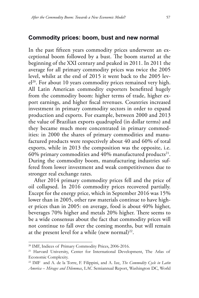#### **Commodity prices: boom, bust and new normal**

In the past fifteen years commodity prices underwent an exceptional boom followed by a bust. The boom started at the beginning of the XXI century and peaked in 2011. In 2011 the average for all primary commodity prices was twice the 2005 level, whilst at the end of 2015 it went back to the 2005 lev $el^{20}$ . For about 10 years commodity prices remained very high. All Latin American commodity exporters benefitted hugely from the commodity boom: higher terms of trade, higher export earnings, and higher fiscal revenues. Countries increased investment in primary commodity sectors in order to expand production and exports. For example, between 2000 and 2013 the value of Brazilian exports quadrupled (in dollar terms) and they became much more concentrated in primary commodities: in 2000 the shares of primary commodities and manufactured products were respectively about 40 and 60% of total exports, while in 2013 the composition was the opposite, i.e. 60% primary commodities and  $40\%$  manufactured products<sup>21</sup>. During the commodity boom, manufacturing industries suffered from lower investment and weak competitiveness due to stronger real exchange rates.

After 2014 primary commodity prices fell and the price of oil collapsed. In 2016 commodity prices recovered partially. Except for the energy price, which in September 2016 was 15% lower than in 2005, other raw materials continue to have higher prices than in 2005: on average, food is about 40% higher, beverages 70% higher and metals 20% higher. There seems to be a wide consensus about the fact that commodity prices will not continue to fall over the coming months, but will remain at the present level for a while (new normal) $^{22}$ .

<sup>20</sup> IMF, Indices of Primary Commodity Prices, 2006-2016.

<sup>&</sup>lt;sup>21</sup> Harvard University, Center for International Development, The Atlas of Economic Complexity.

<sup>22</sup> IMF and A. de la Torre, F. Filippini, and A. Ize, *The Commodity Cycle in Latin America – Mirages and Dilemmas*, LAC Semiannual Report, Washington DC, World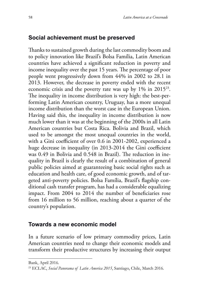## **Social achievement must be preserved**

Thanks to sustained growth during the last commodity boom and to policy innovation like Brazil's Bolsa Família, Latin American countries have achieved a significant reduction in poverty and income inequality over the past 15 years. The percentage of poor people went progressively down from 44% in 2002 to 28.1 in 2013. However, the decrease in poverty ended with the recent economic crisis and the poverty rate was up by 1% in 2015<sup>23</sup>. The inequality in income distribution is very high: the best-performing Latin American country, Uruguay, has a more unequal income distribution than the worst case in the European Union. Having said this, the inequality in income distribution is now much lower than it was at the beginning of the 2000s in all Latin American countries but Costa Rica. Bolivia and Brazil, which used to be amongst the most unequal countries in the world, with a Gini coefficient of over 0.6 in 2001-2002, experienced a huge decrease in inequality (in 2013-2014 the Gini coefficient was 0.49 in Bolivia and 0.548 in Brazil). The reduction in inequality in Brazil is clearly the result of a combination of general public policies aimed at guaranteeing basic social rights such as education and health care, of good economic growth, and of targeted anti-poverty policies. Bolsa Família, Brazil's flagship conditional cash transfer program, has had a considerable equalizing impact. From 2004 to 2014 the number of beneficiaries rose from 16 million to 56 million, reaching about a quarter of the country's population.

#### **Towards a new economic model**

In a future scenario of low primary commodity prices, Latin American countries need to change their economic models and transform their productive structures by increasing their output

Bank, April 2016.

<sup>23</sup> ECLAC, *Social Panorama of Latin America 2015*, Santiago, Chile, March 2016.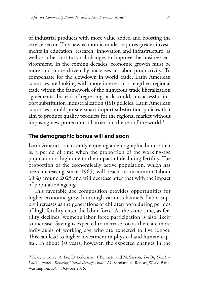of industrial products with more value added and boosting the service sector. This new economic model requires greater investments in education, research, innovation and infrastructure, as well as other institutional changes to improve the business environment. In the coming decades, economic growth must be more and more driven by increases in labor productivity. To compensate for the slowdown in world trade, Latin American countries are looking with more interest to strengthen regional trade within the framework of the numerous trade liberalization agreements. Instead of regressing back to old, unsuccessful import substitution industrialization (ISI) policies, Latin American countries should pursue smart import substitution policies that aim to produce quality products for the regional market without imposing new protectionist barriers on the rest of the world<sup>24</sup>.

#### **The demographic bonus will end soon**

Latin America is currently enjoying a demographic bonus: that is, a period of time when the proportion of the working-age population is high due to the impact of declining fertility. The proportion of the economically active population, which has been increasing since 1965, will reach its maximum (about 60%) around 2025 and will decrease after that with the impact of population ageing.

This favorable age composition provides opportunities for higher economic growth through various channels. Labor supply increases as the generations of children born during periods of high fertility enter the labor force. At the same time, as fertility declines, women's labor force participation is also likely to increase. Saving is expected to increase too as there are more individuals of working age who are expected to live longer. This can lead to higher investment in physical and human capital. In about 10 years, however, the expected changes in the

<sup>24</sup> A. de la Torre, A. Ize, D. Lederman, F.Bennett, and M. Sasson, *The Big Switch in Latin America - Restoring Growth through Trade* LAC Semiannual Report, World Bank, Washington, DC., October 2016.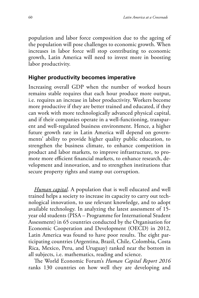population and labor force composition due to the ageing of the population will pose challenges to economic growth. When increases in labor force will stop contributing to economic growth, Latin America will need to invest more in boosting labor productivity.

### **Higher productivity becomes imperative**

Increasing overall GDP when the number of worked hours remains stable requires that each hour produce more output, i.e. requires an increase in labor productivity. Workers become more productive if they are better trained and educated, if they can work with more technologically advanced physical capital, and if their companies operate in a well-functioning, transparent and well-regulated business environment. Hence, a higher future growth rate in Latin America will depend on governments' ability to provide higher quality public education, to strengthen the business climate, to enhance competition in product and labor markets, to improve infrastructure, to promote more efficient financial markets, to enhance research, development and innovation, and to strengthen institutions that secure property rights and stamp out corruption.

*Human capital*. A population that is well educated and well trained helps a society to increase its capacity to carry out technological innovation, to use relevant knowledge, and to adopt available technology. In analyzing the latest assessment of 15 year old students (PISA – Programme for International Student Assessment) in 65 countries conducted by the Organisation for Economic Cooperation and Development (OECD) in 2012, Latin America was found to have poor results. The eight participating countries (Argentina, Brazil, Chile, Colombia, Costa Rica, Mexico, Peru, and Uruguay) ranked near the bottom in all subjects, i.e. mathematics, reading and science.

The World Economic Forum's *Human Capital Report 2016* ranks 130 countries on how well they are developing and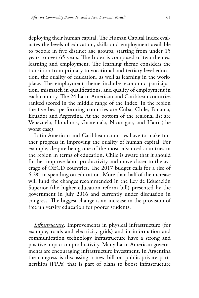deploying their human capital. The Human Capital Index evaluates the levels of education, skills and employment available to people in five distinct age groups, starting from under 15 years to over 65 years. The Index is composed of two themes: learning and employment. The learning theme considers the transition from primary to vocational and tertiary level education, the quality of education, as well as learning in the workplace. The employment theme includes economic participation, mismatch in qualifications, and quality of employment in each country. The 24 Latin American and Caribbean countries ranked scored in the middle range of the Index. In the region the five best-performing countries are Cuba, Chile, Panama, Ecuador and Argentina. At the bottom of the regional list are Venezuela, Honduras, Guatemala, Nicaragua, and Haiti (the worst case).

Latin American and Caribbean countries have to make further progress in improving the quality of human capital. For example, despite being one of the most advanced countries in the region in terms of education, Chile is aware that it should further improve labor productivity and move closer to the average of OECD countries. The 2017 budget calls for a rise of 6.2% in spending on education. More than half of the increase will fund the changes recommended in the Ley de Educación Superior (the higher education reform bill) presented by the government in July 2016 and currently under discussion in congress. The biggest change is an increase in the provision of free university education for poorer students.

*Infrastructure*. Improvements in physical infrastructure (for example, roads and electricity grids) and in information and communication technology infrastructure have a strong and positive impact on productivity. Many Latin American governments are encouraging infrastructure investment. In Argentina the congress is discussing a new bill on public-private partnerships (PPPs) that is part of plans to boost infrastructure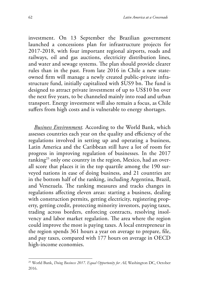investment. On 13 September the Brazilian government launched a concessions plan for infrastructure projects for 2017-2018, with four important regional airports, roads and railways, oil and gas auctions, electricity distribution lines, and water and sewage systems. The plan should provide clearer rules than in the past. From late 2016 in Chile a new stateowned firm will manage a newly created public-private infrastructure fund, initially capitalized with \$US9 bn. The fund is designed to attract private investment of up to US\$10 bn over the next five years, to be channeled mainly into road and urban transport. Energy investment will also remain a focus, as Chile suffers from high costs and is vulnerable to energy shortages.

*Business Environment.* According to the World Bank, which assesses countries each year on the quality and efficiency of the regulations involved in setting up and operating a business, Latin America and the Caribbean still have a lot of room for progress in improving regulation of businesses. In the 2017 ranking<sup>25</sup> only one country in the region, Mexico, had an overall score that places it in the top quartile among the 190 surveyed nations in ease of doing business, and 21 countries are in the bottom half of the ranking, including Argentina, Brazil, and Venezuela. The ranking measures and tracks changes in regulations affecting eleven areas: starting a business, dealing with construction permits, getting electricity, registering property, getting credit, protecting minority investors, paying taxes, trading across borders, enforcing contracts, resolving insolvency and labor market regulation. The area where the region could improve the most is paying taxes. A local entrepreneur in the region spends 361 hours a year on average to prepare, file, and pay taxes, compared with 177 hours on average in OECD high-income economies.

<sup>25</sup> World Bank, *Doing Business 2017. Equal Opportunity for All,* Washington DC, October 2016.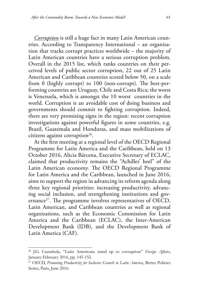*Corruption* is still a huge fact in many Latin American countries. According to Transparency International – an organization that tracks corrupt practices worldwide – the majority of Latin American countries have a serious corruption problem. Overall in the 2015 list, which ranks countries on their perceived levels of public sector corruption, 22 out of 25 Latin American and Caribbean countries scored below 50, on a scale from 0 (highly corrupt) to 100 (non-corrupt). The best-performing countries are Uruguay, Chile and Costa Rica; the worst is Venezuela, which is amongst the 10 worst countries in the world. Corruption is an avoidable cost of doing business and governments should commit to fighting corruption. Indeed, there are very promising signs in the region: recent corruption investigations against powerful figures in some countries, e.g. Brazil, Guatemala and Honduras, and mass mobilizations of citizens against corruption<sup>26</sup>.

At the first meeting at a regional level of the OECD Regional Programme for Latin America and the Caribbean, held on 13 October 2016, Alicia Bárcena, Executive Secretary of ECLAC, claimed that productivity remains the "Achilles' heel" of the Latin American economy. The OECD Regional Programme for Latin America and the Caribbean, launched in June 2016, aims to support the region in advancing its reform agenda along three key regional priorities: increasing productivity, advancing social inclusion, and strengthening institutions and governance<sup>27</sup>. The programme involves representatives of OECD, Latin American, and Caribbean countries as well as regional organizations, such as the Economic Commission for Latin America and the Caribbean (ECLAC), the Inter-American Development Bank (IDB), and the Development Bank of Latin America (CAF).

<sup>26</sup> J.G. Castaňeda, "Latin Americans stand up to corruption" *Foreign Affairs*, January-February 2016, pp. 145-152.

<sup>27</sup> OECD, *Promoting Productivity for Inclusive Growth in Latin America*, Better Policies Series, Paris, June 2016.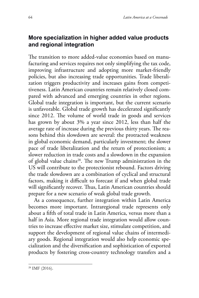# **More specialization in higher added value products and regional integration**

The transition to more added-value economies based on manufacturing and services requires not only simplifying the tax code, improving infrastructure and adopting more market-friendly policies, but also increasing trade opportunities. Trade liberalization triggers productivity and increases gains from competitiveness. Latin American countries remain relatively closed compared with advanced and emerging countries in other regions. Global trade integration is important, but the current scenario is unfavorable. Global trade growth has decelerated significantly since 2012. The volume of world trade in goods and services has grown by about 3% a year since 2012, less than half the average rate of increase during the previous thirty years. The reasons behind this slowdown are several: the protracted weakness in global economic demand, particularly investment; the slower pace of trade liberalization and the return of protectionism; a slower reduction in trade costs and a slowdown in the expansion of global value chains<sup>28</sup>. The new Trump administration in the US will contribute to the protectionist rebound. Factors driving the trade slowdown are a combination of cyclical and structural factors, making it difficult to forecast if and when global trade will significantly recover. Thus, Latin American countries should prepare for a new scenario of weak global trade growth.

As a consequence, further integration within Latin America becomes more important. Intraregional trade represents only about a fifth of total trade in Latin America, versus more than a half in Asia. More regional trade integration would allow countries to increase effective market size, stimulate competition, and support the development of regional value chains of intermediary goods. Regional integration would also help economic specialization and the diversification and sophistication of exported products by fostering cross-country technology transfers and a

<sup>28</sup> IMF (2016).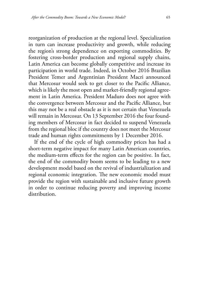reorganization of production at the regional level. Specialization in turn can increase productivity and growth, while reducing the region's strong dependence on exporting commodities. By fostering cross-border production and regional supply chains, Latin America can become globally competitive and increase its participation in world trade. Indeed, in October 2016 Brazilian President Temer and Argentinian President Macri announced that Mercosur would seek to get closer to the Pacific Alliance, which is likely the most open and market-friendly regional agreement in Latin America. President Maduro does not agree with the convergence between Mercosur and the Pacific Alliance, but this may not be a real obstacle as it is not certain that Venezuela will remain in Mercosur. On 13 September 2016 the four founding members of Mercosur in fact decided to suspend Venezuela from the regional bloc if the country does not meet the Mercosur trade and human rights commitments by 1 December 2016.

If the end of the cycle of high commodity prices has had a short-term negative impact for many Latin American countries, the medium-term effects for the region can be positive. In fact, the end of the commodity boom seems to be leading to a new development model based on the revival of industrialization and regional economic integration. The new economic model must provide the region with sustainable and inclusive future growth in order to continue reducing poverty and improving income distribution.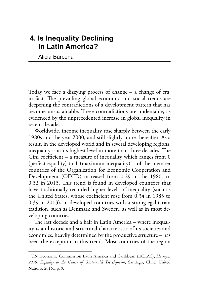# **4. Is Inequality Declining in Latin America?**

Alicia Bárcena

Today we face a dizzying process of change – a change of era, in fact. The prevailing global economic and social trends are deepening the contradictions of a development pattern that has become unsustainable. These contradictions are undeniable, as evidenced by the unprecedented increase in global inequality in recent decades<sup>1</sup>.

Worldwide, income inequality rose sharply between the early 1980s and the year 2000, and still slightly more thereafter. As a result, in the developed world and in several developing regions, inequality is at its highest level in more than three decades. The Gini coefficient – a measure of inequality which ranges from  $0$ (perfect equality) to 1 (maximum inequality) – of the member countries of the Organization for Economic Cooperation and Development (OECD) increased from 0.29 in the 1980s to 0.32 in 2013. This trend is found in developed countries that have traditionally recorded higher levels of inequality (such as the United States, whose coefficient rose from 0.34 in 1985 to 0.39 in 2013), in developed countries with a strong egalitarian tradition, such as Denmark and Sweden, as well as in most developing countries.

The last decade and a half in Latin America – where inequality is an historic and structural characteristic of its societies and economies, heavily determined by the productive structure – has been the exception to this trend. Most countries of the region

<sup>&</sup>lt;sup>1</sup> UN Economic Commission Latin America and Caribbean (ECLAC), *Horizons 2030: Equality at the Centre of Sustainable Development*, Santiago, Chile, United Nations, 2016a, p. 9.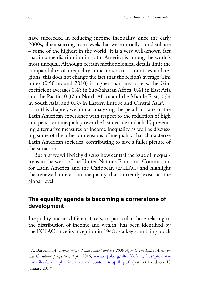have succeeded in reducing income inequality since the early 2000s, albeit starting from levels that were initially – and still are – some of the highest in the world. It is a very well-known fact that income distribution in Latin America is among the world's most unequal. Although certain methodological details limit the comparability of inequality indicators across countries and regions, this does not change the fact that the region's average Gini index (0.50 around 2010) is higher than any other's: the Gini coefficient averages 0.45 in Sub-Saharan Africa, 0.41 in East Asia and the Pacific, 0.37 in North Africa and the Middle East, 0.34 in South Asia, and 0.33 in Eastern Europe and Central Asia2 .

In this chapter, we aim at analyzing the peculiar traits of the Latin American experience with respect to the reduction of high and persistent inequality over the last decade and a half, presenting alternative measures of income inequality as well as discussing some of the other dimensions of inequality that characterize Latin American societies, contributing to give a fuller picture of the situation.

But first we will briefly discuss how central the issue of inequality is in the work of the United Nations Economic Commission for Latin America and the Caribbean (ECLAC) and highlight the renewed interest in inequality that currently exists at the global level.

#### **The equality agenda is becoming a cornerstone of development**

Inequality and its different facets, in particular those relating to the distribution of income and wealth, has been identified by the ECLAC since its inception in 1948 as a key stumbling block

<sup>&</sup>lt;sup>2</sup> A. Bárcena, *A complex international context and the 2030 Agenda The Latin American and Caribbean perspective*, April 2016, [www.cepal.org/sites/default/files/presenta](http://www.cepal.org/sites/default/files/presentation/files/a_complex_international_context_4_april_.pdf)[tion/files/a\\_complex\\_international\\_context\\_4\\_april\\_.pdf](http://www.cepal.org/sites/default/files/presentation/files/a_complex_international_context_4_april_.pdf) (last retrieved on 10 January 2017).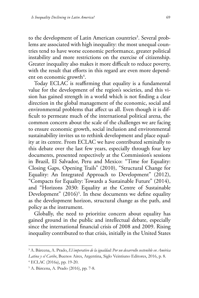to the development of Latin American countries<sup>3</sup>. Several problems are associated with high inequality: the most unequal countries tend to have worse economic performance, greater political instability and more restrictions on the exercise of citizenship. Greater inequality also makes it more difficult to reduce poverty, with the result that efforts in this regard are even more dependent on economic growth<sup>4</sup>.

Today ECLAC is reaffirming that equality is a fundamental value for the development of the region's societies, and this vision has gained strength in a world which is not finding a clear direction in the global management of the economic, social and environmental problems that affect us all. Even though it is difficult to permeate much of the international political arena, the common concern about the scale of the challenges we are facing to ensure economic growth, social inclusion and environmental sustainability invites us to rethink development and place equality at its centre. From ECLAC we have contributed seminally to this debate over the last few years, especially through four key documents, presented respectively at the Commission's sessions in Brazil, El Salvador, Peru and Mexico: "Time for Equality: Closing Gaps, Opening Trails" (2010), "Structural Change for Equality: An Integrated Approach to Development" (2012), "Compacts for Equality: Towards a Sustainable Future" (2014), and "Horizons 2030: Equality at the Centre of Sustainable Development"  $(2016)^5$ . In these documents we define equality as the development horizon, structural change as the path, and policy as the instrument.

Globally, the need to prioritize concern about equality has gained ground in the public and intellectual debate, especially since the international financial crisis of 2008 and 2009. Rising inequality contributed to that crisis, initially in the United States

<sup>3</sup> A. Bárcena, A. Prado, *El imperativo de la igualdad: Por un desarrollo sostenible en América* 

*Latina y el Caribe*, Buenos Aires, Argentina, Siglo Veintiuno Editores, 2016, p. 8. 4 ECLAC (2016a), pp. 19-20.

<sup>5</sup> A. Bárcena, A. Prado (2016), pp. 7-8.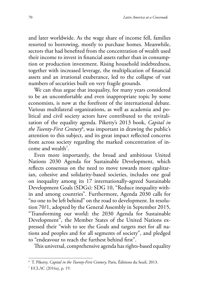and later worldwide. As the wage share of income fell, families resorted to borrowing, mostly to purchase homes. Meanwhile, sectors that had benefited from the concentration of wealth used their income to invest in financial assets rather than in consumption or production investment. Rising household indebtedness, together with increased leverage, the multiplication of financial assets and an irrational exuberance, led to the collapse of vast numbers of securities built on very fragile grounds.

We can thus argue that inequality, for many years considered to be an uncomfortable and even inappropriate topic by some economists, is now at the forefront of the international debate. Various multilateral organizations, as well as academia and political and civil society actors have contributed to the revitalization of the equality agenda. Piketty's 2013 book, *Capital in the Twenty-First Century*<sup>6</sup> , was important in drawing the public's attention to this subject, and its great impact reflected concerns from across society regarding the marked concentration of income and wealth<sup>7</sup>.

Even more importantly, the broad and ambitious United Nations 2030 Agenda for Sustainable Development, which reflects consensus on the need to move towards more egalitarian, cohesive and solidarity-based societies, includes one goal on inequality among its 17 internationally-agreed Sustainable Development Goals (SDGs): SDG 10, "Reduce inequality within and among countries". Furthermore, Agenda 2030 calls for "no one to be left behind" on the road to development. In resolution 70/1, adopted by the General Assembly in September 2015, "Transforming our world: the 2030 Agenda for Sustainable Development", the Member States of the United Nations expressed their "wish to see the Goals and targets met for all nations and peoples and for all segments of society", and pledged to "endeavour to reach the furthest behind first".

This universal, comprehensive agenda has rights-based equality

<sup>6</sup> T. Piketty, *Capital in the Twenty-First Century*, Paris, Éditions du Seuil, 2013.

<sup>7</sup> ECLAC (2016a), p. 19.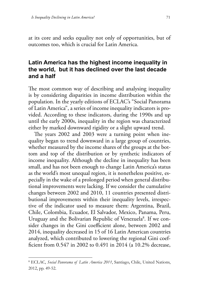at its core and seeks equality not only of opportunities, but of outcomes too, which is crucial for Latin America.

# **Latin America has the highest income inequality in the world, but it has declined over the last decade and a half**

The most common way of describing and analysing inequality is by considering disparities in income distribution within the population. In the yearly editions of ECLAC's "Social Panorama of Latin America", a series of income inequality indicators is provided. According to these indicators, during the 1990s and up until the early 2000s, inequality in the region was characterized either by marked downward rigidity or a slight upward trend.

The years 2002 and 2003 were a turning point when inequality began to trend downward in a large group of countries, whether measured by the income shares of the groups at the bottom and top of the distribution or by synthetic indicators of income inequality. Although the decline in inequality has been small, and has not been enough to change Latin America's status as the world's most unequal region, it is nonetheless positive, especially in the wake of a prolonged period when general distributional improvements were lacking. If we consider the cumulative changes between 2002 and 2010, 11 countries presented distributional improvements within their inequality levels, irrespective of the indicator used to measure them: Argentina, Brazil, Chile, Colombia, Ecuador, El Salvador, Mexico, Panama, Peru, Uruguay and the Bolivarian Republic of Venezuela<sup>8</sup>. If we consider changes in the Gini coefficient alone, between 2002 and 2014, inequality decreased in 15 of 16 Latin American countries analyzed, which contributed to lowering the regional Gini coefficient from 0.547 in 2002 to 0.491 in 2014 (a 10.2% decrease,

<sup>8</sup> ECLAC, *Social Panorama of Latin America 2011*, Santiago, Chile, United Nations, 2012, pp. 49-52.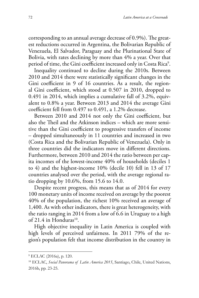corresponding to an annual average decrease of 0.9%). The greatest reductions occurred in Argentina, the Bolivarian Republic of Venezuela, El Salvador, Paraguay and the Plurinational State of Bolivia, with rates declining by more than 4% a year. Over that period of time, the Gini coefficient increased only in Costa Rica $^{\circ}$ .

Inequality continued to decline during the 2010s. Between 2010 and 2014 there were statistically significant changes in the Gini coefficient in 9 of 16 countries. As a result, the regional Gini coefficient, which stood at 0.507 in 2010, dropped to 0.491 in 2014, which implies a cumulative fall of 3.2%, equivalent to 0.8% a year. Between 2013 and 2014 the average Gini coefficient fell from 0.497 to 0.491, a 1.2% decrease.

Between 2010 and 2014 not only the Gini coefficient, but also the Theil and the Atkinson indices – which are more sensitive than the Gini coefficient to progressive transfers of income – dropped simultaneously in 11 countries and increased in two (Costa Rica and the Bolivarian Republic of Venezuela). Only in three countries did the indicators move in different directions. Furthermore, between 2010 and 2014 the ratio between per capita incomes of the lowest-income 40% of households (deciles 1 to 4) and the highest-income 10% (decile 10) fell in 13 of 17 countries analysed over the period, with the average regional ratio dropping by 10.6%, from 15.6 to 14.0.

Despite recent progress, this means that as of 2014 for every 100 monetary units of income received on average by the poorest 40% of the population, the richest 10% received an average of 1,400. As with other indicators, there is great heterogeneity, with the ratio ranging in 2014 from a low of 6.6 in Uruguay to a high of 21.4 in Honduras $10$ .

High objective inequality in Latin America is coupled with high levels of perceived unfairness. In 2011 79% of the region's population felt that income distribution in the country in

<sup>9</sup> ECLAC (2016a), p. 120.

<sup>10</sup> ECLAC, *Social Panorama of Latin America 2015*, Santiago, Chile, United Nations, 2016b, pp. 23-25.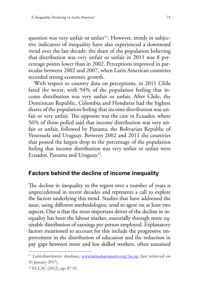question was very unfair or unfair<sup>11</sup>. However, trends in subjective indicators of inequality have also experienced a downward trend over the last decade: the share of the population believing that distribution was very unfair or unfair in 2011 was 8 percentage points lower than in 2002. Perceptions improved in particular between 2002 and 2007, when Latin American countries recorded strong economic growth.

With respect to country data on perceptions, in 2011 Chile fared the worst, with 94% of the population feeling that income distribution was very unfair or unfair. After Chile, the Dominican Republic, Colombia and Honduras had the highest shares of the population feeling that income distribution was unfair or very unfair. The opposite was the case in Ecuador, where 56% of those polled said that income distribution was very unfair or unfair, followed by Panama, the Bolivarian Republic of Venezuela and Uruguay. Between 2002 and 2011 the countries that posted the largest drop in the percentage of the population feeling that income distribution was very unfair or unfair were Ecuador, Panama and Uruguay<sup>12</sup>.

## **Factors behind the decline of income inequality**

The decline in inequality in the region over a number of years is unprecedented in recent decades and represents a call to explore the factors underlying this trend. Studies that have addressed the issue, using different methodologies, tend to agree on at least two aspects. One is that the most important driver of the decline in inequality has been the labour market, essentially through more equitable distribution of earnings per person employed. Explanatory factors mentioned to account for this include the progressive improvement in the distribution of education and the reduction in pay gaps between more and less skilled workers, often sustained

<sup>&</sup>lt;sup>11</sup> Latinobarómetro database, [www.latinobarometro.org/lat.jsp](http://www.latinobarometro.org/lat.jsp) (last retrieved on 10 January 2017).

<sup>12</sup> ECLAC (2012), pp. 87-91.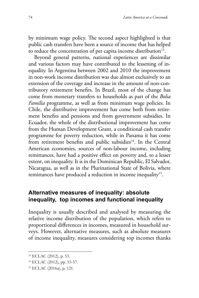by minimum wage policy. The second aspect highlighted is that public cash transfers have been a source of income that has helped to reduce the concentration of per capita income distribution<sup>13</sup>.

Beyond general patterns, national experiences are dissimilar and various factors may have contributed to the lessening of inequality. In Argentina between 2002 and 2010 the improvement in non-work income distribution was due almost exclusively to an extension of the coverage and increase in the amount of non-contributory retirement benefits. In Brazil, most of the change has come from monetary transfers to households as part of the *Bolsa Família* programme, as well as from minimum wage policies. In Chile, the distributive improvement has come both from retirement benefits and pensions and from government subsidies. In Ecuador, the whole of the distributional improvement has come from the Human Development Grant, a conditional cash transfer programme for poverty reduction, while in Panama it has come from retirement benefits and public subsidies<sup>14</sup>. In the Central American economies, sources of non-labour income, including remittances, have had a positive effect on poverty and, to a lesser extent, on inequality. It is in the Dominican Republic, El Salvador, Nicaragua, as well as in the Plurinational State of Bolivia, where remittances have produced a reduction in income inequality<sup>15</sup>.

# **Alternative measures of inequality: absolute inequality, top incomes and functional inequality**

Inequality is usually described and analysed by measuring the relative income distribution of the population, which refers to proportional differences in incomes, measured in household surveys. However, alternative measures, such as absolute measures of income inequality, measures considering top incomes thanks

<sup>13</sup> ECLAC (2012), p. 53.

<sup>14</sup> ECLAC (2012), pp. 53-57.

<sup>15</sup> ECLAC (2016a), p. 121.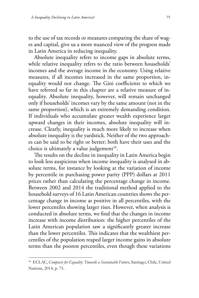to the use of tax records or measures comparing the share of wages and capital, give us a more nuanced view of the progress made in Latin America in reducing inequality.

Absolute inequality refers to income gaps in absolute terms, while relative inequality refers to the ratio between households' incomes and the average income in the economy. Using relative measures, if all incomes increased in the same proportion, inequality would not change. The Gini coefficients to which we have referred so far in this chapter are a relative measure of inequality. Absolute inequality, however, will remain unchanged only if households' incomes vary by the same amount (not in the same proportion), which is an extremely demanding condition. If individuals who accumulate greater wealth experience larger upward changes in their incomes, absolute inequality will increase. Clearly, inequality is much more likely to increase when absolute inequality is the yardstick. Neither of the two approaches can be said to be right or better; both have their uses and the choice is ultimately a value judgement<sup>16</sup>.

The results on the decline in inequality in Latin America begin to look less auspicious when income inequality is analysed in absolute terms, for instance by looking at the variation of income by percentile in purchasing power parity (PPP) dollars at 2011 prices rather than calculating the percentage change in income. Between 2002 and 2014 the traditional method applied to the household surveys of 16 Latin American countries shows the percentage change in income as positive in all percentiles, with the lower percentiles showing larger rises. However, when analysis is conducted in absolute terms, we find that the changes in income increase with income distribution: the higher percentiles of the Latin American population saw a significantly greater increase than the lower percentiles. This indicates that the wealthiest percentiles of the population reaped larger income gains in absolute terms than the poorest percentiles, even though these variations

<sup>16</sup> ECLAC, *Compacts for Equality: Towards a Sustainable Future*, Santiago, Chile, United Nations, 2014, p. 75.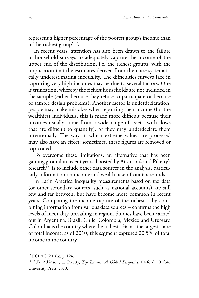represent a higher percentage of the poorest group's income than of the richest group's<sup>17</sup>.

In recent years, attention has also been drawn to the failure of household surveys to adequately capture the income of the upper end of the distribution, i.e. the richest groups, with the implication that the estimates derived from them are systematically underestimating inequality. The difficulties surveys face in capturing very high incomes may be due to several factors. One is truncation, whereby the richest households are not included in the sample (either because they refuse to participate or because of sample design problems). Another factor is underdeclaration: people may make mistakes when reporting their income (for the wealthiest individuals, this is made more difficult because their incomes usually come from a wide range of assets, with flows that are difficult to quantify), or they may underdeclare them intentionally. The way in which extreme values are processed may also have an effect: sometimes, these figures are removed or top-coded.

To overcome these limitations, an alternative that has been gaining ground in recent years, boosted by Atkinson's and Piketty's research<sup>18</sup>, is to include other data sources in the analysis, particularly information on income and wealth taken from tax records.

In Latin America inequality measurements based on tax data (or other secondary sources, such as national accounts) are still few and far between, but have become more common in recent years. Comparing the income capture of the richest – by combining information from various data sources – confirms the high levels of inequality prevailing in region. Studies have been carried out in Argentina, Brazil, Chile, Colombia, Mexico and Uruguay. Colombia is the country where the richest 1% has the largest share of total income: as of 2010, this segment captured 20.5% of total income in the country.

<sup>17</sup> ECLAC (2016a), p. 124.

<sup>18</sup> A.B. Atkinson, T. Piketty, *Top Incomes: A Global Perspective*, Oxford, Oxford University Press, 2010.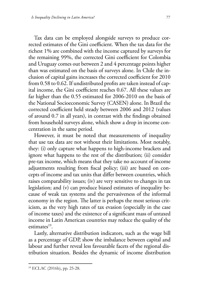Tax data can be employed alongside surveys to produce corrected estimates of the Gini coefficient. When the tax data for the richest 1% are combined with the income captured by surveys for the remaining 99%, the corrected Gini coefficient for Colombia and Uruguay comes out between 2 and 4 percentage points higher than was estimated on the basis of surveys alone. In Chile the inclusion of capital gains increases the corrected coefficient for 2010 from 0.58 to 0.62. If undistributed profits are taken instead of capital income, the Gini coefficient reaches 0.67. All these values are far higher than the 0.55 estimated for 2006-2010 on the basis of the National Socioeconomic Survey (CASEN) alone. In Brazil the corrected coefficient held steady between 2006 and 2012 (values of around 0.7 in all years), in contrast with the findings obtained from household surveys alone, which show a drop in income concentration in the same period.

However, it must be noted that measurements of inequality that use tax data are not without their limitations. Most notably, they: (i) only capture what happens to high-income brackets and ignore what happens to the rest of the distribution; (ii) consider pre-tax income, which means that they take no account of income adjustments resulting from fiscal policy; (iii) are based on concepts of income and tax units that differ between countries, which raises comparability issues; (iv) are very sensitive to changes in tax legislation; and (v) can produce biased estimates of inequality because of weak tax systems and the pervasiveness of the informal economy in the region. The latter is perhaps the most serious criticism, as the very high rates of tax evasion (especially in the case of income taxes) and the existence of a significant mass of untaxed income in Latin American countries may reduce the quality of the estimates $19$ .

Lastly, alternative distribution indicators, such as the wage bill as a percentage of GDP, show the imbalance between capital and labour and further reveal less favourable facets of the regional distribution situation. Besides the dynamic of income distribution

<sup>19</sup> ECLAC (2016b), pp. 25-28.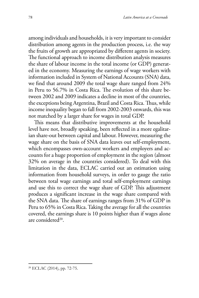among individuals and households, it is very important to consider distribution among agents in the production process, i.e. the way the fruits of growth are appropriated by different agents in society. The functional approach to income distribution analysis measures the share of labour income in the total income (or GDP) generated in the economy. Measuring the earnings of wage workers with information included in System of National Accounts (SNA) data, we find that around 2009 the total wage share ranged from 24% in Peru to 56.7% in Costa Rica. The evolution of this share between 2002 and 2009 indicates a decline in most of the countries, the exceptions being Argentina, Brazil and Costa Rica. Thus, while income inequality began to fall from 2002-2003 onwards, this was not matched by a larger share for wages in total GDP.

This means that distributive improvements at the household level have not, broadly speaking, been reflected in a more egalitarian share-out between capital and labour. However, measuring the wage share on the basis of SNA data leaves out self-employment, which encompasses own-account workers and employers and accounts for a huge proportion of employment in the region (almost 32% on average in the countries considered). To deal with this limitation in the data, ECLAC carried out an estimation using information from household surveys, in order to gauge the ratio between total wage earnings and total self-employment earnings and use this to correct the wage share of GDP. This adjustment produces a significant increase in the wage share compared with the SNA data. The share of earnings ranges from 31% of GDP in Peru to 65% in Costa Rica. Taking the average for all the countries covered, the earnings share is 10 points higher than if wages alone are considered20.

<sup>20</sup> ECLAC (2014), pp. 72-75.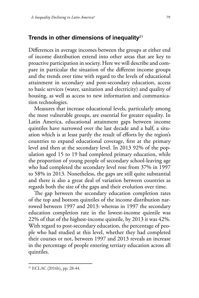#### **Trends in other dimensions of inequality**<sup>21</sup>

Differences in average incomes between the groups at either end of income distribution extend into other areas that are key to proactive participation in society. Here we will describe and compare in particular the situation of the different income groups and the trends over time with regard to the levels of educational attainment in secondary and post-secondary education, access to basic services (water, sanitation and electricity) and quality of housing, as well as access to new information and communication technologies.

Measures that increase educational levels, particularly among the most vulnerable groups, are essential for greater equality. In Latin America, educational attainment gaps between income quintiles have narrowed over the last decade and a half, a situation which is at least partly the result of efforts by the region's countries to expand educational coverage, first at the primary level and then at the secondary level. In 2013 92% of the population aged 15 to 19 had completed primary education, while the proportion of young people of secondary school-leaving age who had completed the secondary level rose from 37% in 1997 to 58% in 2013. Nonetheless, the gaps are still quite substantial and there is also a great deal of variation between countries as regards both the size of the gaps and their evolution over time.

The gap between the secondary education completion rates of the top and bottom quintiles of the income distribution narrowed between 1997 and 2013: whereas in 1997 the secondary education completion rate in the lowest-income quintile was 22% of that of the highest-income quintile, by 2013 it was 42%. With regard to post-secondary education, the percentage of people who had studied at this level, whether they had completed their courses or not, between 1997 and 2013 reveals an increase in the percentage of people entering tertiary education across all quintiles.

 $21$  ECLAC (2016b), pp. 28-44.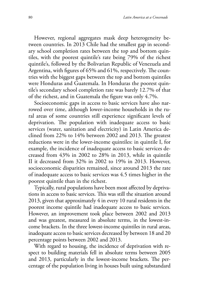However, regional aggregates mask deep heterogeneity between countries. In 2013 Chile had the smallest gap in secondary school completion rates between the top and bottom quintiles, with the poorest quintile's rate being 79% of the richest quintile's, followed by the Bolivarian Republic of Venezuela and Argentina, with figures of 65% and 61%, respectively. The countries with the biggest gaps between the top and bottom quintiles were Honduras and Guatemala. In Honduras the poorest quintile's secondary school completion rate was barely 12.7% of that of the richest, and in Guatemala the figure was only 4.7%.

Socioeconomic gaps in access to basic services have also narrowed over time, although lower-income households in the rural areas of some countries still experience significant levels of deprivation. The population with inadequate access to basic services (water, sanitation and electricity) in Latin America declined from 22% to 14% between 2002 and 2013. The greatest reductions were in the lower-income quintiles: in quintile I, for example, the incidence of inadequate access to basic services decreased from 43% in 2002 to 28% in 2013, while in quintile II it decreased from 32% in 2002 to 19% in 2013. However, socioeconomic disparities remained, since around 2013 the rate of inadequate access to basic services was 4.5 times higher in the poorest quintile than in the richest.

Typically, rural populations have been most affected by deprivations in access to basic services. This was still the situation around 2013, given that approximately 4 in every 10 rural residents in the poorest income quintile had inadequate access to basic services. However, an improvement took place between 2002 and 2013 and was greatest, measured in absolute terms, in the lowest-income brackets. In the three lowest-income quintiles in rural areas, inadequate access to basic services decreased by between 18 and 20 percentage points between 2002 and 2013.

With regard to housing, the incidence of deprivation with respect to building materials fell in absolute terms between 2005 and 2013, particularly in the lowest-income brackets. The percentage of the population living in houses built using substandard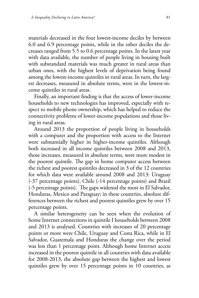materials decreased in the four lowest-income deciles by between 6.0 and 6.9 percentage points, while in the other deciles the decreases ranged from 5.5 to 0.6 percentage points. In the latest year with data available, the number of people living in housing built with substandard materials was much greater in rural areas than urban ones, with the highest levels of deprivation being found among the lowest-income quintiles in rural areas. In turn, the largest decreases, measured in absolute terms, were in the lowest-income quintiles in rural areas.

Finally, an important finding is that the access of lower-income households to new technologies has improved, especially with respect to mobile phone ownership, which has helped to reduce the connectivity problems of lower-income populations and those living in rural areas.

Around 2013 the proportion of people living in households with a computer and the proportion with access to the Internet were substantially higher in higher-income quintiles. Although both increased in all income quintiles between 2008 and 2013, those increases, measured in absolute terms, were more modest in the poorest quintile. The gap in home computer access between the richest and poorest quintiles decreased in 3 of the 12 countries for which data were available around 2008 and 2013: Uruguay (-37 percentage points), Chile (-14 percentage points) and Brazil (-5 percentage points). The gaps widened the most in El Salvador, Honduras, Mexico and Paraguay; in these countries, absolute differences between the richest and poorest quintiles grew by over 15 percentage points.

A similar heterogeneity can be seen when the evolution of home Internet connections in quintile I households between 2008 and 2013 is analysed. Countries with increases of 20 percentage points or more were Chile, Uruguay and Costa Rica, while in El Salvador, Guatemala and Honduras the change over the period was less than 1 percentage point. Although home Internet access increased in the poorest quintile in all countries with data available for 2008-2013, the absolute gap between the highest and lowest quintiles grew by over 15 percentage points in 10 countries, as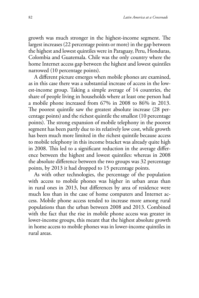growth was much stronger in the highest-income segment. The largest increases (22 percentage points or more) in the gap between the highest and lowest quintiles were in Paraguay, Peru, Honduras, Colombia and Guatemala. Chile was the only country where the home Internet access gap between the highest and lowest quintiles narrowed (10 percentage points).

A different picture emerges when mobile phones are examined, as in this case there was a substantial increase of access in the lowest-income group. Taking a simple average of 14 countries, the share of people living in households where at least one person had a mobile phone increased from 67% in 2008 to 86% in 2013. The poorest quintile saw the greatest absolute increase (28 percentage points) and the richest quintile the smallest (10 percentage points). The strong expansion of mobile telephony in the poorest segment has been partly due to its relatively low cost, while growth has been much more limited in the richest quintile because access to mobile telephony in this income bracket was already quite high in 2008. This led to a significant reduction in the average difference between the highest and lowest quintiles: whereas in 2008 the absolute difference between the two groups was 32 percentage points, by 2013 it had dropped to 15 percentage points.

As with other technologies, the percentage of the population with access to mobile phones was higher in urban areas than in rural ones in 2013, but differences by area of residence were much less than in the case of home computers and Internet access. Mobile phone access tended to increase more among rural populations than the urban between 2008 and 2013. Combined with the fact that the rise in mobile phone access was greater in lower-income groups, this meant that the highest absolute growth in home access to mobile phones was in lower-income quintiles in rural areas.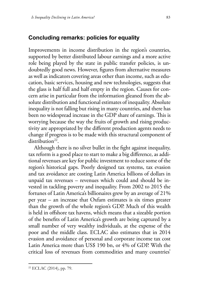#### **Concluding remarks: policies for equality**

Improvements in income distribution in the region's countries, supported by better distributed labour earnings and a more active role being played by the state in public transfer policies, is undoubtedly good news. However, figures from alternative measures as well as indicators covering areas other than income, such as education, basic services, housing and new technologies, suggests that the glass is half full and half empty in the region. Causes for concern arise in particular from the information gleaned from the absolute distribution and functional estimates of inequality. Absolute inequality is not falling but rising in many countries, and there has been no widespread increase in the GDP share of earnings. This is worrying because the way the fruits of growth and rising productivity are appropriated by the different production agents needs to change if progress is to be made with this structural component of distribution $22$ .

Although there is no silver bullet in the fight against inequality, tax reform is a good place to start to make a big difference, as additional revenues are key for public investment to reduce some of the region's historical gaps. Poorly designed tax systems, tax evasion and tax avoidance are costing Latin America billions of dollars in unpaid tax revenues – revenues which could and should be invested in tackling poverty and inequality. From 2002 to 2015 the fortunes of Latin America's billionaires grew by an average of 21% per year – an increase that Oxfam estimates is six times greater than the growth of the whole region's GDP. Much of this wealth is held in offshore tax havens, which means that a sizeable portion of the benefits of Latin America's growth are being captured by a small number of very wealthy individuals, at the expense of the poor and the middle class. ECLAC also estimates that in 2014 evasion and avoidance of personal and corporate income tax cost Latin America more than US\$ 190 bn, or 4% of GDP. With the critical loss of revenues from commodities and many countries'

 $22$  ECLAC (2014), pp. 79.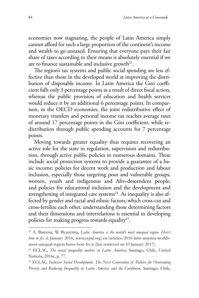economies now stagnating, the people of Latin America simply cannot afford for such a large proportion of the continent's income and wealth to go untaxed. Ensuring that everyone pays their fair share of taxes according to their means is absolutely essential if we are to finance sustainable and inclusive growth<sup>23</sup>.

The region's tax systems and public social spending are less effective than those in the developed world at improving the distribution of disposable income. In Latin America the Gini coefficient falls only 3 percentage points as a result of direct fiscal action, whereas the public provision of education and health services would reduce it by an additional 6 percentage points. In comparison, in the OECD economies, the joint redistributive effect of monetary transfers and personal income tax reaches average rates of around 17 percentage points in the Gini coefficient, while redistribution through public spending accounts for 7 percentage points.

Moving towards greater equality thus requires recovering an active role for the state in regulation, supervision and redistribution, through active public policies in numerous domains. These include social protection systems to provide a guarantee of a basic income; policies for decent work and production and labour inclusion, especially those targeting poor and vulnerable groups, women, youth and indigenous and Afro-descendent people; and policies for educational inclusion and the development and strengthening of integrated care systems<sup>24</sup>. As inequality is also affected by gender and racial and ethnic factors, which cross-cut and cross-fertilize each other, understanding those determining factors and their dimensions and interrelations is essential in developing policies for making progress towards equality<sup>25</sup>.

<sup>23</sup> A. Bárcena, W. Byanyima, *Latin America is the world's most unequal region. Here's how to fix it*, January 2016, www.cepal.org/en/articles/2016-latin-america-worldsmost-unequal-region-heres-how-fix-it (last retrieved on 10 January 2017).

<sup>24</sup> ECLAC, *The social inequality matrix in Latin America*, Santiago, Chile, United Nations, 2016c, p. 77.

<sup>25</sup> ECLAC, *Inclusive Social Development. The Next Generation of Policies for Overcoming Poverty and Reducing Inequality in Latin America and the Caribbean*, Santiago, Chile,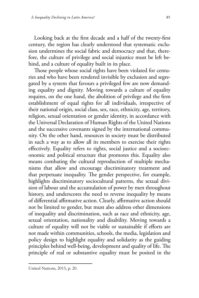Looking back at the first decade and a half of the twenty-first century, the region has clearly understood that systematic exclusion undermines the social fabric and democracy and that, therefore, the culture of privilege and social injustice must be left behind, and a culture of equality built in its place.

Those people whose social rights have been violated for centuries and who have been rendered invisible by exclusion and segregated by a system that favours a privileged few are now demanding equality and dignity. Moving towards a culture of equality requires, on the one hand, the abolition of privilege and the firm establishment of equal rights for all individuals, irrespective of their national origin, social class, sex, race, ethnicity, age, territory, religion, sexual orientation or gender identity, in accordance with the Universal Declaration of Human Rights of the United Nations and the successive covenants signed by the international community. On the other hand, resources in society must be distributed in such a way as to allow all its members to exercise their rights effectively. Equality refers to rights, social justice and a socioeconomic and political structure that promotes this. Equality also means combating the cultural reproduction of multiple mechanisms that allow and encourage discriminatory treatment and that perpetuate inequality. The gender perspective, for example, highlights discriminatory sociocultural patterns, the sexual division of labour and the accumulation of power by men throughout history, and underscores the need to reverse inequality by means of differential affirmative action. Clearly, affirmative action should not be limited to gender, but must also address other dimensions of inequality and discrimination, such as race and ethnicity, age, sexual orientation, nationality and disability. Moving towards a culture of equality will not be viable or sustainable if efforts are not made within communities, schools, the media, legislation and policy design to highlight equality and solidarity as the guiding principles behind well-being, development and quality of life. The principle of real or substantive equality must be posited in the

United Nations, 2015, p. 20.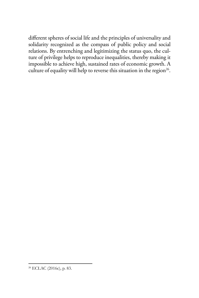different spheres of social life and the principles of universality and solidarity recognized as the compass of public policy and social relations. By entrenching and legitimizing the status quo, the culture of privilege helps to reproduce inequalities, thereby making it impossible to achieve high, sustained rates of economic growth. A culture of equality will help to reverse this situation in the region<sup>26</sup>.

<sup>26</sup> ECLAC (2016c), p. 83.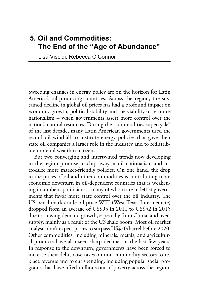# **5. Oil and Commodities: The End of the "Age of Abundance"**

Lisa Viscidi, Rebecca O'Connor

Sweeping changes in energy policy are on the horizon for Latin America's oil-producing countries. Across the region, the sustained decline in global oil prices has had a profound impact on economic growth, political stability and the viability of resource nationalism – when governments assert more control over the nation's natural resources. During the "commodities supercycle" of the last decade, many Latin American governments used the record oil windfall to institute energy policies that gave their state oil companies a larger role in the industry and to redistribute more oil wealth to citizens.

But two converging and intertwined trends now developing in the region promise to chip away at oil nationalism and introduce more market-friendly policies. On one hand, the drop in the prices of oil and other commodities is contributing to an economic downturn in oil-dependent countries that is weakening incumbent politicians – many of whom are in leftist governments that favor more state control over the oil industry. The US benchmark crude oil price WTI (West Texas Intermediate) dropped from an average of US\$95 in 2011 to US\$52 in 2015 due to slowing demand growth, especially from China, and oversupply, mainly as a result of the US shale boom. Most oil market analysts don't expect prices to surpass US\$70/barrel before 2020. Other commodities, including minerals, metals, and agricultural products have also seen sharp declines in the last few years. In response to the downturn, governments have been forced to increase their debt, raise taxes on non-commodity sectors to replace revenue and to cut spending, including popular social programs that have lifted millions out of poverty across the region.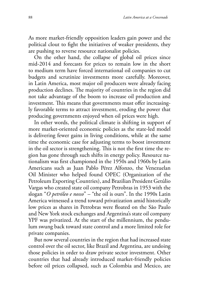As more market-friendly opposition leaders gain power and the political clout to fight the initiatives of weaker presidents, they are pushing to reverse resource nationalist policies.

On the other hand, the collapse of global oil prices since mid-2014 and forecasts for prices to remain low in the short to medium term have forced international oil companies to cut budgets and scrutinize investments more carefully. Moreover, in Latin America, most major oil producers were already facing production declines. The majority of countries in the region did not take advantage of the boom to increase oil production and investment. This means that governments must offer increasingly favorable terms to attract investment, eroding the power that producing governments enjoyed when oil prices were high.

In other words, the political climate is shifting in support of more market-oriented economic policies as the state-led model is delivering fewer gains in living conditions, while at the same time the economic case for adjusting terms to boost investment in the oil sector is strengthening. This is not the first time the region has gone through such shifts in energy policy. Resource nationalism was first championed in the 1950s and 1960s by Latin Americans such as Juan Pablo Pérez Alfonzo, the Venezuelan Oil Minister who helped found OPEC (Organization of the Petroleum Exporting Countries), and Brazilian President Getúlio Vargas who created state oil company Petrobras in 1953 with the slogan "*O petróleo e nosso*" – "the oil is ours". In the 1990s Latin America witnessed a trend toward privatization amid historically low prices as shares in Petrobras were floated on the São Paulo and New York stock exchanges and Argentina's state oil company YPF was privatized. At the start of the millennium, the pendulum swung back toward state control and a more limited role for private companies.

But now several countries in the region that had increased state control over the oil sector, like Brazil and Argentina, are undoing those policies in order to draw private sector investment. Other countries that had already introduced market-friendly policies before oil prices collapsed, such as Colombia and Mexico, are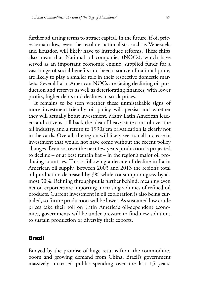further adjusting terms to attract capital. In the future, if oil prices remain low, even the resolute nationalists, such as Venezuela and Ecuador, will likely have to introduce reforms. These shifts also mean that National oil companies (NOCs), which have served as an important economic engine, supplied funds for a vast range of social benefits and been a source of national pride, are likely to play a smaller role in their respective domestic markets. Several Latin American NOCs are facing declining oil production and reserves as well as deteriorating finances, with lower profits, higher debts and declines in stock prices.

It remains to be seen whether these unmistakable signs of more investment-friendly oil policy will persist and whether they will actually boost investment. Many Latin American leaders and citizens still back the idea of heavy state control over the oil industry, and a return to 1990s era privatization is clearly not in the cards. Overall, the region will likely see a small increase in investment that would not have come without the recent policy changes. Even so, over the next few years production is projected to decline – or at best remain flat – in the region's major oil producing countries. This is following a decade of decline in Latin American oil supply. Between 2003 and 2013 the region's total oil production decreased by 3% while consumption grew by almost 30%. Refining throughput is further behind; meaning even net oil exporters are importing increasing volumes of refined oil products. Current investment in oil exploration is also being curtailed, so future production will be lower. As sustained low crude prices take their toll on Latin America's oil-dependent economies, governments will be under pressure to find new solutions to sustain production or diversify their exports.

#### **Brazil**

Buoyed by the promise of huge returns from the commodities boom and growing demand from China, Brazil's government massively increased public spending over the last 15 years.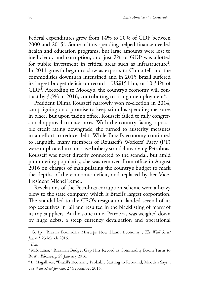Federal expenditures grew from 14% to 20% of GDP between 2000 and 20151 . Some of this spending helped finance needed health and education programs, but large amounts were lost to inefficiency and corruption, and just 2% of GDP was allotted for public investment in critical areas such as infrastructure<sup>2</sup>. In 2011 growth began to slow as exports to China fell and the commodities downturn intensified and in 2015 Brazil suffered its largest budget deficit on record – US\$151 bn, or 10.34% of GDP3 . According to Moody's, the country's economy will contract by 3.5% in 2016, contributing to rising unemployment<sup>4</sup>.

President Dilma Rousseff narrowly won re-election in 2014, campaigning on a promise to keep stimulus spending measures in place. But upon taking office, Rousseff failed to rally congressional approval to raise taxes. With the country facing a possible credit rating downgrade, she turned to austerity measures in an effort to reduce debt. While Brazil's economy continued to languish, many members of Rousseff's Workers' Party (PT) were implicated in a massive bribery scandal involving Petrobras. Rousseff was never directly connected to the scandal, but amid plummeting popularity, she was removed from office in August 2016 on charges of manipulating the country's budget to mask the depths of the economic deficit, and replaced by her Vice-President Michel Temer.

Revelations of the Petrobras corruption scheme were a heavy blow to the state company, which is Brazil's largest corporation. The scandal led to the CEO's resignation, landed several of its top executives in jail and resulted in the blacklisting of many of its top suppliers. At the same time, Petrobras was weighed down by huge debts, a steep currency devaluation and operational

<sup>&</sup>lt;sup>1</sup> G. Ip, "Brazil's Boom-Era Missteps Now Haunt Economy", *The Wall Street Journal*, 23 March 2016.

<sup>2</sup> *Ibid.*

<sup>&</sup>lt;sup>3</sup> M.S. Lima, "Brazilian Budget Gap Hits Record as Commodity Boom Turns to Bust", *Bloomberg*, 29 January 2016.

<sup>&</sup>lt;sup>4</sup> L. Magalhaes, "Brazil's Economy Probably Starting to Rebound, Moody's Says", *The Wall Street Journal*, 27 September 2016.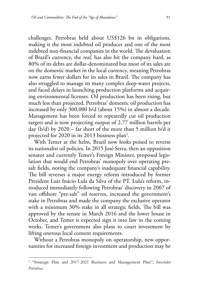challenges. Petrobras held about US\$126 bn in obligations, making it the most indebted oil producer and one of the most indebted non-financial companies in the world. The devaluation of Brazil's currency, the *real,* has also hit the company hard, as 80% of its debts are dollar-denominated but most of its sales are on the domestic market in the local currency, meaning Petrobras now earns fewer dollars for its sales in Brazil. The company has also struggled to manage its many complex deep-water projects, and faced delays in launching production platforms and acquiring environmental licenses. Oil production has been rising, but much less than projected. Petrobras' domestic oil production has increased by only 300,000 b/d (about 15%) in almost a decade. Management has been forced to repeatedly cut oil production targets and is now projecting output of 2.77 million barrels per day (b/d) by 2020 – far short of the more than 5 million b/d it projected for 2020 in its 2013 business plan $^5\!$ .

With Temer at the helm, Brazil now looks poised to reverse its nationalist oil policies. In 2015 José Serra, then an opposition senator and currently Temer's Foreign Minister, proposed legislation that would end Petrobras' monopoly over operating presalt fields, noting the company's inadequate financial capability. The bill reverses a major energy reform introduced by former President Luiz Inácio Lula da Silva of the PT. Lula's reform, introduced immediately following Petrobras' discovery in 2007 of vast offshore "pre-salt" oil reserves, increased the government's stake in Petrobras and made the company the exclusive operator with a minimum 30% stake in all strategic fields. The bill was approved by the senate in March 2016 and the lower house in October, and Temer is expected sign it into law in the coming weeks. Temer's government also plans to court investment by lifting onerous local content requirements.

Without a Petrobras monopoly on operatorship, new opportunities for increased foreign investment and production may be

<sup>5</sup> "Strategic Plan and 2017-2021 Business and Management Plan", *Investidor Petrobras*.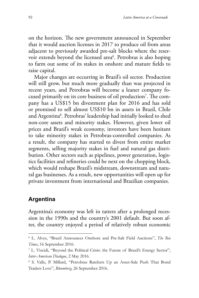on the horizon. The new government announced in September that it would auction licenses in 2017 to produce oil from areas adjacent to previously awarded pre-salt blocks where the reservoir extends beyond the licensed area<sup>6</sup>. Petrobras is also hoping to farm out some of its stakes in onshore and mature fields to raise capital.

Major changes are occurring in Brazil's oil sector. Production will still grow, but much more gradually than was projected in recent years, and Petrobras will become a leaner company focused primarily on its core business of oil production7 . The company has a US\$15 bn divestment plan for 2016 and has sold or promised to sell almost US\$10 bn in assets in Brazil, Chile and Argentina8 . Petrobras' leadership had initially looked to shed non-core assets and minority stakes. However, given lower oil prices and Brazil's weak economy, investors have been hesitant to take minority stakes in Petrobras-controlled companies. As a result, the company has started to divest from entire market segments, selling majority stakes in fuel and natural gas distribution. Other sectors such as pipelines, power generation, logistics facilities and refineries could be next on the chopping block, which would reshape Brazil's midstream, downstream and natural gas businesses. As a result, new opportunities will open up for private investment from international and Brazilian companies.

#### **Argentina**

Argentina's economy was left in tatters after a prolonged recession in the 1990s and the country's 2001 default. But soon after, the country enjoyed a period of relatively robust economic

<sup>6</sup> L. Alves, "Brazil Announces Onshore and Pre-Salt Field Auctions", *The Rio Times*, 16 September 2016.

<sup>7</sup> L. Viscidi, "Beyond the Political Crisis: the Future of Brazil's Energy Sector", *Inter-American Dialogue*, 2 May 2016.

<sup>8</sup> S. Valle, P. Millard, "Petrobras Ratchets Up an Asset-Sale Push That Bond Traders Love", *Bloomberg*, 26 September 2016.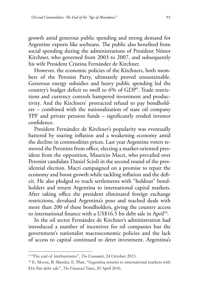growth amid generous public spending and strong demand for Argentine exports like soybeans. The public also benefited from social spending during the administrations of President Néstor Kirchner, who governed from 2003 to 2007, and subsequently his wife President Cristina Fernández de Kirchner.

However, the economic policies of the Kirchners, both members of the Peronist Party, ultimately proved unsustainable. Generous energy subsidies and heavy public spending led the country's budget deficit to swell to 6% of GDP9 . Trade restrictions and currency controls hampered investment and productivity. And the Kirchners' protracted refusal to pay bondholders – combined with the nationalization of state oil company YPF and private pension funds – significantly eroded investor confidence.

President Fernández de Kirchner's popularity was eventually battered by soaring inflation and a weakening economy amid the decline in commodities prices. Last year Argentine voters removed the Peronists from office, electing a market-oriented president from the opposition, Mauricio Macri, who prevailed over Peronist candidate Daniel Scioli in the second round of the presidential election. Macri campaigned on a promise to repair the economy and boost growth while tackling inflation and the deficit. He also pledged to reach settlements with "holdout" bondholders and return Argentina to international capital markets. After taking office the president eliminated foreign exchange restrictions, devalued Argentina's peso and reached deals with more than 200 of these bondholders, giving the country access to international finance with a US\$16.5 bn debt sale in April<sup>10</sup>.

In the oil sector Fernández de Kirchner's administration had introduced a number of incentives for oil companies but the government's nationalist macroeconomic policies and the lack of access to capital continued to deter investment. Argentina's

<sup>&</sup>lt;sup>9</sup> "The end of kirchnerismo", *The Economist*, 24 October 2015.

<sup>10</sup> E. Moore, B. Mander, E. Platt, "Argentina returns to international markets with \$16.5bn debt sale", *The Financial Times*, 20 April 2016.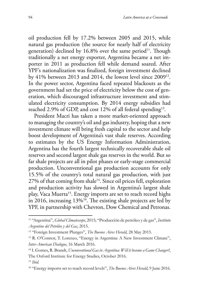oil production fell by 17.2% between 2005 and 2015, while natural gas production (the source for nearly half of electricity generation) declined by  $16.8\%$  over the same period<sup>11</sup>. Though traditionally a net energy exporter, Argentina became a net importer in 2011 as production fell while demand soared. After YPF's nationalization was finalized, foreign investment declined by 41% between 2013 and 2014, the lowest level since 200912. In the power sector, Argentina faced repeated blackouts as the government had set the price of electricity below the cost of generation, which discouraged infrastructure investment and stimulated electricity consumption. By 2014 energy subsidies had reached 2.9% of GDP, and cost 12% of all federal spending<sup>13</sup>.

President Macri has taken a more market-oriented approach to managing the country's oil and gas industry, hoping that a new investment climate will bring fresh capital to the sector and help boost development of Argentina's vast shale reserves. According to estimates by the US Energy Information Administration, Argentina has the fourth largest technically recoverable shale oil reserves and second largest shale gas reserves in the world. But so far shale projects are all in pilot phases or early-stage commercial production. Unconventional gas production accounts for only 15.5% of the country's total natural gas production, with just  $27\%$  of that coming from shale<sup>14</sup>. Since oil prices fell, exploration and production activity has slowed in Argentina's largest shale play, Vaca Muerta<sup>15</sup>. Energy imports are set to reach record highs in 2016, increasing  $13\%$ <sup>16</sup>. The existing shale projects are led by YPF, in partnership with Chevron, Dow Chemical and Petronas.

<sup>11</sup> "Argentina", *Global Climatescope*, 2015; "Producción de petróleo y de gas", *Instituto Argentino del Petróleo y del Gas*, 2015.

<sup>12</sup> "Foreign Investment Plunges", *The Buenos Aires Herald*, 28 May 2015.

<sup>&</sup>lt;sup>13</sup> R. O'Connor, T. Lorenzo, "Energy in Argentina: A New Investment Climate", *Inter-American Dialogue*, 16 March 2016.

<sup>14</sup> I. Gomes, R. Brandt, *Unconventional Gas in Argentina: Will it become a Game Changer?*, The Oxford Institute for Energy Studies, October 2016.

<sup>15</sup> *Ibid.*

<sup>&</sup>lt;sup>16</sup> "Energy imports set to reach record levels", *The Buenos Aires Herald*, 9 June 2016.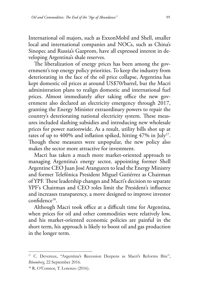International oil majors, such as ExxonMobil and Shell, smaller local and international companies and NOCs, such as China's Sinopec and Russia's Gazprom, have all expressed interest in developing Argentina's shale reserves.

The liberalization of energy prices has been among the government's top energy policy priorities. To keep the industry from deteriorating in the face of the oil price collapse, Argentina has kept domestic oil prices at around US\$70/barrel, but the Macri administration plans to realign domestic and international fuel prices. Almost immediately after taking office the new government also declared an electricity emergency through 2017, granting the Energy Minister extraordinary powers to repair the country's deteriorating national electricity system. These measures included slashing subsidies and introducing new wholesale prices for power nationwide. As a result, utility bills shot up at rates of up to 400% and inflation spiked, hitting  $47\%$  in July<sup>17</sup>. Though these measures were unpopular, the new policy also makes the sector more attractive for investment.

Macri has taken a much more market-oriented approach to managing Argentina's energy sector, appointing former Shell Argentine CEO Juan José Aranguren to lead the Energy Ministry and former Telefónica President Miguel Gutiérrez as Chairman of YPF. These leadership changes and Macri's decision to separate YPF's Chairman and CEO roles limit the President's influence and increases transparency, a move designed to improve investor confidence18.

Although Macri took office at a difficult time for Argentina, when prices for oil and other commodities were relatively low, and his market-oriented economic policies are painful in the short term, his approach is likely to boost oil and gas production in the longer term.

<sup>&</sup>lt;sup>17</sup> C. Devereux, "Argentina's Recession Deepens as Macri's Reforms Bite", *Bloomberg*, 22 September 2016.

<sup>18</sup> R. O'Connor, T. Lorenzo (2016).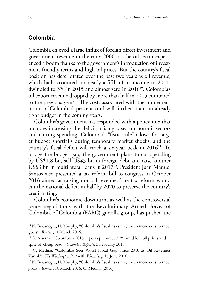## **Colombia**

Colombia enjoyed a large influx of foreign direct investment and government revenue in the early 2000s as the oil sector experienced a boom thanks to the government's introduction of investment-friendly terms and high oil prices. But the country's fiscal position has deteriorated over the past two years as oil revenue, which had accounted for nearly a fifth of its income in 2011, dwindled to 3% in 2015 and almost zero in 201619. Colombia's oil export revenue dropped by more than half in 2015 compared to the previous year<sup>20</sup>. The costs associated with the implementation of Colombia's peace accord will further strain an already tight budget in the coming years.

Colombia's government has responded with a policy mix that includes increasing the deficit, raising taxes on non-oil sectors and cutting spending. Colombia's "fiscal rule" allows for larger budget shortfalls during temporary market shocks, and the country's fiscal deficit will reach a six-year peak in  $2016^{21}$ . To bridge the budget gap, the government plans to cut spending by US\$1.8 bn, sell US\$3 bn in foreign debt and raise another US\$3 bn in multilateral loans in  $2017<sup>22</sup>$ . President Juan Manuel Santos also presented a tax reform bill to congress in October 2016 aimed at raising non-oil revenue. The tax reform would cut the national deficit in half by 2020 to preserve the country's credit rating.

Colombia's economic downturn, as well as the controversial peace negotiations with the Revolutionary Armed Forces of Colombia of Colombia (FARC) guerilla group, has pushed the

<sup>&</sup>lt;sup>19</sup> N. Bocanegra, H. Murphy, "Colombia's fiscal risks may mean more cuts to meet goals", *Reuters*, 10 March 2016.

<sup>20</sup> A. Alsema, "Colombia's 2015 exports plummet 35% amid low oil prices and in spite of cheap peso", *Colombia Reports*, 5 February 2016.

<sup>21</sup> O. Medina, "Colombia Sees Worst Fiscal Gap Since 2010 as Oil Revenues Vanish", *The Washington Post* with *Bloomberg*, 15 June 2016.

<sup>22</sup> N. Bocanegra, H. Murphy, "Colombia's fiscal risks may mean more cuts to meet goals", *Reuters*, 10 March 2016; O. Medina (2016).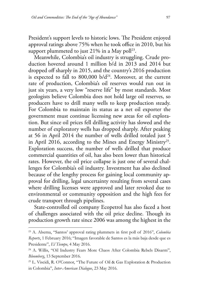President's support levels to historic lows. The President enjoyed approval ratings above 75% when he took office in 2010, but his support plummeted to just  $21\%$  in a May poll<sup>23</sup>.

Meanwhile, Colombia's oil industry is struggling. Crude production hovered around 1 million b/d in 2013 and 2014 but dropped off sharply in 2015, and the country's 2016 production is expected to fall to  $800,000$  b/d<sup>24</sup>. Moreover, at the current rate of production, Colombia's oil reserves would run out in just six years, a very low "reserve life" by most standards. Most geologists believe Colombia does not hold large oil reserves, so producers have to drill many wells to keep production steady. For Colombia to maintain its status as a net oil exporter the government must continue licensing new areas for oil exploration. But since oil prices fell drilling activity has slowed and the number of exploratory wells has dropped sharply. After peaking at 56 in April 2014 the number of wells drilled totaled just 5 in April 2016, according to the Mines and Energy Ministry<sup>25</sup>. Exploration success, the number of wells drilled that produce commercial quantities of oil, has also been lower than historical rates. However, the oil price collapse is just one of several challenges for Colombia's oil industry. Investment has also declined because of the lengthy process for gaining local community approval for drilling, legal uncertainty resulting from several cases where drilling licenses were approved and later revoked due to environmental or community opposition and the high fees for crude transport through pipelines.

State-controlled oil company Ecopetrol has also faced a host of challenges associated with the oil price decline. Though its production growth rate since 2006 was among the highest in the

<sup>23</sup> A. Alsema, "Santos' approval rating plummets in first poll of 2016", *Colombia Reports*, 1 February 2016; "Imagen favorable de Santos es la más baja desde que es Presidente", *El Tiempo*, 4 May 2016.

<sup>&</sup>lt;sup>24</sup> A. Willis, "Oil Industry Fears More Chaos After Colombia Rebels Disarm", *Bloomberg*, 13 September 2016.

<sup>25</sup> L. Viscidi, R. O'Connor, "The Future of Oil & Gas Exploration & Production in Colombia", *Inter-American Dialogue*, 23 May 2016.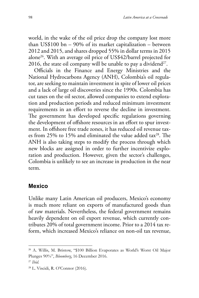world, in the wake of the oil price drop the company lost more than US\$100 bn – 90% of its market capitalization – between 2012 and 2015, and shares dropped 55% in dollar terms in 2015 alone26. With an average oil price of US\$42/barrel projected for 2016, the state oil company will be unable to pay a dividend<sup>27</sup>.

Officials in the Finance and Energy Ministries and the National Hydrocarbons Agency (ANH), Colombia's oil regulator, are seeking to maintain investment in spite of lower oil prices and a lack of large oil discoveries since the 1990s. Colombia has cut taxes on the oil sector, allowed companies to extend exploration and production periods and reduced minimum investment requirements in an effort to reverse the decline in investment. The government has developed specific regulations governing the development of offshore resources in an effort to spur investment. In offshore free trade zones, it has reduced oil revenue taxes from 25% to 15% and eliminated the value added tax<sup>28</sup>. The ANH is also taking steps to modify the process through which new blocks are assigned in order to further incentivize exploration and production. However, given the sector's challenges, Colombia is unlikely to see an increase in production in the near term.

#### **Mexico**

Unlike many Latin American oil producers, Mexico's economy is much more reliant on exports of manufactured goods than of raw materials. Nevertheless, the federal government remains heavily dependent on oil export revenue, which currently contributes 20% of total government income. Prior to a 2014 tax reform, which increased Mexico's reliance on non-oil tax revenue,

<sup>26</sup> A. Willis, M. Bristow, "\$100 Billion Evaporates as World's Worst Oil Major Plunges 90%", *Bloomberg*, 16 December 2016.

<sup>27</sup> *Ibid.*

<sup>28</sup> L. Viscidi, R. O'Connor (2016).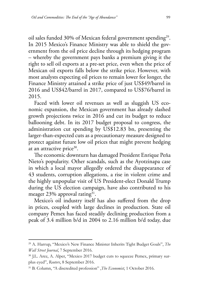oil sales funded 30% of Mexican federal government spending<sup>29</sup>. In 2015 Mexico's Finance Ministry was able to shield the government from the oil price decline through its hedging program – whereby the government pays banks a premium giving it the right to sell oil exports at a pre-set price, even when the price of Mexican oil exports falls below the strike price. However, with most analysts expecting oil prices to remain lower for longer, the Finance Ministry attained a strike price of just US\$49/barrel in 2016 and US\$42/barrel in 2017, compared to US\$76/barrel in 2015.

Faced with lower oil revenues as well as sluggish US economic expansion, the Mexican government has already slashed growth projections twice in 2016 and cut its budget to reduce ballooning debt. In its 2017 budget proposal to congress, the administration cut spending by US\$12.83 bn, presenting the larger-than-expected cuts as a precautionary measure designed to protect against future low oil prices that might prevent hedging at an attractive price $30$ .

The economic downturn has damaged President Enrique Peña Nieto's popularity. Other scandals, such as the Ayotzinapa case in which a local mayor allegedly ordered the disappearance of 43 students, corruption allegations, a rise in violent crime and the highly unpopular visit of US President-elect Donald Trump during the US election campaign, have also contributed to his meager  $23\%$  approval rating<sup>31</sup>.

Mexico's oil industry itself has also suffered from the drop in prices, coupled with large declines in production. State oil company Pemex has faced steadily declining production from a peak of 3.4 million b/d in 2004 to 2.16 million b/d today, due

<sup>29</sup> A. Harrup, "Mexico's New Finance Minister Inherits Tight Budget Goals", *The Wall Street Journal*, 7 September 2016.

<sup>&</sup>lt;sup>30</sup> J.L. Arce, A. Alper, "Mexico 2017 budget cuts to squeeze Pemex, primary surplus eyed", *Reuters*, 8 September 2016.

<sup>31</sup> B. Column, "A discredited profession" ,*The Economist*, 1 October 2016.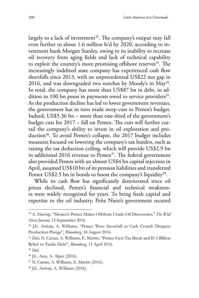largely to a lack of investment<sup>32</sup>. The company's output may fall even further to about 1.6 million b/d by 2020, according to investment bank Morgan Stanley, owing to its inability to increase oil recovery from aging fields and lack of technical capability to exploit the country's more promising offshore reserves<sup>33</sup>. The increasingly indebted state company has experienced cash flow shortfalls since 2013, with an unprecedented US\$22 mn gap in 2016, and was downgraded two notches by Moody's in  $\text{Mav}^{34}$ . In total, the company has more than US\$87 bn in debt, in addition to 100 bn pesos in payments owed to service providers<sup>35</sup>. As the production decline has led to lower government revenues, the government has in turn made steep cuts to Pemex's budget. Indeed, US\$5.36 bn – more than one-third of the government's budget cuts for 2017 – fall on Pemex. The cuts will further curtail the company's ability to invest in oil exploration and production<sup>36</sup>. To avoid Pemex's collapse, the 2017 budget includes measures focused on lowering the company's tax burden, such as raising the tax deduction ceiling, which will provide US\$2.9 bn in additional 2016 revenue to Pemex<sup>37</sup>. The federal government also provided Pemex with an almost US\$4 bn capital injection in April, assumed US\$10 bn of its pension liabilities and transferred Pemex US\$2.5 bn in bonds to boost the company's liquidity<sup>38</sup>.

While its cash flow has significantly deteriorated since oil prices declined, Pemex's financial and technical weaknesses were widely recognized for years. To bring fresh capital and expertise to the oil industry, Peña Nieto's government secured

<sup>38</sup> J.E. Arrioja, A. Williams (2016).

<sup>32</sup> A. Harrup, "Mexico's Pemex Makes Offshore Crude-Oil Discoveries," *The Wall Street Journal*, 13 September 2016.

<sup>33</sup> J.E. Arrioja, A. Williams, "Pemex Woes Snowball as Cash Crunch Deepens Production Plunge", *Bloomberg*, 18 August 2016.

<sup>34</sup> *Ibid.*; N. Cattan, A. Williams, E. Martin, "Pemex Gets Tax Break and \$1.5 Billion Relief to Tackle Debt", *Bloomberg*, 13 April 2016.

<sup>35</sup> *Ibid.*

<sup>36</sup> J.L. Arce, A. Alper (2016).

<sup>37</sup> N. Cattan, A. Williams, E. Martin (2016).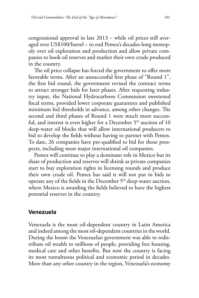congressional approval in late 2013 – while oil prices still averaged over US\$100/barrel – to end Pemex's decades-long monopoly over oil exploration and production and allow private companies to book oil reserves and market their own crude produced in the country.

The oil price collapse has forced the government to offer more favorable terms. After an unsuccessful first phase of "Round 1", the first bid round, the government revised the contract terms to attract stronger bids for later phases. After requesting industry input, the National Hydrocarbons Commission sweetened fiscal terms, provided lower corporate guarantees and published minimum bid thresholds in advance, among other changes. The second and third phases of Round 1 were much more successful, and interest is even higher for a December  $5<sup>th</sup>$  auction of 10 deep-water oil blocks that will allow international producers to bid to develop the fields without having to partner with Pemex. To date, 26 companies have pre-qualified to bid for those prospects, including most major international oil companies.

Pemex will continue to play a dominant role in Mexico but its share of production and reserves will shrink as private companies start to buy exploration rights in licensing rounds and produce their own crude oil. Pemex has said it will not put in bids to operate any of the fields in the December  $5<sup>th</sup>$  deep-water auction, where Mexico is awarding the fields believed to have the highest potential reserves in the country.

#### **Venezuela**

Venezuela is the most oil-dependent country in Latin America and indeed among the most oil-dependent countries in the world. During the boom the Venezuelan government was able to redistribute oil wealth to millions of people, providing free housing, medical care and other benefits. But now the country is facing its most tumultuous political and economic period in decades. More than any other country in the region, Venezuela's economy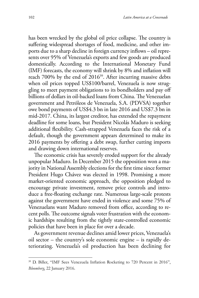has been wrecked by the global oil price collapse. The country is suffering widespread shortages of food, medicine, and other imports due to a sharp decline in foreign currency inflows – oil represents over 95% of Venezuela's exports and few goods are produced domestically. According to the International Monetary Fund (IMF) forecasts, the economy will shrink by 8% and inflation will reach 700% by the end of 2016<sup>39</sup>. After incurring massive debts when oil prices topped US\$100/barrel, Venezuela is now struggling to meet payment obligations to its bondholders and pay off billions of dollars in oil-backed loans from China. The Venezuelan government and Petróleos de Venezuela, S.A. (PDVSA) together owe bond payments of US\$4.3 bn in late 2016 and US\$7.3 bn in mid-2017. China, its largest creditor, has extended the repayment deadline for some loans, but President Nicolás Maduro is seeking additional flexibility. Cash-strapped Venezuela faces the risk of a default, though the government appears determined to make its 2016 payments by offering a debt swap, further cutting imports and drawing down international reserves.

The economic crisis has severely eroded support for the already unpopular Maduro. In December 2015 the opposition won a majority in National Assembly elections for the first time since former President Hugo Chávez was elected in 1998. Promising a more market-oriented economic approach, the opposition pledged to encourage private investment, remove price controls and introduce a free-floating exchange rate. Numerous large-scale protests against the government have ended in violence and some 75% of Venezuelans want Maduro removed from office, according to recent polls. The outcome signals voter frustration with the economic hardships resulting from the tightly state-controlled economic policies that have been in place for over a decade.

As government revenue declines amid lower prices, Venezuela's oil sector – the country's sole economic engine – is rapidly deteriorating. Venezuela's oil production has been declining for

<sup>&</sup>lt;sup>39</sup> D. Biller, "IMF Sees Venezuela Inflation Rocketing to 720 Percent in 2016", *Bloomberg*, 22 January 2016.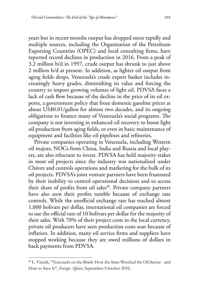years but in recent months output has dropped more rapidly and multiple sources, including the Organization of the Petroleum Exporting Countries (OPEC) and local consulting firms, have reported record declines in production in 2016. From a peak of 3.2 million b/d in 1997, crude output has shrunk to just above 2 million b/d at present. In addition, as lighter oil output from aging fields drops, Venezuela's crude export basket includes increasingly heavy grades, diminishing its value and forcing the country to import growing volumes of light oil. PDVSA faces a lack of cash flow because of the decline in the price of its oil exports, a government policy that froze domestic gasoline prices at about US\$0.01/gallon for almost two decades, and its ongoing obligations to finance many of Venezuela's social programs. The company is not investing in enhanced oil recovery to boost light oil production from aging fields, or even in basic maintenance of equipment and facilities like oil pipelines and refineries.

Private companies operating in Venezuela, including Western oil majors, NOCs from China, India and Russia and local players, are also reluctant to invest. PDVSA has held majority stakes in most oil projects since the industry was nationalized under Chávez and controls operations and marketing for the bulk of its oil projects. PDVSA's joint venture partners have been frustrated by their inability to control operational decisions and to access their share of profits from oil sales<sup>40</sup>. Private company partners have also seen their profits tumble because of exchange rate controls. While the unofficial exchange rate has reached almost 1,000 bolivars per dollar, international oil companies are forced to use the official rate of 10 bolivars per dollar for the majority of their sales. With 70% of their project costs in the local currency, private oil producers have seen production costs soar because of inflation. In addition, many oil service firms and suppliers have stopped working because they are owed millions of dollars in back payments from PDVSA.

<sup>40</sup> L. Viscidi, "Venezuela on the Brink: How the State Wrecked the Oil Sector - and How to Save It", *Foreign Affairs*, September/October 2016.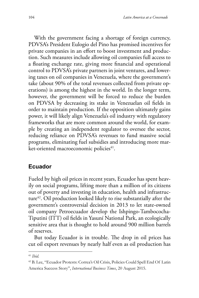With the government facing a shortage of foreign currency, PDVSA's President Eulogio del Pino has promised incentives for private companies in an effort to boost investment and production. Such measures include allowing oil companies full access to a floating exchange rate, giving more financial and operational control to PDVSA's private partners in joint ventures, and lowering taxes on oil companies in Venezuela, where the government's take (about 90% of the total revenues collected from private operations) is among the highest in the world. In the longer term, however, the government will be forced to reduce the burden on PDVSA by decreasing its stake in Venezuelan oil fields in order to maintain production. If the opposition ultimately gains power, it will likely align Venezuela's oil industry with regulatory frameworks that are more common around the world, for example by creating an independent regulator to oversee the sector, reducing reliance on PDVSA's revenues to fund massive social programs, eliminating fuel subsidies and introducing more market-oriented macroeconomic policies<sup>41</sup>.

# **Ecuador**

Fueled by high oil prices in recent years, Ecuador has spent heavily on social programs, lifting more than a million of its citizens out of poverty and investing in education, health and infrastructure<sup>42</sup>. Oil production looked likely to rise substantially after the government's controversial decision in 2013 to let state-owned oil company Petroecuador develop the Ishpingo-Tambococha-Tiputini (ITT) oil fields in Yasuní National Park, an ecologically sensitive area that is thought to hold around 900 million barrels of reserves.

But today Ecuador is in trouble. The drop in oil prices has cut oil export revenues by nearly half even as oil production has

<sup>41</sup> *Ibid.*

<sup>42</sup> B. Lee, "Ecuador Protests: Correa's Oil Crisis, Policies Could Spell End Of Latin America Success Story", *International Business Times*, 20 August 2015.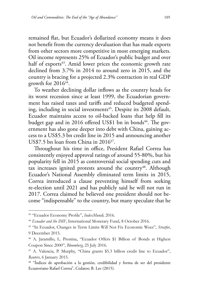remained flat, but Ecuador's dollarized economy means it does not benefit from the currency devaluation that has made exports from other sectors more competitive in most emerging markets. Oil income represents 25% of Ecuador's public budget and over half of exports<sup>43</sup>. Amid lower prices the economic growth rate declined from 3.7% in 2014 to around zero in 2015, and the country is bracing for a projected 2.3% contraction in real GDP growth for  $2016^{44}$ .

To weather declining dollar inflows as the country heads for its worst recession since at least 1999, the Ecuadorian government has raised taxes and tariffs and reduced budgeted spending, including in social investments<sup>45</sup>. Despite its 2008 default, Ecuador maintains access to oil-backed loans that help fill its budget gap and in 2016 offered US\$1 bn in bonds<sup>46</sup>. The government has also gone deeper into debt with China, gaining access to a US\$5.3 bn credit line in 2015 and announcing another US\$7.5 bn loan from China in  $2016^{47}$ .

Throughout his time in office, President Rafael Correa has consistently enjoyed approval ratings of around 55-80%, but his popularity fell in 2015 as controversial social spending cuts and tax increases ignited protests around the country<sup>48</sup>. Although Ecuador's National Assembly eliminated term limits in 2015, Correa introduced a clause preventing himself from seeking re-election until 2021 and has publicly said he will not run in 2017. Correa claimed he believed one president should not become "indispensable" to the country, but many speculate that he

<sup>43</sup> "Ecuador Economy Profile", *IndexMundi,* 2016.

<sup>&</sup>lt;sup>44</sup> Ecuador and the IMF, International Monetary Fund, 8 October 2016.

<sup>45</sup> "In Ecuador, Changes in Term Limits Will Not Fix Economic Woes", *Stratfor*, 9 December 2015.

<sup>46</sup> A. Jaramillo, L. Pronina, "Ecuador Offers \$1 Billion of Bonds at Highest Coupon Since 2000", *Bloomberg*, 25 July 2016.

<sup>47</sup> A. Valencia, P. Murphy, "China grants \$5.3 billion credit line to Ecuador", *Reuters*, 6 January 2015.

<sup>48 &</sup>quot;Índices de aprobación a la gestión, credibilidad y forma de ser del presidente Ecuatoriano Rafael Correa", Cedatos; B. Lee (2015).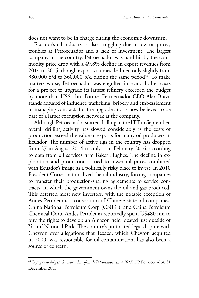does not want to be in charge during the economic downturn.

Ecuador's oil industry is also struggling due to low oil prices, troubles at Petroecuador and a lack of investment. The largest company in the country, Petroecuador was hard hit by the commodity price drop with a 49.8% decline in export revenues from 2014 to 2015, though export volumes declined only slightly from  $380,000$  b/d to  $360,000$  b/d during the same period<sup>49</sup>. To make matters worse, Petroecuador was engulfed in scandal after costs for a project to upgrade its largest refinery exceeded the budget by more than US\$1 bn. Former Petroecuador CEO Alex Bravo stands accused of influence trafficking, bribery and embezzlement in managing contracts for the upgrade and is now believed to be part of a larger corruption network at the company.

Although Petroecuador started drilling in the ITT in September, overall drilling activity has slowed considerably as the costs of production exceed the value of exports for many oil producers in Ecuador. The number of active rigs in the country has dropped from 27 in August 2014 to only 1 in February 2016, according to data from oil services firm Baker Hughes. The decline in exploration and production is tied to lower oil prices combined with Ecuador's image as a politically risky place to invest. In 2010 President Correa nationalized the oil industry, forcing companies to transfer their production-sharing agreements to service contracts, in which the government owns the oil and gas produced. This deterred most new investors, with the notable exception of Andes Petroleum, a consortium of Chinese state oil companies, China National Petroleum Corp (CNPC), and China Petroleum Chemical Corp. Andes Petroleum reportedly spent US\$80 mn to buy the rights to develop an Amazon field located just outside of Yasuní National Park. The country's protracted legal dispute with Chevron over allegations that Texaco, which Chevron acquired in 2000, was responsible for oil contamination, has also been a source of concern.

<sup>49</sup> *Bajo precio del petróleo marcó las cifras de Petroecuador en el 2015*, EP Petroecuador, 31 December 2015.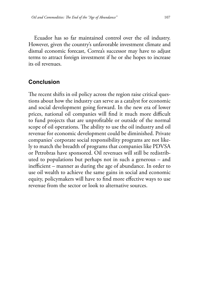Ecuador has so far maintained control over the oil industry. However, given the country's unfavorable investment climate and dismal economic forecast, Correa's successor may have to adjust terms to attract foreign investment if he or she hopes to increase its oil revenues.

# **Conclusion**

The recent shifts in oil policy across the region raise critical questions about how the industry can serve as a catalyst for economic and social development going forward. In the new era of lower prices, national oil companies will find it much more difficult to fund projects that are unprofitable or outside of the normal scope of oil operations. The ability to use the oil industry and oil revenue for economic development could be diminished. Private companies' corporate social responsibility programs are not likely to match the breadth of programs that companies like PDVSA or Petrobras have sponsored. Oil revenues will still be redistributed to populations but perhaps not in such a generous – and inefficient – manner as during the age of abundance. In order to use oil wealth to achieve the same gains in social and economic equity, policymakers will have to find more effective ways to use revenue from the sector or look to alternative sources.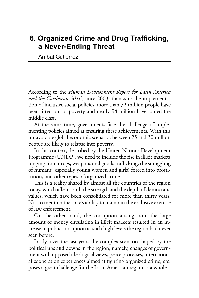# **6. Organized Crime and Drug Trafficking, a Never-Ending Threat**

Aníbal Gutiérrez

According to the *Human Development Report for Latin America and the Caribbean 2016*, since 2003, thanks to the implementation of inclusive social policies, more than 72 million people have been lifted out of poverty and nearly 94 million have joined the middle class.

At the same time, governments face the challenge of implementing policies aimed at ensuring these achievements. With this unfavorable global economic scenario, between 25 and 30 million people are likely to relapse into poverty.

In this context, described by the United Nations Development Programme (UNDP), we need to include the rise in illicit markets ranging from drugs, weapons and goods trafficking, the smuggling of humans (especially young women and girls) forced into prostitution, and other types of organized crime.

This is a reality shared by almost all the countries of the region today, which affects both the strength and the depth of democratic values, which have been consolidated for more than thirty years. Not to mention the state's ability to maintain the exclusive exercise of law enforcement.

On the other hand, the corruption arising from the large amount of money circulating in illicit markets resulted in an increase in public corruption at such high levels the region had never seen before.

Lastly, over the last years the complex scenario shaped by the political ups and downs in the region, namely, changes of government with opposed ideological views, peace processes, international cooperation experiences aimed at fighting organized crime, etc. poses a great challenge for the Latin American region as a whole.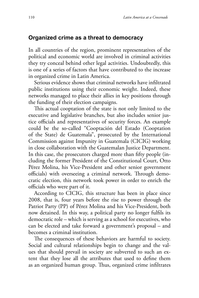#### **Organized crime as a threat to democracy**

In all countries of the region, prominent representatives of the political and economic world are involved in criminal activities they try conceal behind other legal activities. Undoubtedly, this is one of a series of factors that have contributed to the increase in organized crime in Latin America.

Serious evidence shows that criminal networks have infiltrated public institutions using their economic weight. Indeed, these networks managed to place their allies in key positions through the funding of their election campaigns.

This actual cooptation of the state is not only limited to the executive and legislative branches, but also includes senior justice officials and representatives of security forces. An example could be the so-called "Cooptación del Estado (Cooptation of the State) de Guatemala", prosecuted by the International Commission against Impunity in Guatemala (CICIG) working in close collaboration with the Guatemalan Justice Department. In this case, the prosecutors charged more than fifty people (including the former President of the Constitutional Court, Otto Pérez Molina, his Vice-President and other senior government officials) with overseeing a criminal network. Through democratic election, this network took power in order to enrich the officials who were part of it.

According to CICIG, this structure has been in place since 2008, that is, four years before the rise to power through the Patriot Party (PP) of Pérez Molina and his Vice-President, both now detained. In this way, a political party no longer fulfils its democratic role – which is serving as a school for executives, who can be elected and take forward a government's proposal – and becomes a criminal institution.

The consequences of these behaviors are harmful to society. Social and cultural relationships begin to change and the values that should prevail in society are subverted to such an extent that they lose all the attributes that used to define them as an organized human group. Thus, organized crime infiltrates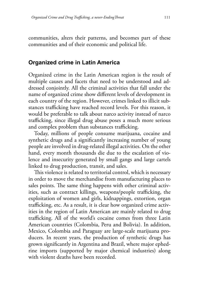communities, alters their patterns, and becomes part of these communities and of their economic and political life.

#### **Organized crime in Latin America**

Organized crime in the Latin American region is the result of multiple causes and facets that need to be understood and addressed conjointly. All the criminal activities that fall under the name of organized crime show different levels of development in each country of the region. However, crimes linked to illicit substances trafficking have reached record levels. For this reason, it would be preferable to talk about narco activity instead of narco trafficking, since illegal drug abuse poses a much more serious and complex problem than substances trafficking.

Today, millions of people consume marijuana, cocaine and synthetic drugs and a significantly increasing number of young people are involved in drug-related illegal activities. On the other hand, every month thousands die due to the escalation of violence and insecurity generated by small gangs and large cartels linked to drug production, transit, and sales.

This violence is related to territorial control, which is necessary in order to move the merchandise from manufacturing places to sales points. The same thing happens with other criminal activities, such as contract killings, weapons/people trafficking, the exploitation of women and girls, kidnappings, extortion, organ trafficking, etc. As a result, it is clear how organized crime activities in the region of Latin American are mainly related to drug trafficking. All of the world's cocaine comes from three Latin American countries (Colombia, Peru and Bolivia). In addition, Mexico, Colombia and Paraguay are large-scale marijuana producers. In recent years, the production of synthetic drugs has grown significantly in Argentina and Brazil, where major ephedrine imports (supported by major chemical industries) along with violent deaths have been recorded.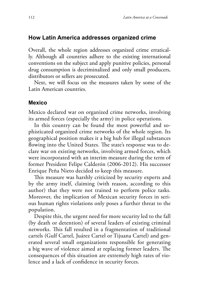#### **How Latin America addresses organized crime**

Overall, the whole region addresses organized crime erratically. Although all countries adhere to the existing international conventions on the subject and apply punitive policies, personal drug consumption is decriminalized and only small producers, distributors or sellers are prosecuted.

Next, we will focus on the measures taken by some of the Latin American countries.

#### **Mexico**

Mexico declared war on organized crime networks, involving its armed forces (especially the army) in police operations.

In this country can be found the most powerful and sophisticated organized crime networks of the whole region. Its geographical position makes it a big hub for illegal substances flowing into the United States. The state's response was to declare war on existing networks, involving armed forces, which were incorporated with an interim measure during the term of former President Felipe Calderón (2006-2012). His successor Enrique Peña Nieto decided to keep this measure.

This measure was harshly criticized by security experts and by the army itself, claiming (with reason, according to this author) that they were not trained to perform police tasks. Moreover, the implication of Mexican security forces in serious human rights violations only poses a further threat to the population.

Despite this, the urgent need for more security led to the fall (by death or detention) of several leaders of existing criminal networks. This fall resulted in a fragmentation of traditional cartels (Gulf Cartel, Juárez Cartel or Tijuana Cartel) and generated several small organizations responsible for generating a big wave of violence aimed at replacing former leaders. The consequences of this situation are extremely high rates of violence and a lack of confidence in security forces.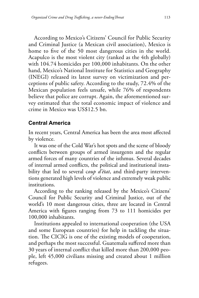According to Mexico's Citizens' Council for Public Security and Criminal Justice (a Mexican civil association), Mexico is home to five of the 50 most dangerous cities in the world. Acapulco is the most violent city (ranked as the 4th globally) with 104.74 homicides per 100,000 inhabitants. On the other hand, Mexico's National Institute for Statistics and Geography (INEGI) released its latest survey on victimization and perceptions of public safety. According to the study, 72.4% of the Mexican population feels unsafe, while 76% of respondents believe that police are corrupt. Again, the aforementioned survey estimated that the total economic impact of violence and crime in Mexico was US\$12.5 bn.

#### **Central America**

In recent years, Central America has been the area most affected by violence.

It was one of the Cold War's hot spots and the scene of bloody conflicts between groups of armed insurgents and the regular armed forces of many countries of the isthmus. Several decades of internal armed conflicts, the political and institutional instability that led to several c*oup d'état*, and third-party interventions generated high levels of violence and extremely weak public institutions.

According to the ranking released by the Mexico's Citizens' Council for Public Security and Criminal Justice, out of the world's 10 most dangerous cities, three are located in Central America with figures ranging from 73 to 111 homicides per 100,000 inhabitants.

Institutions appealed to international cooperation (the USA and some European countries) for help in tackling the situation. The CICIG is one of the existing models of cooperation, and perhaps the most successful. Guatemala suffered more than 30 years of internal conflict that killed more than 200,000 people, left 45,000 civilians missing and created about 1 million refugees.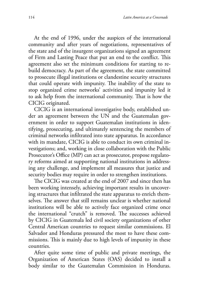At the end of 1996, under the auspices of the international community and after years of negotiations, representatives of the state and of the insurgent organizations signed an agreement of Firm and Lasting Peace that put an end to the conflict. This agreement also set the minimum conditions for starting to rebuild democracy. As part of the agreement, the state committed to prosecute illegal institutions or clandestine security structures that could operate with impunity. The inability of the state to stop organized crime networks' activities and impunity led it to ask help from the international community. That is how the CICIG originated.

CICIG is an international investigative body, established under an agreement between the UN and the Guatemalan government in order to support Guatemalan institutions in identifying, prosecuting, and ultimately sentencing the members of criminal networks infiltrated into state apparatus. In accordance with its mandate, CICIG is able to conduct its own criminal investigations; and, working in close collaboration with the Public Prosecutor's Office (MP) can act as prosecutor, propose regulatory reforms aimed at supporting national institutions in addressing any challenge, and implement all measures that justice and security bodies may require in order to strengthen institutions.

The CICIG was created at the end of 2007 and since then has been working intensely, achieving important results in uncovering structures that infiltrated the state apparatus to enrich themselves. The answer that still remains unclear is whether national institutions will be able to actively face organized crime once the international "crutch" is removed. The successes achieved by CICIG in Guatemala led civil society organizations of other Central American countries to request similar commissions. El Salvador and Honduras pressured the most to have these commissions. This is mainly due to high levels of impunity in these countries.

After quite some time of public and private meetings, the Organization of American States (OAS) decided to install a body similar to the Guatemalan Commission in Honduras.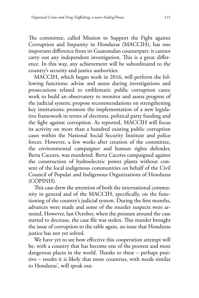The committee, called Mission to Support the Fight against Corruption and Impunity in Honduras (MACCIH), has one important difference from its Guatemalan counterpart: it cannot carry out any independent investigation. This is a great difference. In this way, any achievement will be subordinated to the country's security and justice authorities.

MACCIH, which began work in 2016, will perform the following functions: advise and assess during investigations and prosecutions related to emblematic public corruption cases; work to build an observatory to monitor and assess progress of the judicial system; propose recommendations on strengthening key institutions; promote the implementation of a new legislative framework in terms of elections, political party funding and the fight against corruption. As reported, MACCIH will focus its activity on more than a hundred existing public corruption cases within the National Social Security Institute and police forces. However, a few weeks after creation of the committee, the environmental campaigner and human rights defender, Berta Caceres, was murdered. Berta Caceres campaigned against the construction of hydroelectric power plants without consent of the local indigenous communities on behalf of the Civil Council of Popular and Indigenous Organizations of Honduras (COPINH).

This case drew the attention of both the international community in general and of the MACCIH, specifically, on the functioning of the country's judicial system. During the first months, advances were made and some of the murder suspects were arrested. However, last October, when the pressure around the case started to decrease, the case file was stolen. This murder brought the issue of corruption to the table again, an issue that Honduras justice has not yet solved.

We have yet to see how effective this cooperation attempt will be, with a country that has become one of the poorest and most dangerous places in the world. Thanks to these – perhaps positive – results it is likely that more countries, with needs similar to Honduras', will speak out.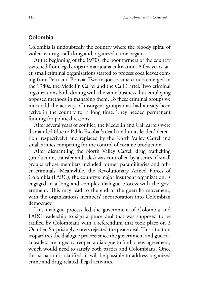#### **Colombia**

Colombia is undoubtedly the country where the bloody spiral of violence, drug trafficking and organized crime began.

At the beginning of the 1970s, the poor farmers of the country switched from legal crops to marijuana cultivation. A few years later, small criminal organizations started to process coca leaves coming from Peru and Bolivia. Two major cocaine cartels emerged in the 1980s, the Medellín Cartel and the Cali Cartel. Two criminal organizations both dealing with the same business, but employing opposed methods in managing them. To these criminal groups we must add the activity of insurgent groups that had already been active in the country for a long time. They needed permanent funding for political reasons.

After several years of conflict, the Medellin and Cali cartels were dismantled (due to Pablo Escobar's death and to its leaders' detention, respectively) and replaced by the North Valley Cartel and small armies competing for the control of cocaine production.

After dismantling the North Valley Cartel, drug trafficking (production, transfer and sales) was controlled by a series of small groups whose members included former paramilitaries and other criminals. Meanwhile, the Revolutionary Armed Forces of Colombia (FARC), the country's major insurgent organization, is engaged in a long and complex dialogue process with the government. This may lead to the end of the guerrilla movement, with the organization's members' incorporation into Colombian democracy.

This dialogue process led the government of Colombia and FARC leadership to sign a peace deal that was supposed to be ratified by Colombians with a referendum that took place on 2 October. Surprisingly, voters rejected the peace deal. This situation jeopardizes the dialogue process since the government and guerrilla leaders are urged to reopen a dialogue to find a new agreement, which would need to satisfy both parties and Colombians. Once this situation is clarified, it will be possible to address organized crime and drug-related illegal activities.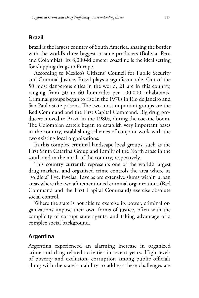### **Brazil**

Brazil is the largest country of South America, sharing the border with the world's three biggest cocaine producers (Bolivia, Peru and Colombia). Its 8,000-kilometer coastline is the ideal setting for shipping drugs to Europe.

According to Mexico's Citizens' Council for Public Security and Criminal Justice, Brazil plays a significant role. Out of the 50 most dangerous cities in the world, 21 are in this country, ranging from 30 to 60 homicides per 100,000 inhabitants. Criminal groups began to rise in the 1970s in Rio de Janeiro and Sao Paulo state prisons. The two most important groups are the Red Command and the First Capital Command. Big drug producers moved to Brazil in the 1980s, during the cocaine boom. The Colombian cartels began to establish very important bases in the country, establishing schemes of conjoint work with the two existing local organizations.

In this complex criminal landscape local groups, such as the First Santa Catarina Group and Family of the North arose in the south and in the north of the country, respectively.

This country currently represents one of the world's largest drug markets, and organized crime controls the area where its "soldiers" live, favelas. Favelas are extensive slums within urban areas where the two aforementioned criminal organizations (Red Command and the First Capital Command) exercise absolute social control.

Where the state is not able to exercise its power, criminal organizations impose their own forms of justice, often with the complicity of corrupt state agents, and taking advantage of a complex social background.

## **Argentina**

Argentina experienced an alarming increase in organized crime and drug-related activities in recent years. High levels of poverty and exclusion, corruption among public officials along with the state's inability to address these challenges are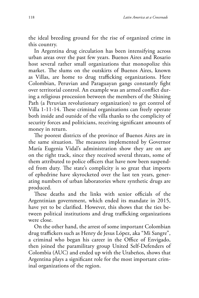the ideal breeding ground for the rise of organized crime in this country.

In Argentina drug circulation has been intensifying across urban areas over the past few years. Buenos Aires and Rosario host several rather small organizations that monopolize this market. The slums on the outskirts of Buenos Aires, known as Villas, are home to drug trafficking organizations. Here Colombian, Peruvian and Paraguayan gangs constantly fight over territorial control. An example was an armed conflict during a religious procession between the members of the Shining Path (a Peruvian revolutionary organization) to get control of Villa 1-11-14. These criminal organizations can freely operate both inside and outside of the villa thanks to the complicity of security forces and politicians, receiving significant amounts of money in return.

The poorest districts of the province of Buenos Aires are in the same situation. The measures implemented by Governor María Eugenia Vidal's administration show they are on are on the right track, since they received several threats, some of them attributed to police officers that have now been suspended from duty. The state's complicity is so great that imports of ephedrine have skyrocketed over the last ten years, generating numbers of urban laboratories where synthetic drugs are produced.

These deaths and the links with senior officials of the Argentinian government, which ended its mandate in 2015, have yet to be clarified. However, this shows that the ties between political institutions and drug trafficking organizations were close.

On the other hand, the arrest of some important Colombian drug traffickers such as Henry de Jesus López, aka "Mi Sangre", a criminal who began his career in the Office of Envigado, then joined the paramilitary group United Self-Defenders of Colombia (AUC) and ended up with the Urabeños, shows that Argentina plays a significant role for the most important criminal organizations of the region.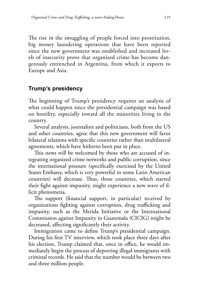The rise in the smuggling of people forced into prostitution, big money laundering operations that have been reported since the new government was established and increased levels of insecurity prove that organized crime has become dangerously entrenched in Argentina, from which it exports to Europe and Asia.

### **Trump's presidency**

The beginning of Trump's presidency requires an analysis of what could happen since the presidential campaign was based on hostility, especially toward all the minorities living in the country.

Several analysts, journalists and politicians, both from the US and other countries, agree that this new government will favor bilateral relations with specific countries rather than multilateral agreements, which have hitherto been put in place.

This news will be welcomed by those who are accused of integrating organized crime networks and public corruption, since the international pressure (specifically exercised by the United States Embassy, which is very powerful in some Latin American countries) will decrease. Thus, those countries, which started their fight against impunity, might experience a new wave of illicit phenomena.

The support (financial support, in particular) received by organizations fighting against corruption, drug trafficking and impunity, such as the Merida Initiative or the International Commission against Impunity in Guatemala (CICIG) might be decreased, affecting significantly their activity.

Immigration came to define Trump's presidential campaign. During his first TV interview, which took place three days after his election, Trump claimed that, once in office, he would immediately begin the process of deporting illegal immigrants with criminal records. He said that the number would be between two and three million people.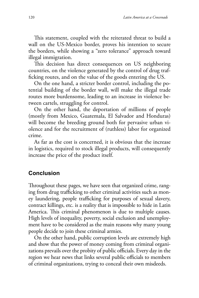This statement, coupled with the reiterated threat to build a wall on the US-Mexico border, proves his intention to secure the borders, while showing a "zero tolerance" approach toward illegal immigration.

This decision has direct consequences on US neighboring countries, on the violence generated by the control of drug trafficking routes, and on the value of the goods entering the US.

On the one hand, a stricter border control, including the potential building of the border wall, will make the illegal trade routes more burdensome, leading to an increase in violence between cartels, struggling for control.

On the other hand, the deportation of millions of people (mostly from Mexico, Guatemala, El Salvador and Honduras) will become the breeding ground both for pervasive urban violence and for the recruitment of (ruthless) labor for organized crime.

As far as the cost is concerned, it is obvious that the increase in logistics, required to stock illegal products, will consequently increase the price of the product itself.

#### **Conclusion**

Throughout these pages, we have seen that organized crime, ranging from drug trafficking to other criminal activities such as money laundering, people trafficking for purposes of sexual slavery, contract killings, etc. is a reality that is impossible to hide in Latin America. This criminal phenomenon is due to multiple causes. High levels of inequality, poverty, social exclusion and unemployment have to be considered as the main reasons why many young people decide to join these criminal armies.

On the other hand, public corruption levels are extremely high and show that the power of money coming from criminal organizations prevails over the probity of public officials. Every day in the region we hear news that links several public officials to members of criminal organizations, trying to conceal their own misdeeds.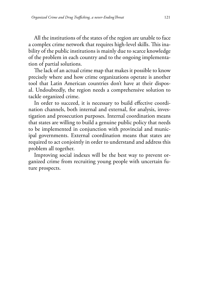All the institutions of the states of the region are unable to face a complex crime network that requires high-level skills. This inability of the public institutions is mainly due to scarce knowledge of the problem in each country and to the ongoing implementation of partial solutions.

The lack of an actual crime map that makes it possible to know precisely where and how crime organizations operate is another tool that Latin American countries don't have at their disposal. Undoubtedly, the region needs a comprehensive solution to tackle organized crime.

In order to succeed, it is necessary to build effective coordination channels, both internal and external, for analysis, investigation and prosecution purposes. Internal coordination means that states are willing to build a genuine public policy that needs to be implemented in conjunction with provincial and municipal governments. External coordination means that states are required to act conjointly in order to understand and address this problem all together.

Improving social indexes will be the best way to prevent organized crime from recruiting young people with uncertain future prospects.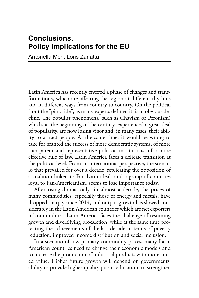## **Conclusions. Policy Implications for the EU**

Antonella Mori, Loris Zanatta

Latin America has recently entered a phase of changes and transformations, which are affecting the region at different rhythms and in different ways from country to country. On the political front the "pink tide", as many experts defined it, is in obvious decline. The populist phenomena (such as Chavism or Peronism) which, at the beginning of the century, experienced a great deal of popularity, are now losing vigor and, in many cases, their ability to attract people. At the same time, it would be wrong to take for granted the success of more democratic systems, of more transparent and representative political institutions, of a more effective rule of law. Latin America faces a delicate transition at the political level. From an international perspective, the scenario that prevailed for over a decade, replicating the opposition of a coalition linked to Pan-Latin ideals and a group of countries loyal to Pan-Americanism, seems to lose importance today.

After rising dramatically for almost a decade, the prices of many commodities, especially those of energy and metals, have dropped sharply since 2014, and output growth has slowed considerably in the Latin American countries which are net exporters of commodities. Latin America faces the challenge of resuming growth and diversifying production, while at the same time protecting the achievements of the last decade in terms of poverty reduction, improved income distribution and social inclusion.

In a scenario of low primary commodity prices, many Latin American countries need to change their economic models and to increase the production of industrial products with more added value. Higher future growth will depend on governments' ability to provide higher quality public education, to strengthen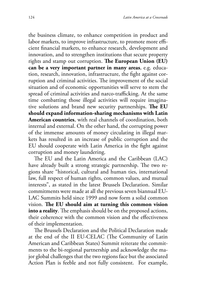the business climate, to enhance competition in product and labor markets, to improve infrastructure, to promote more efficient financial markets, to enhance research, development and innovation, and to strengthen institutions that secure property rights and stamp out corruption. **The European Union (EU) can be a very important partner in many areas**, e.g. education, research, innovation, infrastructure, the fight against corruption and criminal activities. The improvement of the social situation and of economic opportunities will serve to stem the spread of criminal activities and narco-trafficking. At the same time combatting those illegal activities will require imaginative solutions and brand new security partnerships. **The EU should expand information-sharing mechanisms with Latin American countries**, with real channels of coordination, both internal and external. On the other hand, the corrupting power of the immense amounts of money circulating in illegal markets has resulted in an increase of public corruption and the EU should cooperate with Latin America in the fight against corruption and money laundering.

The EU and the Latin America and the Caribbean (LAC) have already built a strong strategic partnership. The two regions share "historical, cultural and human ties, international law, full respect of human rights, common values, and mutual interests", as stated in the latest Brussels Declaration. Similar commitments were made at all the previous seven biannual EU-LAC Summits held since 1999 and now form a solid common vision. **The EU should aim at turning this common vision into a reality**. The emphasis should be on the proposed actions, their coherence with the common vision and the effectiveness of their implementation.

The Brussels Declaration and the Political Declaration made at the end of the II EU-CELAC (The Community of Latin American and Caribbean States) Summit reiterate the commitments to the bi-regional partnership and acknowledge the major global challenges that the two regions face but the associated Action Plan is feeble and not fully consistent. For example,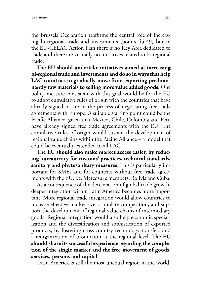the Brussels Declaration reaffirms the central role of increasing bi-regional trade and investments (points 45-49) but in the EU-CELAC Action Plan there is no Key Area dedicated to trade and there are virtually no initiatives related to bi-regional trade.

**The EU should undertake initiatives aimed at increasing bi-regional trade and investments and do so in ways that help LAC countries to gradually move from exporting predominantly raw materials to selling more value added goods**. One policy measure consistent with this goal would be for the EU to adopt cumulative rules of origin with the countries that have already signed or are in the process of negotiating free trade agreements with Europe. A suitable starting point could be the Pacific Alliance, given that Mexico, Chile, Colombia and Peru have already signed free trade agreements with the EU. The cumulative rules of origin would sustain the development of regional value chains within the Pacific Alliance – a model that could be eventually extended to all LAC.

**The EU should also make market access easier, by reducing bureaucracy for customs' practices, technical standards, sanitary and phytosanitary measures**. This is particularly important for SMEs and for countries without free trade agreements with the EU, i.e. Mercosur's members, Bolivia and Cuba.

As a consequence of the deceleration of global trade growth, deeper integration within Latin America becomes more important. More regional trade integration would allow countries to increase effective market size, stimulate competition, and support the development of regional value chains of intermediary goods. Regional integration would also help economic specialization and the diversification and sophistication of exported products, by fostering cross-country technology transfers and a reorganization of production at the regional level. **The EU should share its successful experience regarding the completion of the single market and the free movement of goods, services, persons and capital**.

Latin America is still the most unequal region in the world.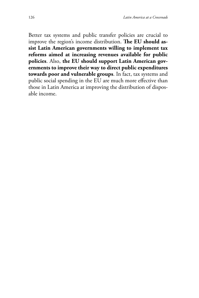Better tax systems and public transfer policies are crucial to improve the region's income distribution. **The EU should assist Latin American governments willing to implement tax reforms aimed at increasing revenues available for public policies**. Also, **the EU should support Latin American governments to improve their way to direct public expenditures towards poor and vulnerable groups**. In fact, tax systems and public social spending in the EU are much more effective than those in Latin America at improving the distribution of disposable income.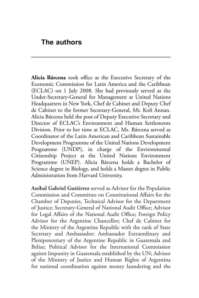**Alicia Bárcena** took office as the Executive Secretary of the Economic Commission for Latin America and the Caribbean (ECLAC) on 1 July 2008. She had previously served as the Under-Secretary-General for Management at United Nations Headquarters in New York, Chef de Cabinet and Deputy Chef de Cabinet to the former Secretary-General, Mr. Kofi Annan. Alicia Bárcena held the post of Deputy Executive Secretary and Director of ECLAC's Environment and Human Settlements Division. Prior to her time at ECLAC, Ms. Bárcena served as Coordinator of the Latin American and Caribbean Sustainable Development Programme of the United Nations Development Programme (UNDP), in charge of the Environmental Citizenship Project at the United Nations Environment Programme (UNEP). Alicia Bárcena holds a Bachelor of Science degree in Biology, and holds a Master degree in Public Administration from Harvard University.

**Aníbal Gabriel Gutiérrez** served as Advisor for the Population Commission and Committee on Constitutional Affairs for the Chamber of Deputies, Technical Advisor for the Department of Justice; Secretary-General of National Audit Office; Advisor for Legal Affairs of the National Audit Office; Foreign Policy Advisor for the Argentine Chancellor; Chef de Cabinet for the Ministry of the Argentine Republic with the rank of State Secretary and Ambassador; Ambassador Extraordinary and Plenipotentiary of the Argentine Republic in Guatemala and Belize; Political Advisor for the International Commission against Impunity in Guatemala established by the UN; Advisor of the Ministry of Justice and Human Rights of Argentina for national coordination against money laundering and the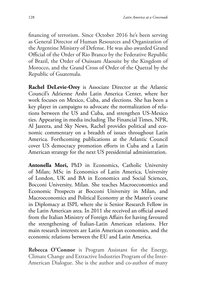financing of terrorism. Since October 2016 he's been serving as General Director of Human Resources and Organization of the Argentine Ministry of Defense. He was also awarded Grand Official of the Order of Rio Branco by the Federative Republic of Brazil, the Order of Ouissam Alaouite by the Kingdom of Morocco, and the Grand Cross of Order of the Quetzal by the Republic of Guatemala.

**Rachel DeLevie-Orey** is Associate Director at the Atlantic Council's Adrienne Arsht Latin America Center, where her work focuses on Mexico, Cuba, and elections. She has been a key player in campaigns to advocate the normalization of relations between the US and Cuba, and strengthen US-Mexico ties. Appearing in media including The Financial Times, NPR, Al Jazeera, and Sky News, Rachel provides political and economic commentary on a breadth of issues throughout Latin America. Forthcoming publications at the Atlantic Council cover US democracy promotion efforts in Cuba and a Latin American strategy for the next US presidential administration.

**Antonella Mori,** PhD in Economics, Catholic University of Milan; MSc in Economics of Latin America, University of London, UK and BA in Economics and Social Sciences, Bocconi University, Milan. She teaches Macroeconomics and Economic Prospects at Bocconi University in Milan, and Macroeconomics and Political Economy at the Master's course in Diplomacy at ISPI, where she is Senior Research Fellow in the Latin American area. In 2011 she received an official award from the Italian Ministry of Foreign Affairs for having favoured the strengthening of Italian-Latin American relations. Her main research interests are Latin American economies, and the economic relations between the EU and Latin America.

**Rebecca O'Connor** is Program Assistant for the Energy, Climate Change and Extractive Industries Program of the Inter-American Dialogue. She is the author and co-author of many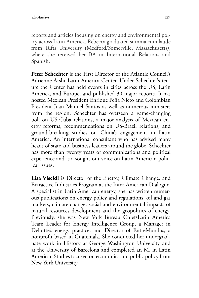reports and articles focusing on energy and environmental policy across Latin America. Rebecca graduated summa cum laude from Tufts University (Medford/Somerville, Massachusetts), where she received her BA in International Relations and Spanish.

**Peter Schechter** is the First Director of the Atlantic Council's Adrienne Arsht Latin America Center. Under Schechter's tenure the Center has held events in cities across the US, Latin America, and Europe, and published 30 major reports. It has hosted Mexican President Enrique Peña Nieto and Colombian President Juan Manuel Santos as well as numerous ministers from the region. Schechter has overseen a game-changing poll on US-Cuba relations, a major analysis of Mexican energy reforms, recommendations on US-Brazil relations, and ground-breaking studies on China's engagement in Latin America. An international consultant who has advised many heads of state and business leaders around the globe, Schechter has more than twenty years of communications and political experience and is a sought-out voice on Latin American political issues.

**Lisa Viscidi** is Director of the Energy, Climate Change, and Extractive Industries Program at the Inter-American Dialogue. A specialist in Latin American energy, she has written numerous publications on energy policy and regulations, oil and gas markets, climate change, social and environmental impacts of natural resources development and the geopolitics of energy. Previously, she was New York Bureau Chief/Latin America Team Leader for Energy Intelligence Group, a Manager in Deloitte's energy practice, and Director of EntreMundos, a nonprofit based in Guatemala. She conducted her undergraduate work in History at George Washington University and at the University of Barcelona and completed an M. in Latin American Studies focused on economics and public policy from New York University.